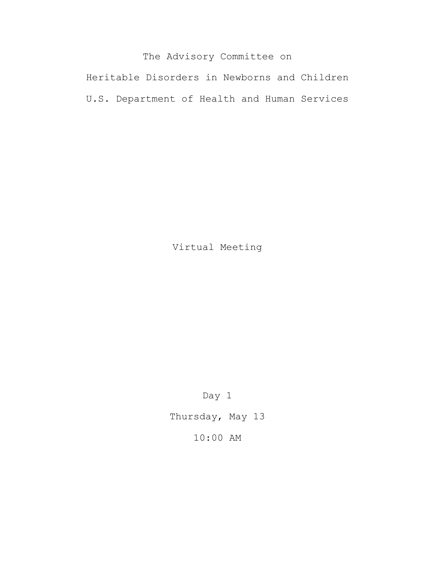# The Advisory Committee on

Heritable Disorders in Newborns and Children U.S. Department of Health and Human Services

Virtual Meeting

Day 1

Thursday, May 13

10:00 AM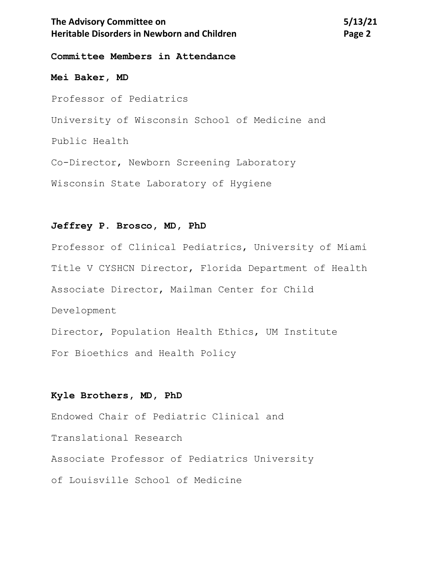# The Advisory Committee on **5/13/21 Heritable Disorders in Newborn and Children <b>Page 2 Page 2**

**Committee Members in Attendance**

#### **Mei Baker, MD**

Professor of Pediatrics

University of Wisconsin School of Medicine and

Public Health

Co-Director, Newborn Screening Laboratory

Wisconsin State Laboratory of Hygiene

#### **Jeffrey P. Brosco, MD, PhD**

Professor of Clinical Pediatrics, University of Miami Title V CYSHCN Director, Florida Department of Health Associate Director, Mailman Center for Child Development Director, Population Health Ethics, UM Institute

For Bioethics and Health Policy

## **Kyle Brothers, MD, PhD**

Endowed Chair of Pediatric Clinical and Translational Research Associate Professor of Pediatrics University of Louisville School of Medicine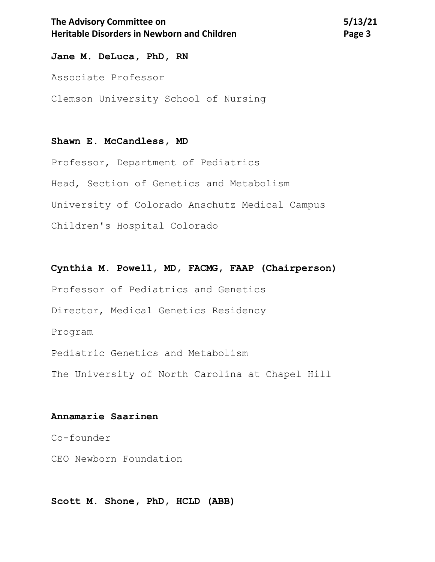# The Advisory Committee on 5/13/21 **Heritable Disorders in Newborn and Children Page 3 Page 3**

**Jane M. DeLuca, PhD, RN**

Associate Professor

Clemson University School of Nursing

## **Shawn E. McCandless, MD**

Professor, Department of Pediatrics Head, Section of Genetics and Metabolism University of Colorado Anschutz Medical Campus Children's Hospital Colorado

# **Cynthia M. Powell, MD, FACMG, FAAP (Chairperson)** Professor of Pediatrics and Genetics Director, Medical Genetics Residency Program Pediatric Genetics and Metabolism The University of North Carolina at Chapel Hill

## **Annamarie Saarinen**

Co-founder

CEO Newborn Foundation

**Scott M. Shone, PhD, HCLD (ABB)**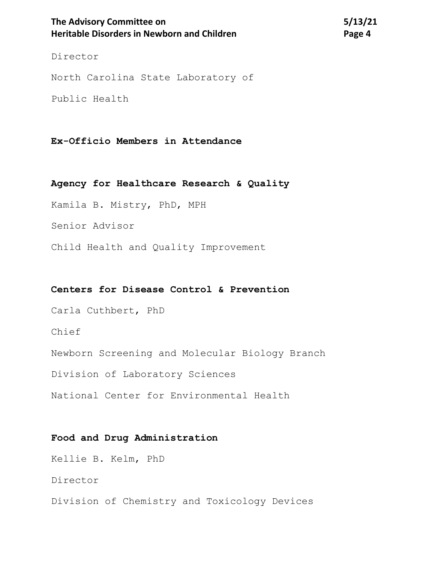# The Advisory Committee on 5/13/21 **Heritable Disorders in Newborn and Children <b>Page 4 Page 4**

Director

North Carolina State Laboratory of

Public Health

## **Ex-Officio Members in Attendance**

**Agency for Healthcare Research & Quality**

Kamila B. Mistry, PhD, MPH

Senior Advisor

Child Health and Quality Improvement

#### **Centers for Disease Control & Prevention**

Carla Cuthbert, PhD

Chief

Newborn Screening and Molecular Biology Branch

Division of Laboratory Sciences

National Center for Environmental Health

## **Food and Drug Administration**

Kellie B. Kelm, PhD

Director

Division of Chemistry and Toxicology Devices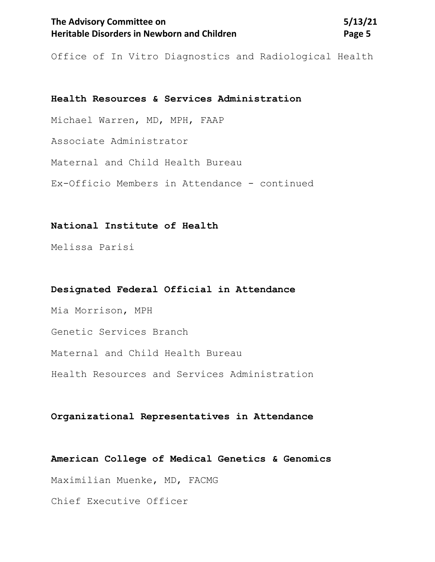# The Advisory Committee on 5/13/21 **Heritable Disorders in Newborn and Children <b>Page 5 Page 5**

Office of In Vitro Diagnostics and Radiological Health

## **Health Resources & Services Administration**

Michael Warren, MD, MPH, FAAP

Associate Administrator

Maternal and Child Health Bureau

Ex-Officio Members in Attendance - continued

## **National Institute of Health**

Melissa Parisi

## **Designated Federal Official in Attendance**

Mia Morrison, MPH Genetic Services Branch Maternal and Child Health Bureau Health Resources and Services Administration

#### **Organizational Representatives in Attendance**

#### **American College of Medical Genetics & Genomics**

Maximilian Muenke, MD, FACMG

Chief Executive Officer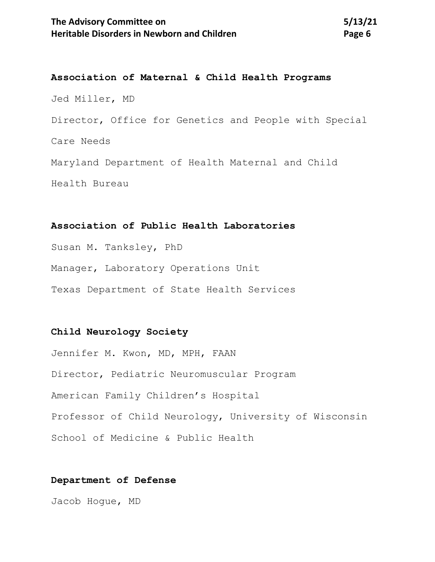**Association of Maternal & Child Health Programs** Jed Miller, MD Director, Office for Genetics and People with Special Care Needs Maryland Department of Health Maternal and Child Health Bureau

## **Association of Public Health Laboratories**

Susan M. Tanksley, PhD Manager, Laboratory Operations Unit Texas Department of State Health Services

## **Child Neurology Society**

Jennifer M. Kwon, MD, MPH, FAAN Director, Pediatric Neuromuscular Program American Family Children's Hospital Professor of Child Neurology, University of Wisconsin School of Medicine & Public Health

## **Department of Defense**

Jacob Hogue, MD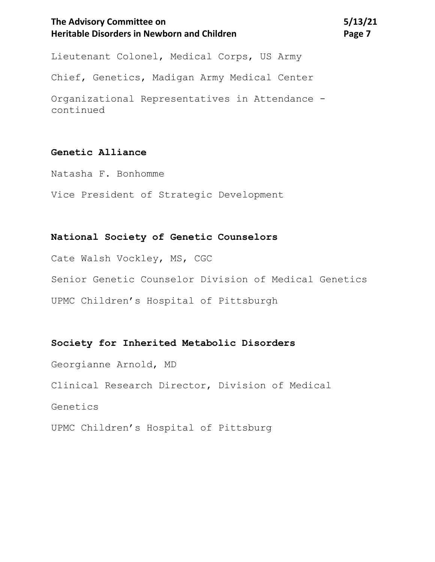# The Advisory Committee on 5/13/21 **Heritable Disorders in Newborn and Children** *Page 7* **Page 7**

Lieutenant Colonel, Medical Corps, US Army

Chief, Genetics, Madigan Army Medical Center

Organizational Representatives in Attendance continued

## **Genetic Alliance**

Natasha F. Bonhomme

Vice President of Strategic Development

## **National Society of Genetic Counselors**

Cate Walsh Vockley, MS, CGC Senior Genetic Counselor Division of Medical Genetics UPMC Children's Hospital of Pittsburgh

# **Society for Inherited Metabolic Disorders**

Georgianne Arnold, MD Clinical Research Director, Division of Medical Genetics UPMC Children's Hospital of Pittsburg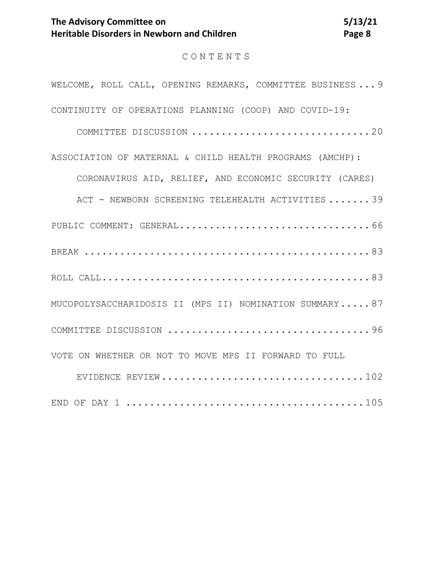# CONTENTS

| WELCOME, ROLL CALL, OPENING REMARKS, COMMITTEE BUSINESS 9 |
|-----------------------------------------------------------|
| CONTINUITY OF OPERATIONS PLANNING (COOP) AND COVID-19:    |
|                                                           |
| ASSOCIATION OF MATERNAL & CHILD HEALTH PROGRAMS (AMCHP):  |
| CORONAVIRUS AID, RELIEF, AND ECONOMIC SECURITY (CARES)    |
| ACT - NEWBORN SCREENING TELEHEALTH ACTIVITIES 39          |
|                                                           |
|                                                           |
|                                                           |
| MUCOPOLYSACCHARIDOSIS II (MPS II) NOMINATION SUMMARY 87   |
|                                                           |
| VOTE ON WHETHER OR NOT TO MOVE MPS II FORWARD TO FULL     |
|                                                           |
|                                                           |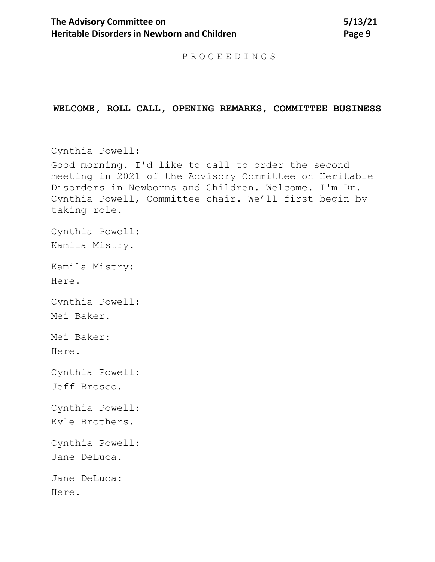PROCEEDINGS

#### <span id="page-8-0"></span>**WELCOME, ROLL CALL, OPENING REMARKS, COMMITTEE BUSINESS**

Cynthia Powell: Good morning. I'd like to call to order the second meeting in 2021 of the Advisory Committee on Heritable Disorders in Newborns and Children. Welcome. I'm Dr. Cynthia Powell, Committee chair. We'll first begin by taking role. Cynthia Powell: Kamila Mistry. Kamila Mistry: Here. Cynthia Powell: Mei Baker. Mei Baker: Here. Cynthia Powell: Jeff Brosco. Cynthia Powell: Kyle Brothers. Cynthia Powell: Jane DeLuca. Jane DeLuca: Here.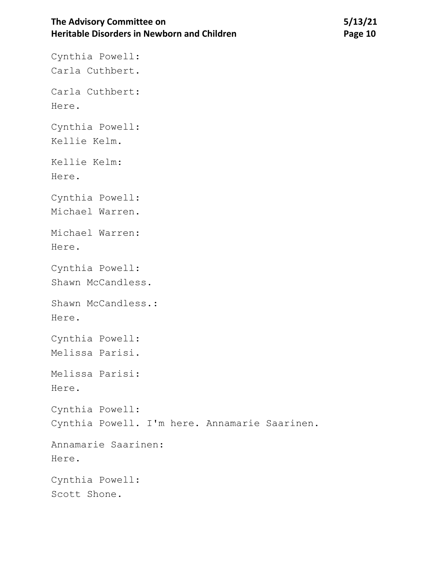# The Advisory Committee on 5/13/21 **Heritable Disorders in Newborn and Children Manual Page 10**

Cynthia Powell:

Carla Cuthbert. Carla Cuthbert: Here. Cynthia Powell: Kellie Kelm. Kellie Kelm: Here. Cynthia Powell: Michael Warren. Michael Warren: Here. Cynthia Powell: Shawn McCandless. Shawn McCandless.: Here. Cynthia Powell: Melissa Parisi. Melissa Parisi: Here. Cynthia Powell: Cynthia Powell. I'm here. Annamarie Saarinen. Annamarie Saarinen: Here. Cynthia Powell: Scott Shone.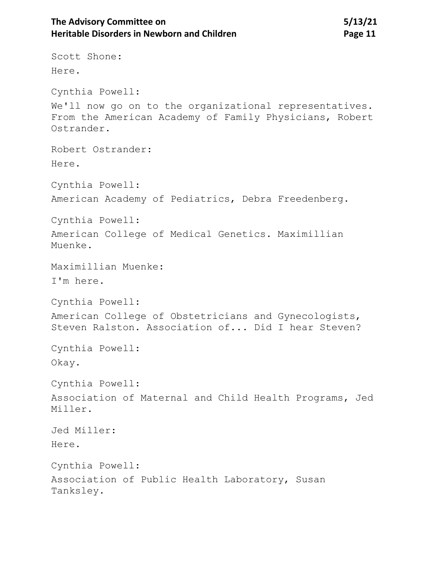# The Advisory Committee on **5/13/21 Heritable Disorders in Newborn and Children <b>Page 11** Page 11

Scott Shone: Here. Cynthia Powell: We'll now go on to the organizational representatives. From the American Academy of Family Physicians, Robert Ostrander. Robert Ostrander: Here. Cynthia Powell: American Academy of Pediatrics, Debra Freedenberg. Cynthia Powell: American College of Medical Genetics. Maximillian Muenke. Maximillian Muenke: I'm here. Cynthia Powell: American College of Obstetricians and Gynecologists, Steven Ralston. Association of... Did I hear Steven? Cynthia Powell: Okay. Cynthia Powell: Association of Maternal and Child Health Programs, Jed Miller. Jed Miller: Here. Cynthia Powell: Association of Public Health Laboratory, Susan Tanksley.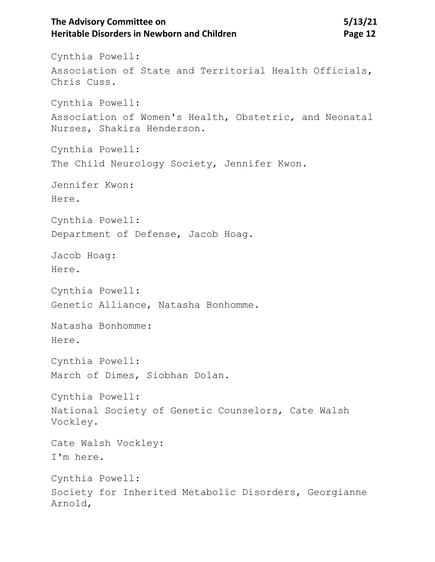# The Advisory Committee on **5/13/21 Heritable Disorders in Newborn and Children <b>Page 12** Page 12

Cynthia Powell: Association of State and Territorial Health Officials, Chris Cuss. Cynthia Powell: Association of Women's Health, Obstetric, and Neonatal Nurses, Shakira Henderson. Cynthia Powell: The Child Neurology Society, Jennifer Kwon. Jennifer Kwon: Here. Cynthia Powell: Department of Defense, Jacob Hoag. Jacob Hoag: Here. Cynthia Powell: Genetic Alliance, Natasha Bonhomme. Natasha Bonhomme: Here. Cynthia Powell: March of Dimes, Siobhan Dolan. Cynthia Powell: National Society of Genetic Counselors, Cate Walsh Vockley. Cate Walsh Vockley: I'm here. Cynthia Powell: Society for Inherited Metabolic Disorders, Georgianne Arnold,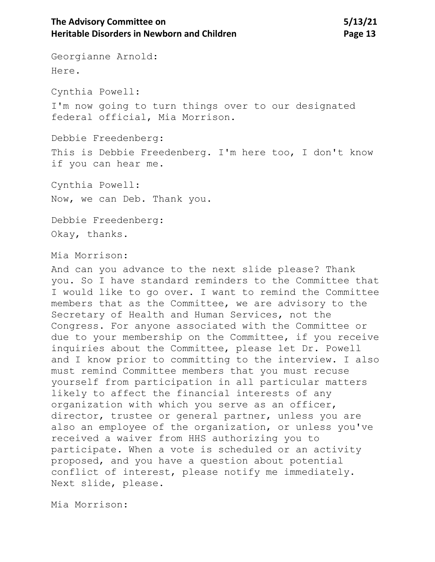Georgianne Arnold: Here. Cynthia Powell: I'm now going to turn things over to our designated federal official, Mia Morrison. Debbie Freedenberg: This is Debbie Freedenberg. I'm here too, I don't know if you can hear me. Cynthia Powell: Now, we can Deb. Thank you. Debbie Freedenberg: Okay, thanks. Mia Morrison: And can you advance to the next slide please? Thank you. So I have standard reminders to the Committee that I would like to go over. I want to remind the Committee members that as the Committee, we are advisory to the Secretary of Health and Human Services, not the Congress. For anyone associated with the Committee or due to your membership on the Committee, if you receive inquiries about the Committee, please let Dr. Powell and I know prior to committing to the interview. I also must remind Committee members that you must recuse yourself from participation in all particular matters likely to affect the financial interests of any organization with which you serve as an officer, director, trustee or general partner, unless you are also an employee of the organization, or unless you've received a waiver from HHS authorizing you to participate. When a vote is scheduled or an activity proposed, and you have a question about potential conflict of interest, please notify me immediately.

Next slide, please.

Mia Morrison: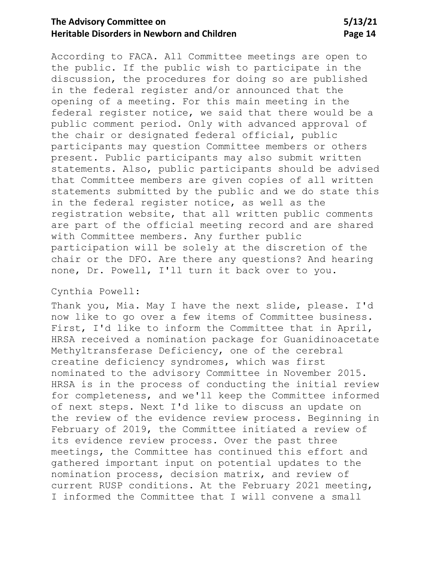# **The Advisory Committee on 5/13/21 Heritable Disorders in Newborn and Children Manual Page 14**

According to FACA. All Committee meetings are open to the public. If the public wish to participate in the discussion, the procedures for doing so are published in the federal register and/or announced that the opening of a meeting. For this main meeting in the federal register notice, we said that there would be a public comment period. Only with advanced approval of the chair or designated federal official, public participants may question Committee members or others present. Public participants may also submit written statements. Also, public participants should be advised that Committee members are given copies of all written statements submitted by the public and we do state this in the federal register notice, as well as the registration website, that all written public comments are part of the official meeting record and are shared with Committee members. Any further public participation will be solely at the discretion of the chair or the DFO. Are there any questions? And hearing none, Dr. Powell, I'll turn it back over to you.

#### Cynthia Powell:

Thank you, Mia. May I have the next slide, please. I'd now like to go over a few items of Committee business. First, I'd like to inform the Committee that in April, HRSA received a nomination package for Guanidinoacetate Methyltransferase Deficiency, one of the cerebral creatine deficiency syndromes, which was first nominated to the advisory Committee in November 2015. HRSA is in the process of conducting the initial review for completeness, and we'll keep the Committee informed of next steps. Next I'd like to discuss an update on the review of the evidence review process. Beginning in February of 2019, the Committee initiated a review of its evidence review process. Over the past three meetings, the Committee has continued this effort and gathered important input on potential updates to the nomination process, decision matrix, and review of current RUSP conditions. At the February 2021 meeting, I informed the Committee that I will convene a small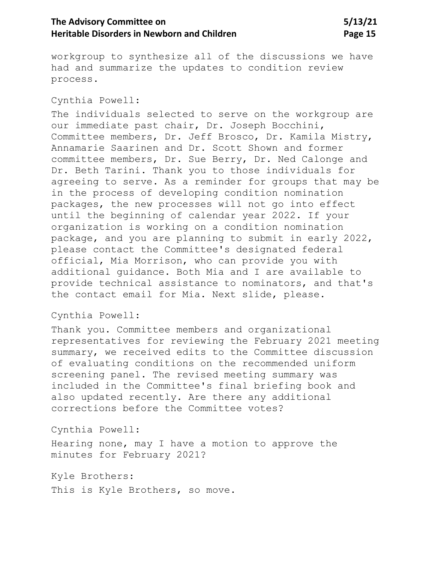# The Advisory Committee on 5/13/21 **Heritable Disorders in Newborn and Children <b>Page 15** Page 15

workgroup to synthesize all of the discussions we have had and summarize the updates to condition review process.

#### Cynthia Powell:

The individuals selected to serve on the workgroup are our immediate past chair, Dr. Joseph Bocchini, Committee members, Dr. Jeff Brosco, Dr. Kamila Mistry, Annamarie Saarinen and Dr. Scott Shown and former committee members, Dr. Sue Berry, Dr. Ned Calonge and Dr. Beth Tarini. Thank you to those individuals for agreeing to serve. As a reminder for groups that may be in the process of developing condition nomination packages, the new processes will not go into effect until the beginning of calendar year 2022. If your organization is working on a condition nomination package, and you are planning to submit in early 2022, please contact the Committee's designated federal official, Mia Morrison, who can provide you with additional guidance. Both Mia and I are available to provide technical assistance to nominators, and that's the contact email for Mia. Next slide, please.

#### Cynthia Powell:

Thank you. Committee members and organizational representatives for reviewing the February 2021 meeting summary, we received edits to the Committee discussion of evaluating conditions on the recommended uniform screening panel. The revised meeting summary was included in the Committee's final briefing book and also updated recently. Are there any additional corrections before the Committee votes?

Cynthia Powell:

Hearing none, may I have a motion to approve the minutes for February 2021?

Kyle Brothers:

This is Kyle Brothers, so move.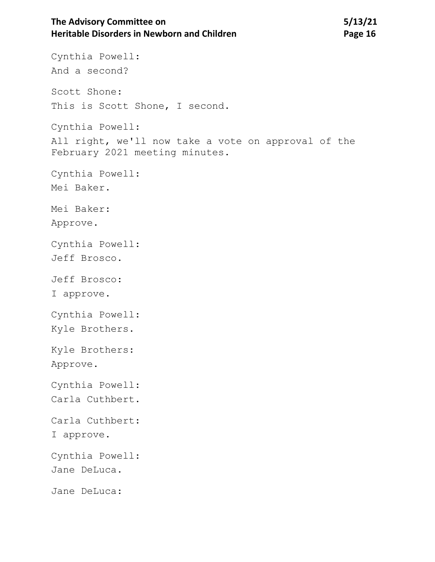# The Advisory Committee on 5/13/21 **Heritable Disorders in Newborn and Children <b>Page 16** Page 16

Cynthia Powell: And a second? Scott Shone: This is Scott Shone, I second. Cynthia Powell: All right, we'll now take a vote on approval of the February 2021 meeting minutes. Cynthia Powell: Mei Baker. Mei Baker: Approve. Cynthia Powell: Jeff Brosco. Jeff Brosco: I approve. Cynthia Powell: Kyle Brothers. Kyle Brothers: Approve. Cynthia Powell: Carla Cuthbert. Carla Cuthbert: I approve. Cynthia Powell: Jane DeLuca. Jane DeLuca: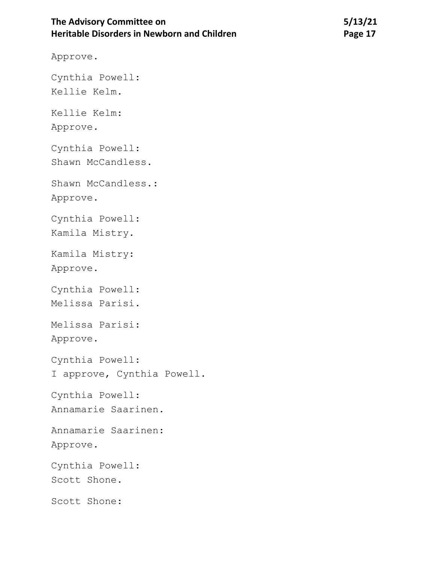# The Advisory Committee on 5/13/21 **Heritable Disorders in Newborn and Children Manual Page 17** Page 17

Approve.

Cynthia Powell:

Kellie Kelm.

Kellie Kelm: Approve.

Cynthia Powell: Shawn McCandless.

Shawn McCandless.: Approve.

Cynthia Powell:

Kamila Mistry.

Kamila Mistry: Approve.

Cynthia Powell:

Melissa Parisi.

Melissa Parisi:

Approve.

Cynthia Powell: I approve, Cynthia Powell.

Cynthia Powell:

Annamarie Saarinen.

Annamarie Saarinen:

Approve.

Cynthia Powell: Scott Shone.

Scott Shone: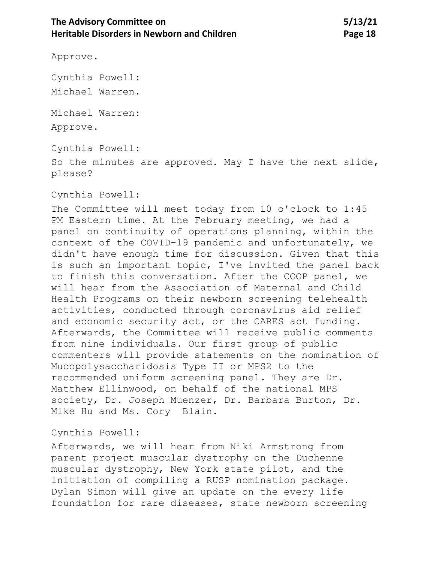Approve.

Cynthia Powell:

Michael Warren.

Michael Warren: Approve.

Cynthia Powell:

So the minutes are approved. May I have the next slide, please?

Cynthia Powell:

The Committee will meet today from 10 o'clock to 1:45 PM Eastern time. At the February meeting, we had a panel on continuity of operations planning, within the context of the COVID-19 pandemic and unfortunately, we didn't have enough time for discussion. Given that this is such an important topic, I've invited the panel back to finish this conversation. After the COOP panel, we will hear from the Association of Maternal and Child Health Programs on their newborn screening telehealth activities, conducted through coronavirus aid relief and economic security act, or the CARES act funding. Afterwards, the Committee will receive public comments from nine individuals. Our first group of public commenters will provide statements on the nomination of Mucopolysaccharidosis Type II or MPS2 to the recommended uniform screening panel. They are Dr. Matthew Ellinwood, on behalf of the national MPS society, Dr. Joseph Muenzer, Dr. Barbara Burton, Dr. Mike Hu and Ms. Cory Blain.

# Cynthia Powell:

Afterwards, we will hear from Niki Armstrong from parent project muscular dystrophy on the Duchenne muscular dystrophy, New York state pilot, and the initiation of compiling a RUSP nomination package. Dylan Simon will give an update on the every life foundation for rare diseases, state newborn screening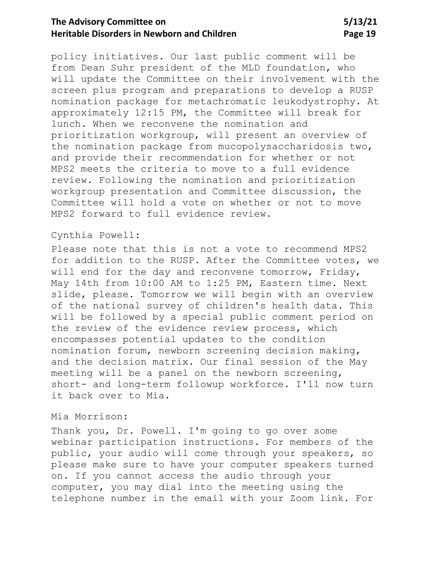# **The Advisory Committee on 5/13/21 Heritable Disorders in Newborn and Children** Page 19

policy initiatives. Our last public comment will be from Dean Suhr president of the MLD foundation, who will update the Committee on their involvement with the screen plus program and preparations to develop a RUSP nomination package for metachromatic leukodystrophy. At approximately 12:15 PM, the Committee will break for lunch. When we reconvene the nomination and prioritization workgroup, will present an overview of the nomination package from mucopolysaccharidosis two, and provide their recommendation for whether or not MPS2 meets the criteria to move to a full evidence review. Following the nomination and prioritization workgroup presentation and Committee discussion, the Committee will hold a vote on whether or not to move MPS2 forward to full evidence review.

## Cynthia Powell:

Please note that this is not a vote to recommend MPS2 for addition to the RUSP. After the Committee votes, we will end for the day and reconvene tomorrow, Friday, May 14th from 10:00 AM to 1:25 PM, Eastern time. Next slide, please. Tomorrow we will begin with an overview of the national survey of children's health data. This will be followed by a special public comment period on the review of the evidence review process, which encompasses potential updates to the condition nomination forum, newborn screening decision making, and the decision matrix. Our final session of the May meeting will be a panel on the newborn screening, short- and long-term followup workforce. I'll now turn it back over to Mia.

#### Mia Morrison:

Thank you, Dr. Powell. I'm going to go over some webinar participation instructions. For members of the public, your audio will come through your speakers, so please make sure to have your computer speakers turned on. If you cannot access the audio through your computer, you may dial into the meeting using the telephone number in the email with your Zoom link. For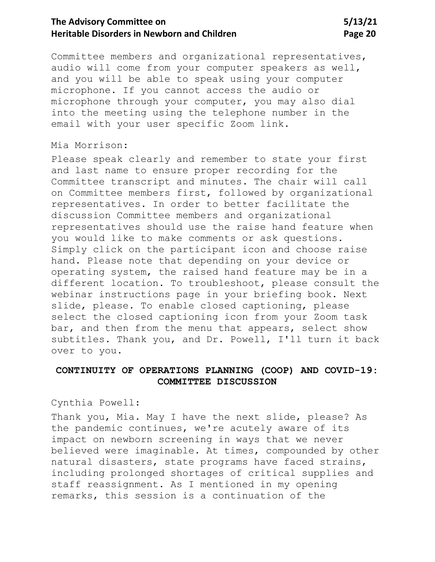# The Advisory Committee on 5/13/21 **Heritable Disorders in Newborn and Children <b>Page 20 Page 20**

Committee members and organizational representatives, audio will come from your computer speakers as well, and you will be able to speak using your computer microphone. If you cannot access the audio or microphone through your computer, you may also dial into the meeting using the telephone number in the email with your user specific Zoom link.

## Mia Morrison:

Please speak clearly and remember to state your first and last name to ensure proper recording for the Committee transcript and minutes. The chair will call on Committee members first, followed by organizational representatives. In order to better facilitate the discussion Committee members and organizational representatives should use the raise hand feature when you would like to make comments or ask questions. Simply click on the participant icon and choose raise hand. Please note that depending on your device or operating system, the raised hand feature may be in a different location. To troubleshoot, please consult the webinar instructions page in your briefing book. Next slide, please. To enable closed captioning, please select the closed captioning icon from your Zoom task bar, and then from the menu that appears, select show subtitles. Thank you, and Dr. Powell, I'll turn it back over to you.

## <span id="page-19-0"></span>**CONTINUITY OF OPERATIONS PLANNING (COOP) AND COVID-19: COMMITTEE DISCUSSION**

Cynthia Powell:

Thank you, Mia. May I have the next slide, please? As the pandemic continues, we're acutely aware of its impact on newborn screening in ways that we never believed were imaginable. At times, compounded by other natural disasters, state programs have faced strains, including prolonged shortages of critical supplies and staff reassignment. As I mentioned in my opening remarks, this session is a continuation of the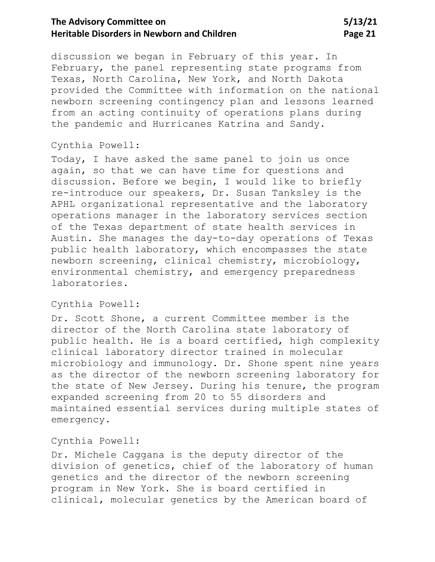# The Advisory Committee on 5/13/21 **Heritable Disorders in Newborn and Children <b>Page 21 Page 21**

discussion we began in February of this year. In February, the panel representing state programs from Texas, North Carolina, New York, and North Dakota provided the Committee with information on the national newborn screening contingency plan and lessons learned from an acting continuity of operations plans during the pandemic and Hurricanes Katrina and Sandy.

#### Cynthia Powell:

Today, I have asked the same panel to join us once again, so that we can have time for questions and discussion. Before we begin, I would like to briefly re-introduce our speakers, Dr. Susan Tanksley is the APHL organizational representative and the laboratory operations manager in the laboratory services section of the Texas department of state health services in Austin. She manages the day-to-day operations of Texas public health laboratory, which encompasses the state newborn screening, clinical chemistry, microbiology, environmental chemistry, and emergency preparedness laboratories.

## Cynthia Powell:

Dr. Scott Shone, a current Committee member is the director of the North Carolina state laboratory of public health. He is a board certified, high complexity clinical laboratory director trained in molecular microbiology and immunology. Dr. Shone spent nine years as the director of the newborn screening laboratory for the state of New Jersey. During his tenure, the program expanded screening from 20 to 55 disorders and maintained essential services during multiple states of emergency.

## Cynthia Powell:

Dr. Michele Caggana is the deputy director of the division of genetics, chief of the laboratory of human genetics and the director of the newborn screening program in New York. She is board certified in clinical, molecular genetics by the American board of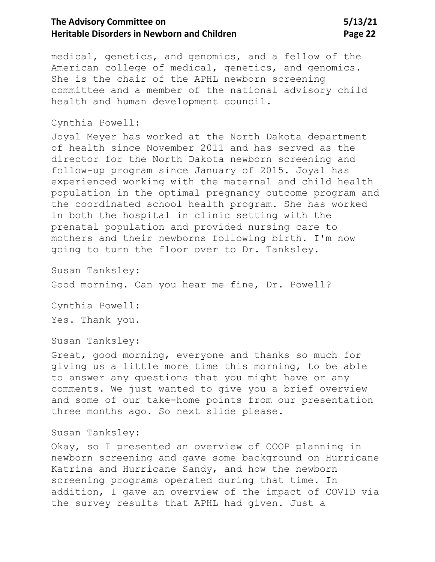# The Advisory Committee on 5/13/21 **Heritable Disorders in Newborn and Children <b>Page 22** Page 22

medical, genetics, and genomics, and a fellow of the American college of medical, genetics, and genomics. She is the chair of the APHL newborn screening committee and a member of the national advisory child health and human development council.

#### Cynthia Powell:

Joyal Meyer has worked at the North Dakota department of health since November 2011 and has served as the director for the North Dakota newborn screening and follow-up program since January of 2015. Joyal has experienced working with the maternal and child health population in the optimal pregnancy outcome program and the coordinated school health program. She has worked in both the hospital in clinic setting with the prenatal population and provided nursing care to mothers and their newborns following birth. I'm now going to turn the floor over to Dr. Tanksley.

Susan Tanksley: Good morning. Can you hear me fine, Dr. Powell?

Cynthia Powell: Yes. Thank you.

Susan Tanksley:

Great, good morning, everyone and thanks so much for giving us a little more time this morning, to be able to answer any questions that you might have or any comments. We just wanted to give you a brief overview and some of our take-home points from our presentation three months ago. So next slide please.

#### Susan Tanksley:

Okay, so I presented an overview of COOP planning in newborn screening and gave some background on Hurricane Katrina and Hurricane Sandy, and how the newborn screening programs operated during that time. In addition, I gave an overview of the impact of COVID via the survey results that APHL had given. Just a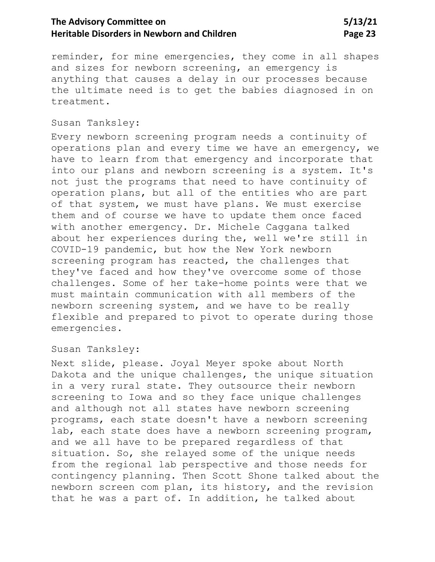# **The Advisory Committee on 5/13/21 Heritable Disorders in Newborn and Children <b>Page 23** Page 23

reminder, for mine emergencies, they come in all shapes and sizes for newborn screening, an emergency is anything that causes a delay in our processes because the ultimate need is to get the babies diagnosed in on treatment.

## Susan Tanksley:

Every newborn screening program needs a continuity of operations plan and every time we have an emergency, we have to learn from that emergency and incorporate that into our plans and newborn screening is a system. It's not just the programs that need to have continuity of operation plans, but all of the entities who are part of that system, we must have plans. We must exercise them and of course we have to update them once faced with another emergency. Dr. Michele Caggana talked about her experiences during the, well we're still in COVID-19 pandemic, but how the New York newborn screening program has reacted, the challenges that they've faced and how they've overcome some of those challenges. Some of her take-home points were that we must maintain communication with all members of the newborn screening system, and we have to be really flexible and prepared to pivot to operate during those emergencies.

#### Susan Tanksley:

Next slide, please. Joyal Meyer spoke about North Dakota and the unique challenges, the unique situation in a very rural state. They outsource their newborn screening to Iowa and so they face unique challenges and although not all states have newborn screening programs, each state doesn't have a newborn screening lab, each state does have a newborn screening program, and we all have to be prepared regardless of that situation. So, she relayed some of the unique needs from the regional lab perspective and those needs for contingency planning. Then Scott Shone talked about the newborn screen com plan, its history, and the revision that he was a part of. In addition, he talked about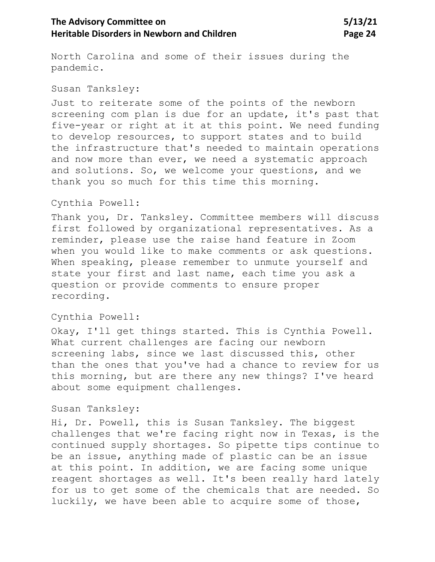# The Advisory Committee on 5/13/21 **Heritable Disorders in Newborn and Children <b>Page 24** Page 24

North Carolina and some of their issues during the pandemic.

#### Susan Tanksley:

Just to reiterate some of the points of the newborn screening com plan is due for an update, it's past that five-year or right at it at this point. We need funding to develop resources, to support states and to build the infrastructure that's needed to maintain operations and now more than ever, we need a systematic approach and solutions. So, we welcome your questions, and we thank you so much for this time this morning.

## Cynthia Powell:

Thank you, Dr. Tanksley. Committee members will discuss first followed by organizational representatives. As a reminder, please use the raise hand feature in Zoom when you would like to make comments or ask questions. When speaking, please remember to unmute yourself and state your first and last name, each time you ask a question or provide comments to ensure proper recording.

## Cynthia Powell:

Okay, I'll get things started. This is Cynthia Powell. What current challenges are facing our newborn screening labs, since we last discussed this, other than the ones that you've had a chance to review for us this morning, but are there any new things? I've heard about some equipment challenges.

#### Susan Tanksley:

Hi, Dr. Powell, this is Susan Tanksley. The biggest challenges that we're facing right now in Texas, is the continued supply shortages. So pipette tips continue to be an issue, anything made of plastic can be an issue at this point. In addition, we are facing some unique reagent shortages as well. It's been really hard lately for us to get some of the chemicals that are needed. So luckily, we have been able to acquire some of those,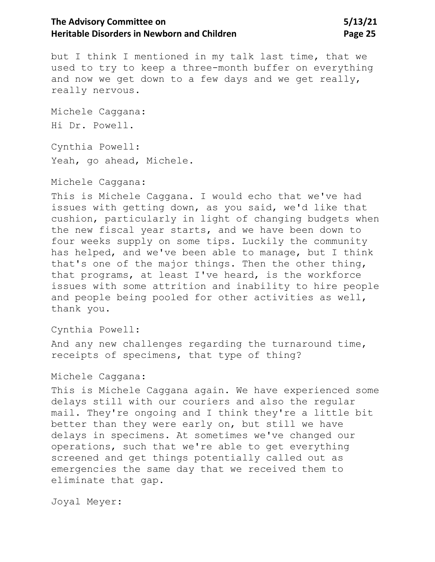# The Advisory Committee on 5/13/21 **Heritable Disorders in Newborn and Children <b>Page 25** Page 25

but I think I mentioned in my talk last time, that we used to try to keep a three-month buffer on everything and now we get down to a few days and we get really, really nervous.

Michele Caggana: Hi Dr. Powell.

Cynthia Powell: Yeah, go ahead, Michele.

Michele Caggana:

This is Michele Caggana. I would echo that we've had issues with getting down, as you said, we'd like that cushion, particularly in light of changing budgets when the new fiscal year starts, and we have been down to four weeks supply on some tips. Luckily the community has helped, and we've been able to manage, but I think that's one of the major things. Then the other thing, that programs, at least I've heard, is the workforce issues with some attrition and inability to hire people and people being pooled for other activities as well, thank you.

Cynthia Powell:

And any new challenges regarding the turnaround time, receipts of specimens, that type of thing?

Michele Caggana:

This is Michele Caggana again. We have experienced some delays still with our couriers and also the regular mail. They're ongoing and I think they're a little bit better than they were early on, but still we have delays in specimens. At sometimes we've changed our operations, such that we're able to get everything screened and get things potentially called out as emergencies the same day that we received them to eliminate that gap.

Joyal Meyer: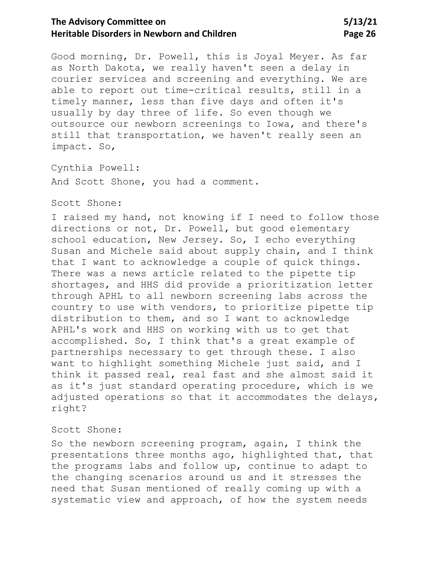# The Advisory Committee on 5/13/21 **Heritable Disorders in Newborn and Children <b>Page 26** Page 26

Good morning, Dr. Powell, this is Joyal Meyer. As far as North Dakota, we really haven't seen a delay in courier services and screening and everything. We are able to report out time-critical results, still in a timely manner, less than five days and often it's usually by day three of life. So even though we outsource our newborn screenings to Iowa, and there's still that transportation, we haven't really seen an impact. So,

Cynthia Powell:

And Scott Shone, you had a comment.

## Scott Shone:

I raised my hand, not knowing if I need to follow those directions or not, Dr. Powell, but good elementary school education, New Jersey. So, I echo everything Susan and Michele said about supply chain, and I think that I want to acknowledge a couple of quick things. There was a news article related to the pipette tip shortages, and HHS did provide a prioritization letter through APHL to all newborn screening labs across the country to use with vendors, to prioritize pipette tip distribution to them, and so I want to acknowledge APHL's work and HHS on working with us to get that accomplished. So, I think that's a great example of partnerships necessary to get through these. I also want to highlight something Michele just said, and I think it passed real, real fast and she almost said it as it's just standard operating procedure, which is we adjusted operations so that it accommodates the delays, right?

#### Scott Shone:

So the newborn screening program, again, I think the presentations three months ago, highlighted that, that the programs labs and follow up, continue to adapt to the changing scenarios around us and it stresses the need that Susan mentioned of really coming up with a systematic view and approach, of how the system needs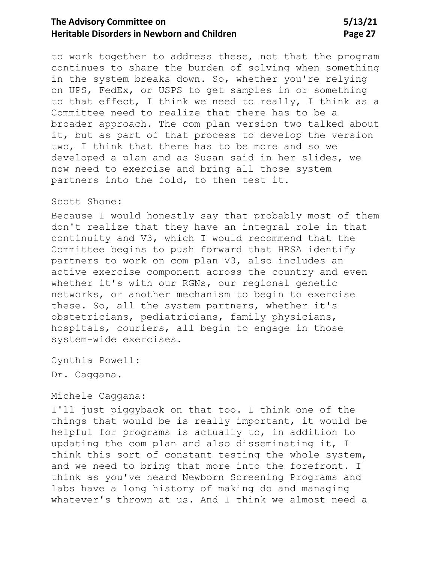# The Advisory Committee on 5/13/21 **Heritable Disorders in Newborn and Children <b>Page 27** Page 27

to work together to address these, not that the program continues to share the burden of solving when something in the system breaks down. So, whether you're relying on UPS, FedEx, or USPS to get samples in or something to that effect, I think we need to really, I think as a Committee need to realize that there has to be a broader approach. The com plan version two talked about it, but as part of that process to develop the version two, I think that there has to be more and so we developed a plan and as Susan said in her slides, we now need to exercise and bring all those system partners into the fold, to then test it.

## Scott Shone:

Because I would honestly say that probably most of them don't realize that they have an integral role in that continuity and V3, which I would recommend that the Committee begins to push forward that HRSA identify partners to work on com plan V3, also includes an active exercise component across the country and even whether it's with our RGNs, our regional genetic networks, or another mechanism to begin to exercise these. So, all the system partners, whether it's obstetricians, pediatricians, family physicians, hospitals, couriers, all begin to engage in those system-wide exercises.

Cynthia Powell: Dr. Caggana.

#### Michele Caggana:

I'll just piggyback on that too. I think one of the things that would be is really important, it would be helpful for programs is actually to, in addition to updating the com plan and also disseminating it, I think this sort of constant testing the whole system, and we need to bring that more into the forefront. I think as you've heard Newborn Screening Programs and labs have a long history of making do and managing whatever's thrown at us. And I think we almost need a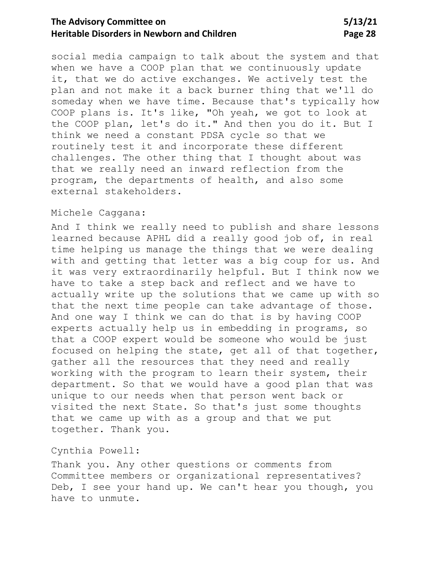# **The Advisory Committee on 5/13/21 Heritable Disorders in Newborn and Children <b>Page 28** Page 28

social media campaign to talk about the system and that when we have a COOP plan that we continuously update it, that we do active exchanges. We actively test the plan and not make it a back burner thing that we'll do someday when we have time. Because that's typically how COOP plans is. It's like, "Oh yeah, we got to look at the COOP plan, let's do it." And then you do it. But I think we need a constant PDSA cycle so that we routinely test it and incorporate these different challenges. The other thing that I thought about was that we really need an inward reflection from the program, the departments of health, and also some external stakeholders.

#### Michele Caggana:

And I think we really need to publish and share lessons learned because APHL did a really good job of, in real time helping us manage the things that we were dealing with and getting that letter was a big coup for us. And it was very extraordinarily helpful. But I think now we have to take a step back and reflect and we have to actually write up the solutions that we came up with so that the next time people can take advantage of those. And one way I think we can do that is by having COOP experts actually help us in embedding in programs, so that a COOP expert would be someone who would be just focused on helping the state, get all of that together, gather all the resources that they need and really working with the program to learn their system, their department. So that we would have a good plan that was unique to our needs when that person went back or visited the next State. So that's just some thoughts that we came up with as a group and that we put together. Thank you.

## Cynthia Powell:

Thank you. Any other questions or comments from Committee members or organizational representatives? Deb, I see your hand up. We can't hear you though, you have to unmute.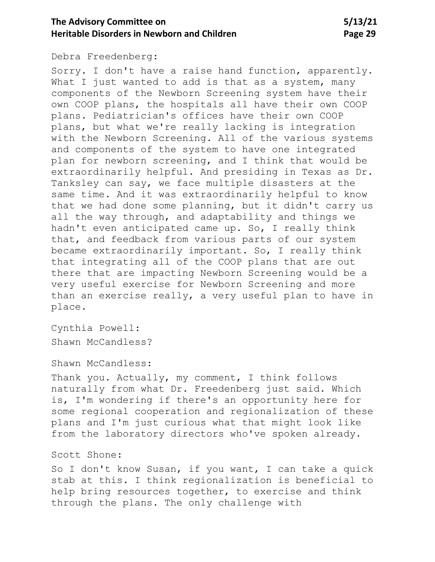## **The Advisory Committee on 5/13/21 Heritable Disorders in Newborn and Children <b>Page 29** Page 29

Debra Freedenberg:

Sorry. I don't have a raise hand function, apparently. What I just wanted to add is that as a system, many components of the Newborn Screening system have their own COOP plans, the hospitals all have their own COOP plans. Pediatrician's offices have their own COOP plans, but what we're really lacking is integration with the Newborn Screening. All of the various systems and components of the system to have one integrated plan for newborn screening, and I think that would be extraordinarily helpful. And presiding in Texas as Dr. Tanksley can say, we face multiple disasters at the same time. And it was extraordinarily helpful to know that we had done some planning, but it didn't carry us all the way through, and adaptability and things we hadn't even anticipated came up. So, I really think that, and feedback from various parts of our system became extraordinarily important. So, I really think that integrating all of the COOP plans that are out there that are impacting Newborn Screening would be a very useful exercise for Newborn Screening and more than an exercise really, a very useful plan to have in place.

Cynthia Powell: Shawn McCandless?

Shawn McCandless:

Thank you. Actually, my comment, I think follows naturally from what Dr. Freedenberg just said. Which is, I'm wondering if there's an opportunity here for some regional cooperation and regionalization of these plans and I'm just curious what that might look like from the laboratory directors who've spoken already.

Scott Shone:

So I don't know Susan, if you want, I can take a quick stab at this. I think regionalization is beneficial to help bring resources together, to exercise and think through the plans. The only challenge with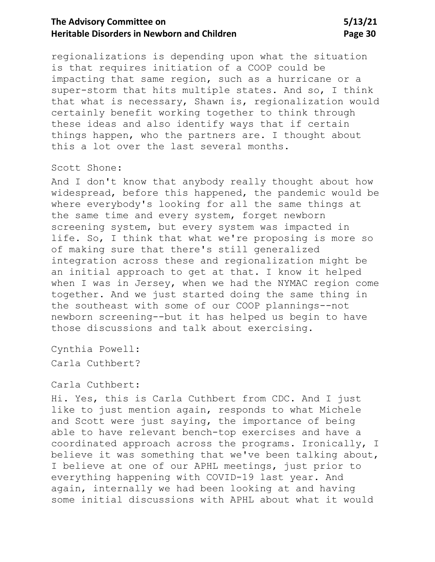# **The Advisory Committee on 5/13/21 Heritable Disorders in Newborn and Children <b>Page 30** Page 30

regionalizations is depending upon what the situation is that requires initiation of a COOP could be impacting that same region, such as a hurricane or a super-storm that hits multiple states. And so, I think that what is necessary, Shawn is, regionalization would certainly benefit working together to think through these ideas and also identify ways that if certain things happen, who the partners are. I thought about this a lot over the last several months.

## Scott Shone:

And I don't know that anybody really thought about how widespread, before this happened, the pandemic would be where everybody's looking for all the same things at the same time and every system, forget newborn screening system, but every system was impacted in life. So, I think that what we're proposing is more so of making sure that there's still generalized integration across these and regionalization might be an initial approach to get at that. I know it helped when I was in Jersey, when we had the NYMAC region come together. And we just started doing the same thing in the southeast with some of our COOP plannings--not newborn screening--but it has helped us begin to have those discussions and talk about exercising.

Cynthia Powell: Carla Cuthbert?

#### Carla Cuthbert:

Hi. Yes, this is Carla Cuthbert from CDC. And I just like to just mention again, responds to what Michele and Scott were just saying, the importance of being able to have relevant bench-top exercises and have a coordinated approach across the programs. Ironically, I believe it was something that we've been talking about, I believe at one of our APHL meetings, just prior to everything happening with COVID-19 last year. And again, internally we had been looking at and having some initial discussions with APHL about what it would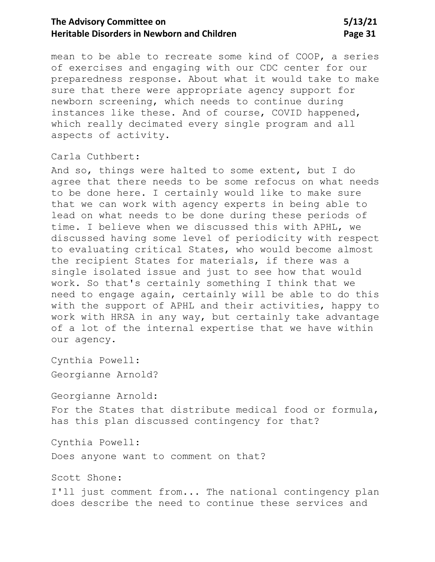## **The Advisory Committee on 5/13/21 Heritable Disorders in Newborn and Children Page 31**

mean to be able to recreate some kind of COOP, a series of exercises and engaging with our CDC center for our preparedness response. About what it would take to make sure that there were appropriate agency support for newborn screening, which needs to continue during instances like these. And of course, COVID happened, which really decimated every single program and all aspects of activity.

Carla Cuthbert:

And so, things were halted to some extent, but I do agree that there needs to be some refocus on what needs to be done here. I certainly would like to make sure that we can work with agency experts in being able to lead on what needs to be done during these periods of time. I believe when we discussed this with APHL, we discussed having some level of periodicity with respect to evaluating critical States, who would become almost the recipient States for materials, if there was a single isolated issue and just to see how that would work. So that's certainly something I think that we need to engage again, certainly will be able to do this with the support of APHL and their activities, happy to work with HRSA in any way, but certainly take advantage of a lot of the internal expertise that we have within our agency.

Cynthia Powell: Georgianne Arnold?

Georgianne Arnold:

For the States that distribute medical food or formula, has this plan discussed contingency for that?

Cynthia Powell:

Does anyone want to comment on that?

Scott Shone:

I'll just comment from... The national contingency plan does describe the need to continue these services and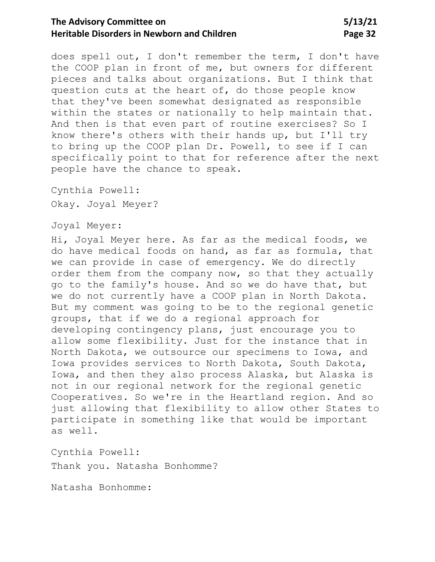## **The Advisory Committee on 5/13/21 Heritable Disorders in Newborn and Children <b>Page 32** Page 32

does spell out, I don't remember the term, I don't have the COOP plan in front of me, but owners for different pieces and talks about organizations. But I think that question cuts at the heart of, do those people know that they've been somewhat designated as responsible within the states or nationally to help maintain that. And then is that even part of routine exercises? So I know there's others with their hands up, but I'll try to bring up the COOP plan Dr. Powell, to see if I can specifically point to that for reference after the next people have the chance to speak.

Cynthia Powell: Okay. Joyal Meyer?

#### Joyal Meyer:

Hi, Joyal Meyer here. As far as the medical foods, we do have medical foods on hand, as far as formula, that we can provide in case of emergency. We do directly order them from the company now, so that they actually go to the family's house. And so we do have that, but we do not currently have a COOP plan in North Dakota. But my comment was going to be to the regional genetic groups, that if we do a regional approach for developing contingency plans, just encourage you to allow some flexibility. Just for the instance that in North Dakota, we outsource our specimens to Iowa, and Iowa provides services to North Dakota, South Dakota, Iowa, and then they also process Alaska, but Alaska is not in our regional network for the regional genetic Cooperatives. So we're in the Heartland region. And so just allowing that flexibility to allow other States to participate in something like that would be important as well.

Cynthia Powell: Thank you. Natasha Bonhomme?

Natasha Bonhomme: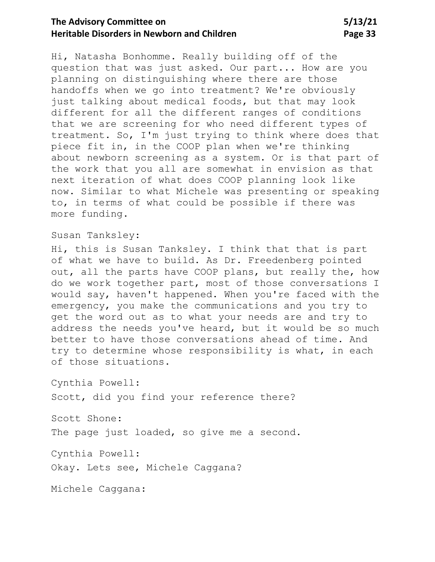## **The Advisory Committee on 5/13/21 Heritable Disorders in Newborn and Children** Page 33

Hi, Natasha Bonhomme. Really building off of the question that was just asked. Our part... How are you planning on distinguishing where there are those handoffs when we go into treatment? We're obviously just talking about medical foods, but that may look different for all the different ranges of conditions that we are screening for who need different types of treatment. So, I'm just trying to think where does that piece fit in, in the COOP plan when we're thinking about newborn screening as a system. Or is that part of the work that you all are somewhat in envision as that next iteration of what does COOP planning look like now. Similar to what Michele was presenting or speaking to, in terms of what could be possible if there was more funding.

Susan Tanksley:

Hi, this is Susan Tanksley. I think that that is part of what we have to build. As Dr. Freedenberg pointed out, all the parts have COOP plans, but really the, how do we work together part, most of those conversations I would say, haven't happened. When you're faced with the emergency, you make the communications and you try to get the word out as to what your needs are and try to address the needs you've heard, but it would be so much better to have those conversations ahead of time. And try to determine whose responsibility is what, in each of those situations.

Cynthia Powell:

Scott, did you find your reference there?

Scott Shone:

The page just loaded, so give me a second.

Cynthia Powell:

Okay. Lets see, Michele Caggana?

Michele Caggana: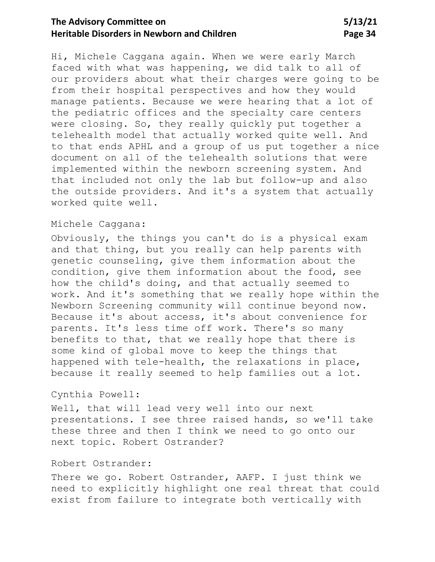# **The Advisory Committee on 5/13/21 Heritable Disorders in Newborn and Children <b>Page 34** Page 34

Hi, Michele Caggana again. When we were early March faced with what was happening, we did talk to all of our providers about what their charges were going to be from their hospital perspectives and how they would manage patients. Because we were hearing that a lot of the pediatric offices and the specialty care centers were closing. So, they really quickly put together a telehealth model that actually worked quite well. And to that ends APHL and a group of us put together a nice document on all of the telehealth solutions that were implemented within the newborn screening system. And that included not only the lab but follow-up and also the outside providers. And it's a system that actually worked quite well.

## Michele Caggana:

Obviously, the things you can't do is a physical exam and that thing, but you really can help parents with genetic counseling, give them information about the condition, give them information about the food, see how the child's doing, and that actually seemed to work. And it's something that we really hope within the Newborn Screening community will continue beyond now. Because it's about access, it's about convenience for parents. It's less time off work. There's so many benefits to that, that we really hope that there is some kind of global move to keep the things that happened with tele-health, the relaxations in place, because it really seemed to help families out a lot.

## Cynthia Powell:

Well, that will lead very well into our next presentations. I see three raised hands, so we'll take these three and then I think we need to go onto our next topic. Robert Ostrander?

#### Robert Ostrander:

There we go. Robert Ostrander, AAFP. I just think we need to explicitly highlight one real threat that could exist from failure to integrate both vertically with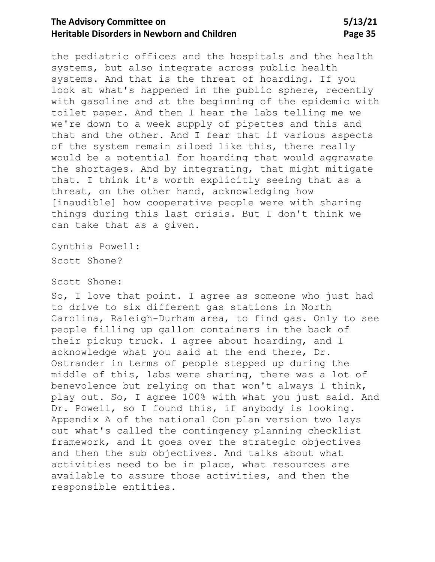## **The Advisory Committee on 5/13/21 Heritable Disorders in Newborn and Children <b>Page 35** Page 35

the pediatric offices and the hospitals and the health systems, but also integrate across public health systems. And that is the threat of hoarding. If you look at what's happened in the public sphere, recently with gasoline and at the beginning of the epidemic with toilet paper. And then I hear the labs telling me we we're down to a week supply of pipettes and this and that and the other. And I fear that if various aspects of the system remain siloed like this, there really would be a potential for hoarding that would aggravate the shortages. And by integrating, that might mitigate that. I think it's worth explicitly seeing that as a threat, on the other hand, acknowledging how [inaudible] how cooperative people were with sharing things during this last crisis. But I don't think we can take that as a given.

Cynthia Powell: Scott Shone?

#### Scott Shone:

So, I love that point. I agree as someone who just had to drive to six different gas stations in North Carolina, Raleigh-Durham area, to find gas. Only to see people filling up gallon containers in the back of their pickup truck. I agree about hoarding, and I acknowledge what you said at the end there, Dr. Ostrander in terms of people stepped up during the middle of this, labs were sharing, there was a lot of benevolence but relying on that won't always I think, play out. So, I agree 100% with what you just said. And Dr. Powell, so I found this, if anybody is looking. Appendix A of the national Con plan version two lays out what's called the contingency planning checklist framework, and it goes over the strategic objectives and then the sub objectives. And talks about what activities need to be in place, what resources are available to assure those activities, and then the responsible entities.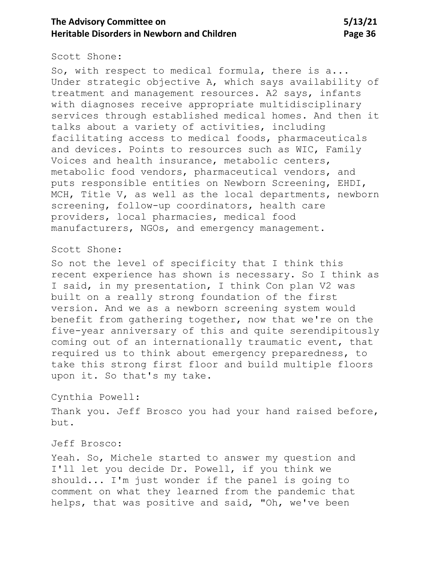## **The Advisory Committee on 5/13/21 Heritable Disorders in Newborn and Children** Page 36

#### Scott Shone:

So, with respect to medical formula, there is a... Under strategic objective A, which says availability of treatment and management resources. A2 says, infants with diagnoses receive appropriate multidisciplinary services through established medical homes. And then it talks about a variety of activities, including facilitating access to medical foods, pharmaceuticals and devices. Points to resources such as WIC, Family Voices and health insurance, metabolic centers, metabolic food vendors, pharmaceutical vendors, and puts responsible entities on Newborn Screening, EHDI, MCH, Title V, as well as the local departments, newborn screening, follow-up coordinators, health care providers, local pharmacies, medical food manufacturers, NGOs, and emergency management.

#### Scott Shone:

So not the level of specificity that I think this recent experience has shown is necessary. So I think as I said, in my presentation, I think Con plan V2 was built on a really strong foundation of the first version. And we as a newborn screening system would benefit from gathering together, now that we're on the five-year anniversary of this and quite serendipitously coming out of an internationally traumatic event, that required us to think about emergency preparedness, to take this strong first floor and build multiple floors upon it. So that's my take.

#### Cynthia Powell:

Thank you. Jeff Brosco you had your hand raised before, but.

#### Jeff Brosco:

Yeah. So, Michele started to answer my question and I'll let you decide Dr. Powell, if you think we should... I'm just wonder if the panel is going to comment on what they learned from the pandemic that helps, that was positive and said, "Oh, we've been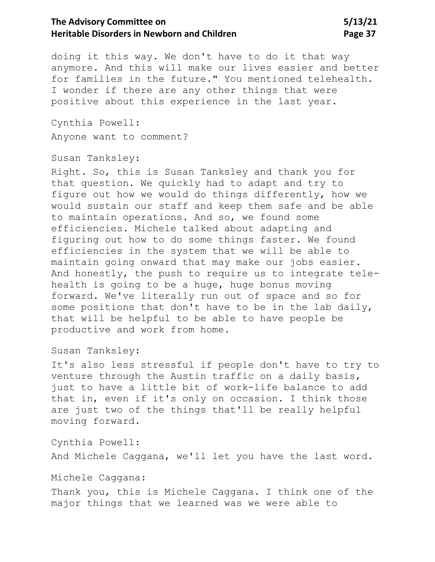doing it this way. We don't have to do it that way anymore. And this will make our lives easier and better for families in the future." You mentioned telehealth. I wonder if there are any other things that were positive about this experience in the last year.

Cynthia Powell: Anyone want to comment?

Susan Tanksley:

Right. So, this is Susan Tanksley and thank you for that question. We quickly had to adapt and try to figure out how we would do things differently, how we would sustain our staff and keep them safe and be able to maintain operations. And so, we found some efficiencies. Michele talked about adapting and figuring out how to do some things faster. We found efficiencies in the system that we will be able to maintain going onward that may make our jobs easier. And honestly, the push to require us to integrate telehealth is going to be a huge, huge bonus moving forward. We've literally run out of space and so for some positions that don't have to be in the lab daily, that will be helpful to be able to have people be productive and work from home.

Susan Tanksley:

It's also less stressful if people don't have to try to venture through the Austin traffic on a daily basis, just to have a little bit of work-life balance to add that in, even if it's only on occasion. I think those are just two of the things that'll be really helpful moving forward.

Cynthia Powell:

And Michele Caggana, we'll let you have the last word.

Michele Caggana:

Thank you, this is Michele Caggana. I think one of the major things that we learned was we were able to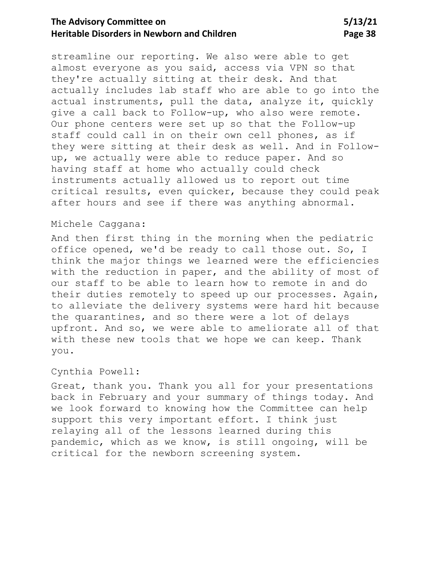streamline our reporting. We also were able to get almost everyone as you said, access via VPN so that they're actually sitting at their desk. And that actually includes lab staff who are able to go into the actual instruments, pull the data, analyze it, quickly give a call back to Follow-up, who also were remote. Our phone centers were set up so that the Follow-up staff could call in on their own cell phones, as if they were sitting at their desk as well. And in Followup, we actually were able to reduce paper. And so having staff at home who actually could check instruments actually allowed us to report out time critical results, even quicker, because they could peak after hours and see if there was anything abnormal.

### Michele Caggana:

And then first thing in the morning when the pediatric office opened, we'd be ready to call those out. So, I think the major things we learned were the efficiencies with the reduction in paper, and the ability of most of our staff to be able to learn how to remote in and do their duties remotely to speed up our processes. Again, to alleviate the delivery systems were hard hit because the quarantines, and so there were a lot of delays upfront. And so, we were able to ameliorate all of that with these new tools that we hope we can keep. Thank you.

### Cynthia Powell:

Great, thank you. Thank you all for your presentations back in February and your summary of things today. And we look forward to knowing how the Committee can help support this very important effort. I think just relaying all of the lessons learned during this pandemic, which as we know, is still ongoing, will be critical for the newborn screening system.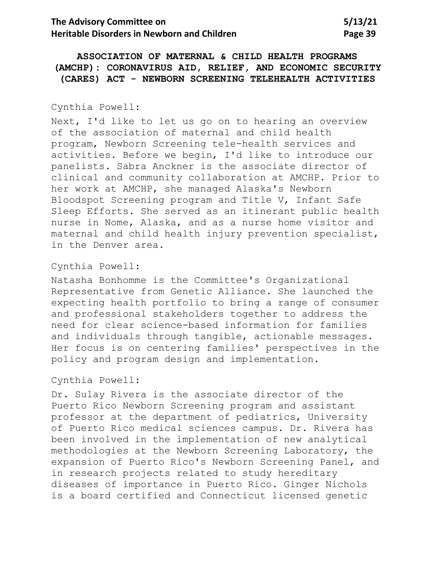**ASSOCIATION OF MATERNAL & CHILD HEALTH PROGRAMS (AMCHP): CORONAVIRUS AID, RELIEF, AND ECONOMIC SECURITY (CARES) ACT - NEWBORN SCREENING TELEHEALTH ACTIVITIES**

### Cynthia Powell:

Next, I'd like to let us go on to hearing an overview of the association of maternal and child health program, Newborn Screening tele-health services and activities. Before we begin, I'd like to introduce our panelists. Sabra Anckner is the associate director of clinical and community collaboration at AMCHP. Prior to her work at AMCHP, she managed Alaska's Newborn Bloodspot Screening program and Title V, Infant Safe Sleep Efforts. She served as an itinerant public health nurse in Nome, Alaska, and as a nurse home visitor and maternal and child health injury prevention specialist, in the Denver area.

### Cynthia Powell:

Natasha Bonhomme is the Committee's Organizational Representative from Genetic Alliance. She launched the expecting health portfolio to bring a range of consumer and professional stakeholders together to address the need for clear science-based information for families and individuals through tangible, actionable messages. Her focus is on centering families' perspectives in the policy and program design and implementation.

## Cynthia Powell:

Dr. Sulay Rivera is the associate director of the Puerto Rico Newborn Screening program and assistant professor at the department of pediatrics, University of Puerto Rico medical sciences campus. Dr. Rivera has been involved in the implementation of new analytical methodologies at the Newborn Screening Laboratory, the expansion of Puerto Rico's Newborn Screening Panel, and in research projects related to study hereditary diseases of importance in Puerto Rico. Ginger Nichols is a board certified and Connecticut licensed genetic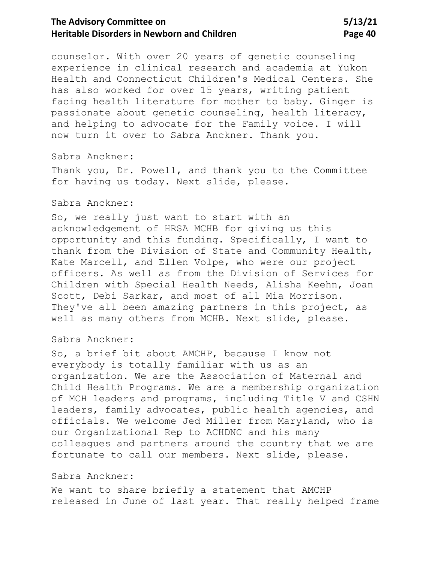counselor. With over 20 years of genetic counseling experience in clinical research and academia at Yukon Health and Connecticut Children's Medical Centers. She has also worked for over 15 years, writing patient facing health literature for mother to baby. Ginger is passionate about genetic counseling, health literacy, and helping to advocate for the Family voice. I will now turn it over to Sabra Anckner. Thank you.

### Sabra Anckner:

Thank you, Dr. Powell, and thank you to the Committee for having us today. Next slide, please.

### Sabra Anckner:

So, we really just want to start with an acknowledgement of HRSA MCHB for giving us this opportunity and this funding. Specifically, I want to thank from the Division of State and Community Health, Kate Marcell, and Ellen Volpe, who were our project officers. As well as from the Division of Services for Children with Special Health Needs, Alisha Keehn, Joan Scott, Debi Sarkar, and most of all Mia Morrison. They've all been amazing partners in this project, as well as many others from MCHB. Next slide, please.

### Sabra Anckner:

So, a brief bit about AMCHP, because I know not everybody is totally familiar with us as an organization. We are the Association of Maternal and Child Health Programs. We are a membership organization of MCH leaders and programs, including Title V and CSHN leaders, family advocates, public health agencies, and officials. We welcome Jed Miller from Maryland, who is our Organizational Rep to ACHDNC and his many colleagues and partners around the country that we are fortunate to call our members. Next slide, please.

### Sabra Anckner:

We want to share briefly a statement that AMCHP released in June of last year. That really helped frame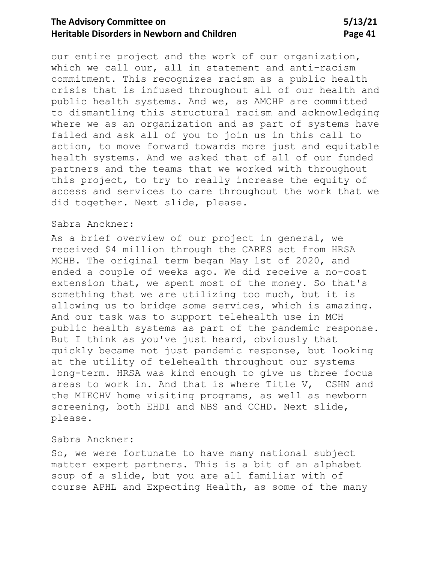our entire project and the work of our organization, which we call our, all in statement and anti-racism commitment. This recognizes racism as a public health crisis that is infused throughout all of our health and public health systems. And we, as AMCHP are committed to dismantling this structural racism and acknowledging where we as an organization and as part of systems have failed and ask all of you to join us in this call to action, to move forward towards more just and equitable health systems. And we asked that of all of our funded partners and the teams that we worked with throughout this project, to try to really increase the equity of access and services to care throughout the work that we did together. Next slide, please.

## Sabra Anckner:

As a brief overview of our project in general, we received \$4 million through the CARES act from HRSA MCHB. The original term began May 1st of 2020, and ended a couple of weeks ago. We did receive a no-cost extension that, we spent most of the money. So that's something that we are utilizing too much, but it is allowing us to bridge some services, which is amazing. And our task was to support telehealth use in MCH public health systems as part of the pandemic response. But I think as you've just heard, obviously that quickly became not just pandemic response, but looking at the utility of telehealth throughout our systems long-term. HRSA was kind enough to give us three focus areas to work in. And that is where Title V, CSHN and the MIECHV home visiting programs, as well as newborn screening, both EHDI and NBS and CCHD. Next slide, please.

### Sabra Anckner:

So, we were fortunate to have many national subject matter expert partners. This is a bit of an alphabet soup of a slide, but you are all familiar with of course APHL and Expecting Health, as some of the many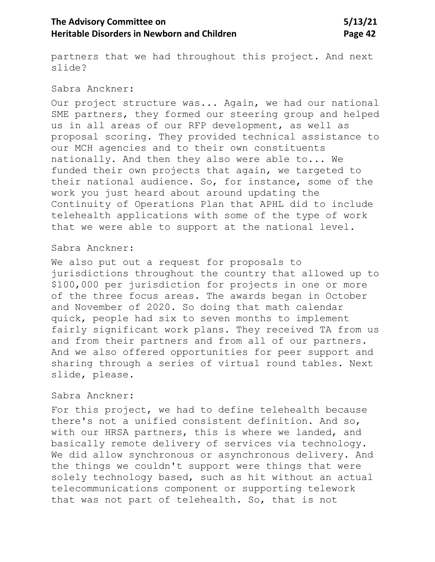partners that we had throughout this project. And next slide?

#### Sabra Anckner:

Our project structure was... Again, we had our national SME partners, they formed our steering group and helped us in all areas of our RFP development, as well as proposal scoring. They provided technical assistance to our MCH agencies and to their own constituents nationally. And then they also were able to... We funded their own projects that again, we targeted to their national audience. So, for instance, some of the work you just heard about around updating the Continuity of Operations Plan that APHL did to include telehealth applications with some of the type of work that we were able to support at the national level.

### Sabra Anckner:

We also put out a request for proposals to jurisdictions throughout the country that allowed up to \$100,000 per jurisdiction for projects in one or more of the three focus areas. The awards began in October and November of 2020. So doing that math calendar quick, people had six to seven months to implement fairly significant work plans. They received TA from us and from their partners and from all of our partners. And we also offered opportunities for peer support and sharing through a series of virtual round tables. Next slide, please.

## Sabra Anckner:

For this project, we had to define telehealth because there's not a unified consistent definition. And so, with our HRSA partners, this is where we landed, and basically remote delivery of services via technology. We did allow synchronous or asynchronous delivery. And the things we couldn't support were things that were solely technology based, such as hit without an actual telecommunications component or supporting telework that was not part of telehealth. So, that is not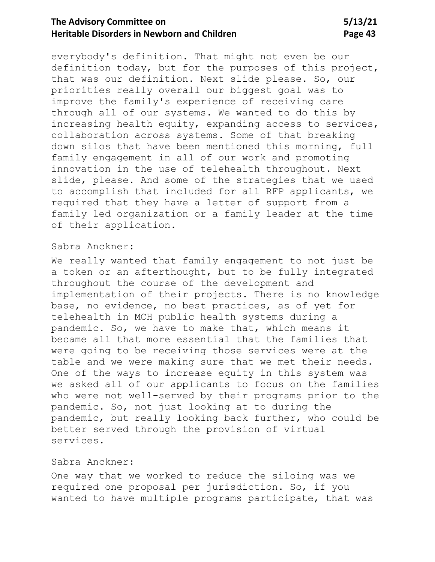everybody's definition. That might not even be our definition today, but for the purposes of this project, that was our definition. Next slide please. So, our priorities really overall our biggest goal was to improve the family's experience of receiving care through all of our systems. We wanted to do this by increasing health equity, expanding access to services, collaboration across systems. Some of that breaking down silos that have been mentioned this morning, full family engagement in all of our work and promoting innovation in the use of telehealth throughout. Next slide, please. And some of the strategies that we used to accomplish that included for all RFP applicants, we required that they have a letter of support from a family led organization or a family leader at the time of their application.

#### Sabra Anckner:

We really wanted that family engagement to not just be a token or an afterthought, but to be fully integrated throughout the course of the development and implementation of their projects. There is no knowledge base, no evidence, no best practices, as of yet for telehealth in MCH public health systems during a pandemic. So, we have to make that, which means it became all that more essential that the families that were going to be receiving those services were at the table and we were making sure that we met their needs. One of the ways to increase equity in this system was we asked all of our applicants to focus on the families who were not well-served by their programs prior to the pandemic. So, not just looking at to during the pandemic, but really looking back further, who could be better served through the provision of virtual services.

## Sabra Anckner:

One way that we worked to reduce the siloing was we required one proposal per jurisdiction. So, if you wanted to have multiple programs participate, that was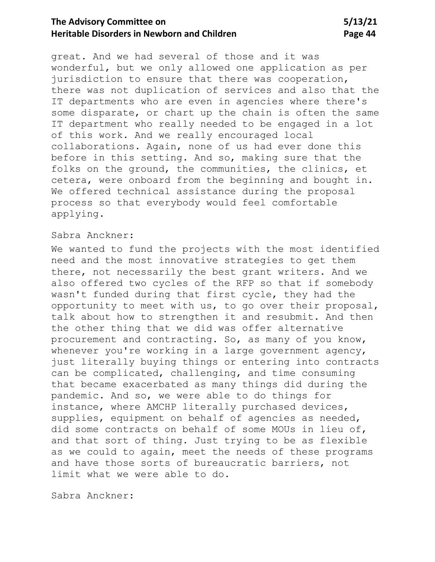great. And we had several of those and it was wonderful, but we only allowed one application as per jurisdiction to ensure that there was cooperation, there was not duplication of services and also that the IT departments who are even in agencies where there's some disparate, or chart up the chain is often the same IT department who really needed to be engaged in a lot of this work. And we really encouraged local collaborations. Again, none of us had ever done this before in this setting. And so, making sure that the folks on the ground, the communities, the clinics, et cetera, were onboard from the beginning and bought in. We offered technical assistance during the proposal process so that everybody would feel comfortable applying.

### Sabra Anckner:

We wanted to fund the projects with the most identified need and the most innovative strategies to get them there, not necessarily the best grant writers. And we also offered two cycles of the RFP so that if somebody wasn't funded during that first cycle, they had the opportunity to meet with us, to go over their proposal, talk about how to strengthen it and resubmit. And then the other thing that we did was offer alternative procurement and contracting. So, as many of you know, whenever you're working in a large government agency, just literally buying things or entering into contracts can be complicated, challenging, and time consuming that became exacerbated as many things did during the pandemic. And so, we were able to do things for instance, where AMCHP literally purchased devices, supplies, equipment on behalf of agencies as needed, did some contracts on behalf of some MOUs in lieu of, and that sort of thing. Just trying to be as flexible as we could to again, meet the needs of these programs and have those sorts of bureaucratic barriers, not limit what we were able to do.

Sabra Anckner: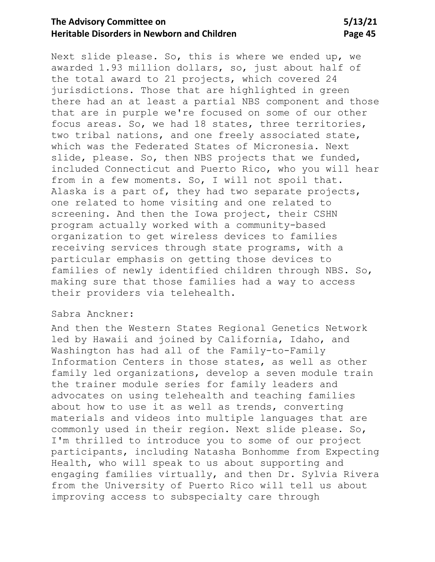Next slide please. So, this is where we ended up, we awarded 1.93 million dollars, so, just about half of the total award to 21 projects, which covered 24 jurisdictions. Those that are highlighted in green there had an at least a partial NBS component and those that are in purple we're focused on some of our other focus areas. So, we had 18 states, three territories, two tribal nations, and one freely associated state, which was the Federated States of Micronesia. Next slide, please. So, then NBS projects that we funded, included Connecticut and Puerto Rico, who you will hear from in a few moments. So, I will not spoil that. Alaska is a part of, they had two separate projects, one related to home visiting and one related to screening. And then the Iowa project, their CSHN program actually worked with a community-based organization to get wireless devices to families receiving services through state programs, with a particular emphasis on getting those devices to families of newly identified children through NBS. So, making sure that those families had a way to access their providers via telehealth.

## Sabra Anckner:

And then the Western States Regional Genetics Network led by Hawaii and joined by California, Idaho, and Washington has had all of the Family-to-Family Information Centers in those states, as well as other family led organizations, develop a seven module train the trainer module series for family leaders and advocates on using telehealth and teaching families about how to use it as well as trends, converting materials and videos into multiple languages that are commonly used in their region. Next slide please. So, I'm thrilled to introduce you to some of our project participants, including Natasha Bonhomme from Expecting Health, who will speak to us about supporting and engaging families virtually, and then Dr. Sylvia Rivera from the University of Puerto Rico will tell us about improving access to subspecialty care through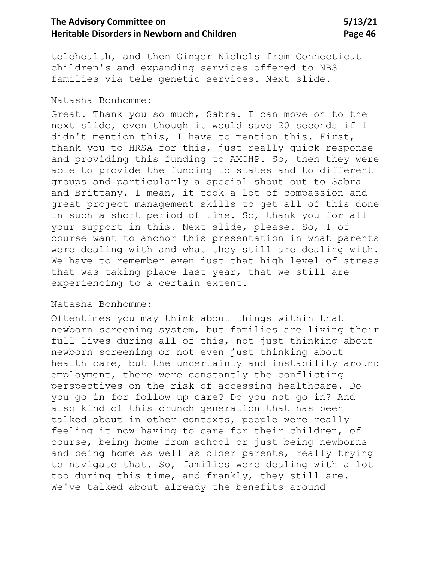telehealth, and then Ginger Nichols from Connecticut children's and expanding services offered to NBS families via tele genetic services. Next slide.

#### Natasha Bonhomme:

Great. Thank you so much, Sabra. I can move on to the next slide, even though it would save 20 seconds if I didn't mention this, I have to mention this. First, thank you to HRSA for this, just really quick response and providing this funding to AMCHP. So, then they were able to provide the funding to states and to different groups and particularly a special shout out to Sabra and Brittany. I mean, it took a lot of compassion and great project management skills to get all of this done in such a short period of time. So, thank you for all your support in this. Next slide, please. So, I of course want to anchor this presentation in what parents were dealing with and what they still are dealing with. We have to remember even just that high level of stress that was taking place last year, that we still are experiencing to a certain extent.

### Natasha Bonhomme:

Oftentimes you may think about things within that newborn screening system, but families are living their full lives during all of this, not just thinking about newborn screening or not even just thinking about health care, but the uncertainty and instability around employment, there were constantly the conflicting perspectives on the risk of accessing healthcare. Do you go in for follow up care? Do you not go in? And also kind of this crunch generation that has been talked about in other contexts, people were really feeling it now having to care for their children, of course, being home from school or just being newborns and being home as well as older parents, really trying to navigate that. So, families were dealing with a lot too during this time, and frankly, they still are. We've talked about already the benefits around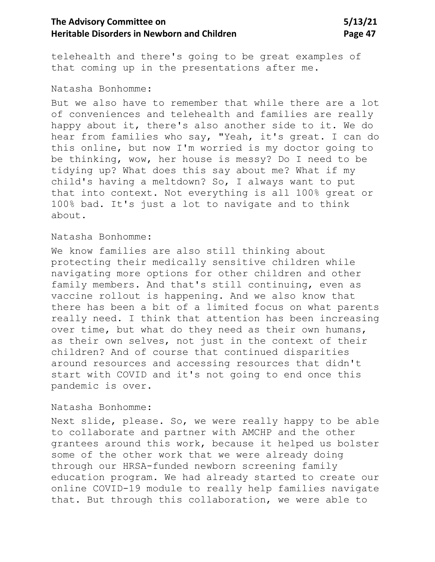telehealth and there's going to be great examples of that coming up in the presentations after me.

#### Natasha Bonhomme:

But we also have to remember that while there are a lot of conveniences and telehealth and families are really happy about it, there's also another side to it. We do hear from families who say, "Yeah, it's great. I can do this online, but now I'm worried is my doctor going to be thinking, wow, her house is messy? Do I need to be tidying up? What does this say about me? What if my child's having a meltdown? So, I always want to put that into context. Not everything is all 100% great or 100% bad. It's just a lot to navigate and to think about.

#### Natasha Bonhomme:

We know families are also still thinking about protecting their medically sensitive children while navigating more options for other children and other family members. And that's still continuing, even as vaccine rollout is happening. And we also know that there has been a bit of a limited focus on what parents really need. I think that attention has been increasing over time, but what do they need as their own humans, as their own selves, not just in the context of their children? And of course that continued disparities around resources and accessing resources that didn't start with COVID and it's not going to end once this pandemic is over.

### Natasha Bonhomme:

Next slide, please. So, we were really happy to be able to collaborate and partner with AMCHP and the other grantees around this work, because it helped us bolster some of the other work that we were already doing through our HRSA-funded newborn screening family education program. We had already started to create our online COVID-19 module to really help families navigate that. But through this collaboration, we were able to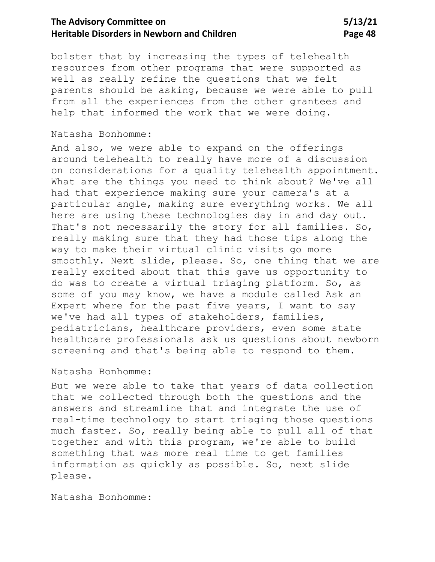bolster that by increasing the types of telehealth resources from other programs that were supported as well as really refine the questions that we felt parents should be asking, because we were able to pull from all the experiences from the other grantees and help that informed the work that we were doing.

## Natasha Bonhomme:

And also, we were able to expand on the offerings around telehealth to really have more of a discussion on considerations for a quality telehealth appointment. What are the things you need to think about? We've all had that experience making sure your camera's at a particular angle, making sure everything works. We all here are using these technologies day in and day out. That's not necessarily the story for all families. So, really making sure that they had those tips along the way to make their virtual clinic visits go more smoothly. Next slide, please. So, one thing that we are really excited about that this gave us opportunity to do was to create a virtual triaging platform. So, as some of you may know, we have a module called Ask an Expert where for the past five years, I want to say we've had all types of stakeholders, families, pediatricians, healthcare providers, even some state healthcare professionals ask us questions about newborn screening and that's being able to respond to them.

### Natasha Bonhomme:

But we were able to take that years of data collection that we collected through both the questions and the answers and streamline that and integrate the use of real-time technology to start triaging those questions much faster. So, really being able to pull all of that together and with this program, we're able to build something that was more real time to get families information as quickly as possible. So, next slide please.

Natasha Bonhomme: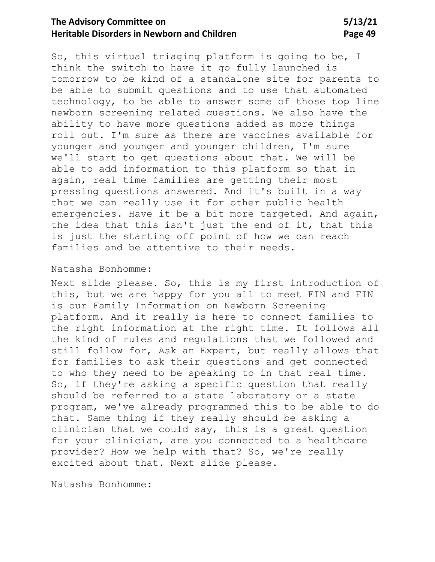So, this virtual triaging platform is going to be, I think the switch to have it go fully launched is tomorrow to be kind of a standalone site for parents to be able to submit questions and to use that automated technology, to be able to answer some of those top line newborn screening related questions. We also have the ability to have more questions added as more things roll out. I'm sure as there are vaccines available for younger and younger and younger children, I'm sure we'll start to get questions about that. We will be able to add information to this platform so that in again, real time families are getting their most pressing questions answered. And it's built in a way that we can really use it for other public health emergencies. Have it be a bit more targeted. And again, the idea that this isn't just the end of it, that this is just the starting off point of how we can reach families and be attentive to their needs.

#### Natasha Bonhomme:

Next slide please. So, this is my first introduction of this, but we are happy for you all to meet FIN and FIN is our Family Information on Newborn Screening platform. And it really is here to connect families to the right information at the right time. It follows all the kind of rules and regulations that we followed and still follow for, Ask an Expert, but really allows that for families to ask their questions and get connected to who they need to be speaking to in that real time. So, if they're asking a specific question that really should be referred to a state laboratory or a state program, we've already programmed this to be able to do that. Same thing if they really should be asking a clinician that we could say, this is a great question for your clinician, are you connected to a healthcare provider? How we help with that? So, we're really excited about that. Next slide please.

Natasha Bonhomme: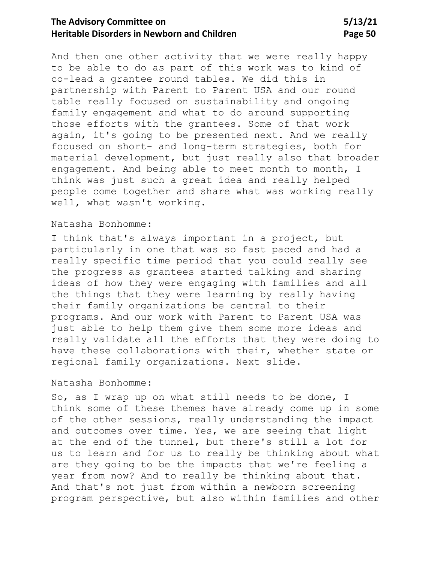And then one other activity that we were really happy to be able to do as part of this work was to kind of co-lead a grantee round tables. We did this in partnership with Parent to Parent USA and our round table really focused on sustainability and ongoing family engagement and what to do around supporting those efforts with the grantees. Some of that work again, it's going to be presented next. And we really focused on short- and long-term strategies, both for material development, but just really also that broader engagement. And being able to meet month to month, I think was just such a great idea and really helped people come together and share what was working really well, what wasn't working.

### Natasha Bonhomme:

I think that's always important in a project, but particularly in one that was so fast paced and had a really specific time period that you could really see the progress as grantees started talking and sharing ideas of how they were engaging with families and all the things that they were learning by really having their family organizations be central to their programs. And our work with Parent to Parent USA was just able to help them give them some more ideas and really validate all the efforts that they were doing to have these collaborations with their, whether state or regional family organizations. Next slide.

### Natasha Bonhomme:

So, as I wrap up on what still needs to be done, I think some of these themes have already come up in some of the other sessions, really understanding the impact and outcomes over time. Yes, we are seeing that light at the end of the tunnel, but there's still a lot for us to learn and for us to really be thinking about what are they going to be the impacts that we're feeling a year from now? And to really be thinking about that. And that's not just from within a newborn screening program perspective, but also within families and other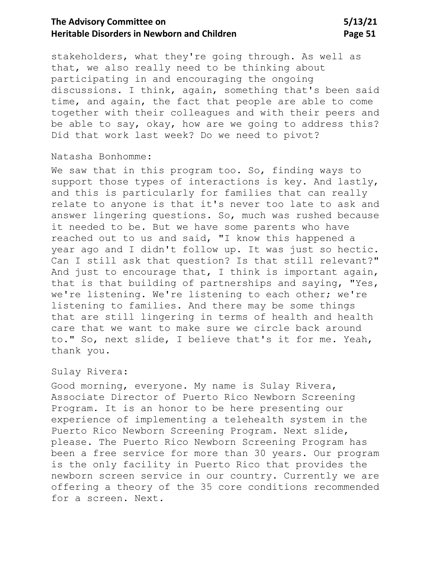stakeholders, what they're going through. As well as that, we also really need to be thinking about participating in and encouraging the ongoing discussions. I think, again, something that's been said time, and again, the fact that people are able to come together with their colleagues and with their peers and be able to say, okay, how are we going to address this? Did that work last week? Do we need to pivot?

### Natasha Bonhomme:

We saw that in this program too. So, finding ways to support those types of interactions is key. And lastly, and this is particularly for families that can really relate to anyone is that it's never too late to ask and answer lingering questions. So, much was rushed because it needed to be. But we have some parents who have reached out to us and said, "I know this happened a year ago and I didn't follow up. It was just so hectic. Can I still ask that question? Is that still relevant?" And just to encourage that, I think is important again, that is that building of partnerships and saying, "Yes, we're listening. We're listening to each other; we're listening to families. And there may be some things that are still lingering in terms of health and health care that we want to make sure we circle back around to." So, next slide, I believe that's it for me. Yeah, thank you.

## Sulay Rivera:

Good morning, everyone. My name is Sulay Rivera, Associate Director of Puerto Rico Newborn Screening Program. It is an honor to be here presenting our experience of implementing a telehealth system in the Puerto Rico Newborn Screening Program. Next slide, please. The Puerto Rico Newborn Screening Program has been a free service for more than 30 years. Our program is the only facility in Puerto Rico that provides the newborn screen service in our country. Currently we are offering a theory of the 35 core conditions recommended for a screen. Next.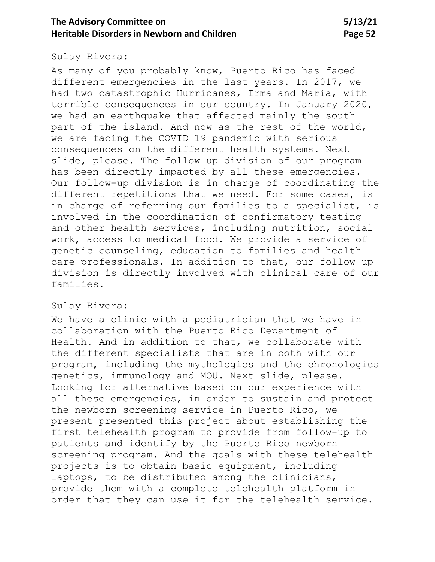### Sulay Rivera:

As many of you probably know, Puerto Rico has faced different emergencies in the last years. In 2017, we had two catastrophic Hurricanes, Irma and Maria, with terrible consequences in our country. In January 2020, we had an earthquake that affected mainly the south part of the island. And now as the rest of the world, we are facing the COVID 19 pandemic with serious consequences on the different health systems. Next slide, please. The follow up division of our program has been directly impacted by all these emergencies. Our follow-up division is in charge of coordinating the different repetitions that we need. For some cases, is in charge of referring our families to a specialist, is involved in the coordination of confirmatory testing and other health services, including nutrition, social work, access to medical food. We provide a service of genetic counseling, education to families and health care professionals. In addition to that, our follow up division is directly involved with clinical care of our families.

# Sulay Rivera:

We have a clinic with a pediatrician that we have in collaboration with the Puerto Rico Department of Health. And in addition to that, we collaborate with the different specialists that are in both with our program, including the mythologies and the chronologies genetics, immunology and MOU. Next slide, please. Looking for alternative based on our experience with all these emergencies, in order to sustain and protect the newborn screening service in Puerto Rico, we present presented this project about establishing the first telehealth program to provide from follow-up to patients and identify by the Puerto Rico newborn screening program. And the goals with these telehealth projects is to obtain basic equipment, including laptops, to be distributed among the clinicians, provide them with a complete telehealth platform in order that they can use it for the telehealth service.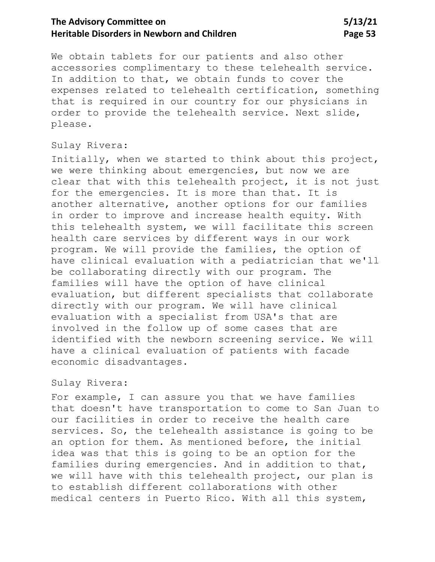We obtain tablets for our patients and also other accessories complimentary to these telehealth service. In addition to that, we obtain funds to cover the expenses related to telehealth certification, something that is required in our country for our physicians in order to provide the telehealth service. Next slide, please.

### Sulay Rivera:

Initially, when we started to think about this project, we were thinking about emergencies, but now we are clear that with this telehealth project, it is not just for the emergencies. It is more than that. It is another alternative, another options for our families in order to improve and increase health equity. With this telehealth system, we will facilitate this screen health care services by different ways in our work program. We will provide the families, the option of have clinical evaluation with a pediatrician that we'll be collaborating directly with our program. The families will have the option of have clinical evaluation, but different specialists that collaborate directly with our program. We will have clinical evaluation with a specialist from USA's that are involved in the follow up of some cases that are identified with the newborn screening service. We will have a clinical evaluation of patients with facade economic disadvantages.

## Sulay Rivera:

For example, I can assure you that we have families that doesn't have transportation to come to San Juan to our facilities in order to receive the health care services. So, the telehealth assistance is going to be an option for them. As mentioned before, the initial idea was that this is going to be an option for the families during emergencies. And in addition to that, we will have with this telehealth project, our plan is to establish different collaborations with other medical centers in Puerto Rico. With all this system,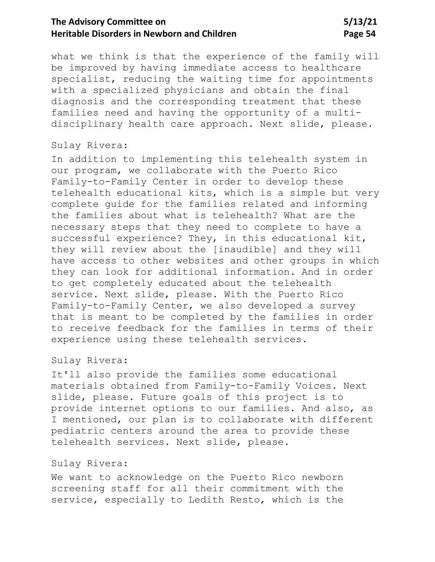what we think is that the experience of the family will be improved by having immediate access to healthcare specialist, reducing the waiting time for appointments with a specialized physicians and obtain the final diagnosis and the corresponding treatment that these families need and having the opportunity of a multidisciplinary health care approach. Next slide, please.

### Sulay Rivera:

In addition to implementing this telehealth system in our program, we collaborate with the Puerto Rico Family-to-Family Center in order to develop these telehealth educational kits, which is a simple but very complete guide for the families related and informing the families about what is telehealth? What are the necessary steps that they need to complete to have a successful experience? They, in this educational kit, they will review about the [inaudible] and they will have access to other websites and other groups in which they can look for additional information. And in order to get completely educated about the telehealth service. Next slide, please. With the Puerto Rico Family-to-Family Center, we also developed a survey that is meant to be completed by the families in order to receive feedback for the families in terms of their experience using these telehealth services.

### Sulay Rivera:

It'll also provide the families some educational materials obtained from Family-to-Family Voices. Next slide, please. Future goals of this project is to provide internet options to our families. And also, as I mentioned, our plan is to collaborate with different pediatric centers around the area to provide these telehealth services. Next slide, please.

#### Sulay Rivera:

We want to acknowledge on the Puerto Rico newborn screening staff for all their commitment with the service, especially to Ledith Resto, which is the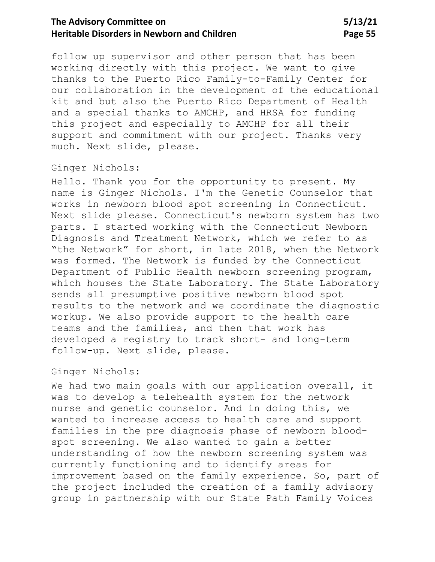follow up supervisor and other person that has been working directly with this project. We want to give thanks to the Puerto Rico Family-to-Family Center for our collaboration in the development of the educational kit and but also the Puerto Rico Department of Health and a special thanks to AMCHP, and HRSA for funding this project and especially to AMCHP for all their support and commitment with our project. Thanks very much. Next slide, please.

### Ginger Nichols:

Hello. Thank you for the opportunity to present. My name is Ginger Nichols. I'm the Genetic Counselor that works in newborn blood spot screening in Connecticut. Next slide please. Connecticut's newborn system has two parts. I started working with the Connecticut Newborn Diagnosis and Treatment Network, which we refer to as "the Network" for short, in late 2018, when the Network was formed. The Network is funded by the Connecticut Department of Public Health newborn screening program, which houses the State Laboratory. The State Laboratory sends all presumptive positive newborn blood spot results to the network and we coordinate the diagnostic workup. We also provide support to the health care teams and the families, and then that work has developed a registry to track short- and long-term follow-up. Next slide, please.

### Ginger Nichols:

We had two main goals with our application overall, it was to develop a telehealth system for the network nurse and genetic counselor. And in doing this, we wanted to increase access to health care and support families in the pre diagnosis phase of newborn bloodspot screening. We also wanted to gain a better understanding of how the newborn screening system was currently functioning and to identify areas for improvement based on the family experience. So, part of the project included the creation of a family advisory group in partnership with our State Path Family Voices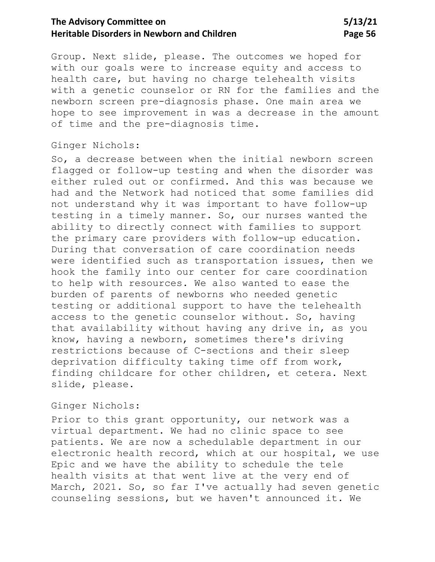Group. Next slide, please. The outcomes we hoped for with our goals were to increase equity and access to health care, but having no charge telehealth visits with a genetic counselor or RN for the families and the newborn screen pre-diagnosis phase. One main area we hope to see improvement in was a decrease in the amount of time and the pre-diagnosis time.

### Ginger Nichols:

So, a decrease between when the initial newborn screen flagged or follow-up testing and when the disorder was either ruled out or confirmed. And this was because we had and the Network had noticed that some families did not understand why it was important to have follow-up testing in a timely manner. So, our nurses wanted the ability to directly connect with families to support the primary care providers with follow-up education. During that conversation of care coordination needs were identified such as transportation issues, then we hook the family into our center for care coordination to help with resources. We also wanted to ease the burden of parents of newborns who needed genetic testing or additional support to have the telehealth access to the genetic counselor without. So, having that availability without having any drive in, as you know, having a newborn, sometimes there's driving restrictions because of C-sections and their sleep deprivation difficulty taking time off from work, finding childcare for other children, et cetera. Next slide, please.

### Ginger Nichols:

Prior to this grant opportunity, our network was a virtual department. We had no clinic space to see patients. We are now a schedulable department in our electronic health record, which at our hospital, we use Epic and we have the ability to schedule the tele health visits at that went live at the very end of March, 2021. So, so far I've actually had seven genetic counseling sessions, but we haven't announced it. We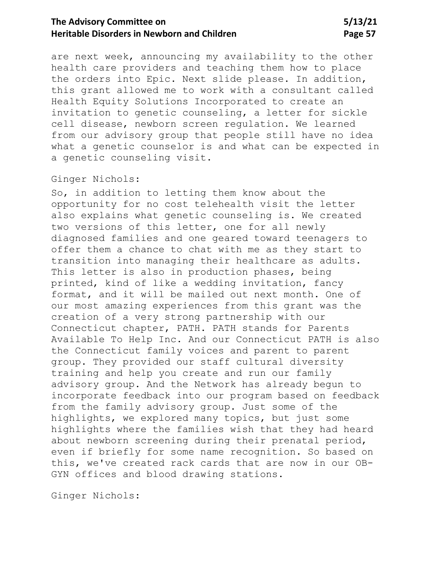are next week, announcing my availability to the other health care providers and teaching them how to place the orders into Epic. Next slide please. In addition, this grant allowed me to work with a consultant called Health Equity Solutions Incorporated to create an invitation to genetic counseling, a letter for sickle cell disease, newborn screen regulation. We learned from our advisory group that people still have no idea what a genetic counselor is and what can be expected in a genetic counseling visit.

### Ginger Nichols:

So, in addition to letting them know about the opportunity for no cost telehealth visit the letter also explains what genetic counseling is. We created two versions of this letter, one for all newly diagnosed families and one geared toward teenagers to offer them a chance to chat with me as they start to transition into managing their healthcare as adults. This letter is also in production phases, being printed, kind of like a wedding invitation, fancy format, and it will be mailed out next month. One of our most amazing experiences from this grant was the creation of a very strong partnership with our Connecticut chapter, PATH. PATH stands for Parents Available To Help Inc. And our Connecticut PATH is also the Connecticut family voices and parent to parent group. They provided our staff cultural diversity training and help you create and run our family advisory group. And the Network has already begun to incorporate feedback into our program based on feedback from the family advisory group. Just some of the highlights, we explored many topics, but just some highlights where the families wish that they had heard about newborn screening during their prenatal period, even if briefly for some name recognition. So based on this, we've created rack cards that are now in our OB-GYN offices and blood drawing stations.

Ginger Nichols: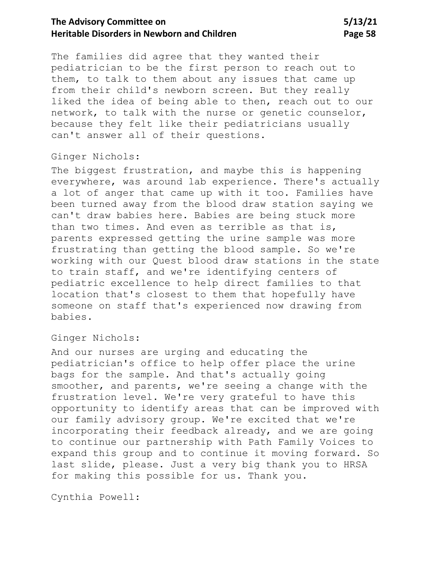The families did agree that they wanted their pediatrician to be the first person to reach out to them, to talk to them about any issues that came up from their child's newborn screen. But they really liked the idea of being able to then, reach out to our network, to talk with the nurse or genetic counselor, because they felt like their pediatricians usually can't answer all of their questions.

### Ginger Nichols:

The biggest frustration, and maybe this is happening everywhere, was around lab experience. There's actually a lot of anger that came up with it too. Families have been turned away from the blood draw station saying we can't draw babies here. Babies are being stuck more than two times. And even as terrible as that is, parents expressed getting the urine sample was more frustrating than getting the blood sample. So we're working with our Quest blood draw stations in the state to train staff, and we're identifying centers of pediatric excellence to help direct families to that location that's closest to them that hopefully have someone on staff that's experienced now drawing from babies.

#### Ginger Nichols:

And our nurses are urging and educating the pediatrician's office to help offer place the urine bags for the sample. And that's actually going smoother, and parents, we're seeing a change with the frustration level. We're very grateful to have this opportunity to identify areas that can be improved with our family advisory group. We're excited that we're incorporating their feedback already, and we are going to continue our partnership with Path Family Voices to expand this group and to continue it moving forward. So last slide, please. Just a very big thank you to HRSA for making this possible for us. Thank you.

Cynthia Powell: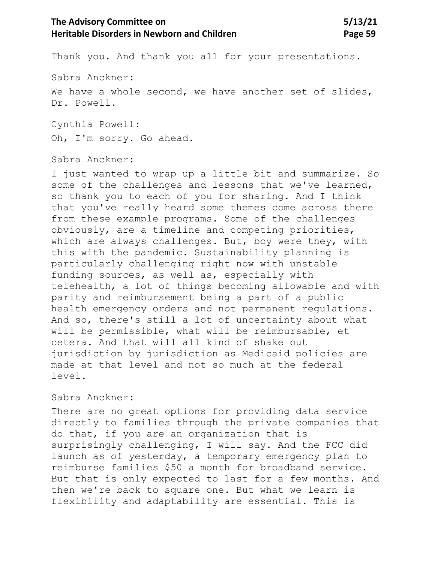Thank you. And thank you all for your presentations.

Sabra Anckner:

We have a whole second, we have another set of slides, Dr. Powell.

Cynthia Powell: Oh, I'm sorry. Go ahead.

Sabra Anckner:

I just wanted to wrap up a little bit and summarize. So some of the challenges and lessons that we've learned, so thank you to each of you for sharing. And I think that you've really heard some themes come across there from these example programs. Some of the challenges obviously, are a timeline and competing priorities, which are always challenges. But, boy were they, with this with the pandemic. Sustainability planning is particularly challenging right now with unstable funding sources, as well as, especially with telehealth, a lot of things becoming allowable and with parity and reimbursement being a part of a public health emergency orders and not permanent regulations. And so, there's still a lot of uncertainty about what will be permissible, what will be reimbursable, et cetera. And that will all kind of shake out jurisdiction by jurisdiction as Medicaid policies are made at that level and not so much at the federal level.

### Sabra Anckner:

There are no great options for providing data service directly to families through the private companies that do that, if you are an organization that is surprisingly challenging, I will say. And the FCC did launch as of yesterday, a temporary emergency plan to reimburse families \$50 a month for broadband service. But that is only expected to last for a few months. And then we're back to square one. But what we learn is flexibility and adaptability are essential. This is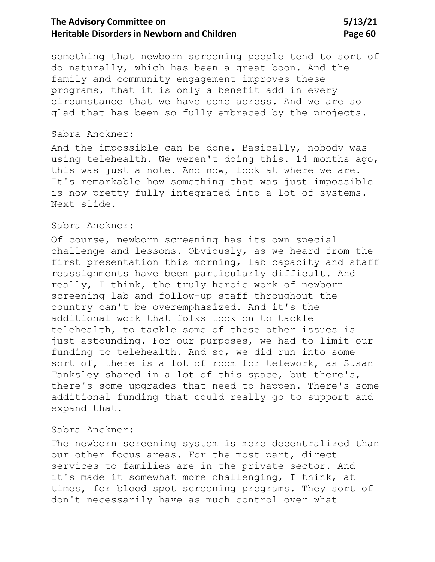something that newborn screening people tend to sort of do naturally, which has been a great boon. And the family and community engagement improves these programs, that it is only a benefit add in every circumstance that we have come across. And we are so glad that has been so fully embraced by the projects.

### Sabra Anckner:

And the impossible can be done. Basically, nobody was using telehealth. We weren't doing this. 14 months ago, this was just a note. And now, look at where we are. It's remarkable how something that was just impossible is now pretty fully integrated into a lot of systems. Next slide.

#### Sabra Anckner:

Of course, newborn screening has its own special challenge and lessons. Obviously, as we heard from the first presentation this morning, lab capacity and staff reassignments have been particularly difficult. And really, I think, the truly heroic work of newborn screening lab and follow-up staff throughout the country can't be overemphasized. And it's the additional work that folks took on to tackle telehealth, to tackle some of these other issues is just astounding. For our purposes, we had to limit our funding to telehealth. And so, we did run into some sort of, there is a lot of room for telework, as Susan Tanksley shared in a lot of this space, but there's, there's some upgrades that need to happen. There's some additional funding that could really go to support and expand that.

#### Sabra Anckner:

The newborn screening system is more decentralized than our other focus areas. For the most part, direct services to families are in the private sector. And it's made it somewhat more challenging, I think, at times, for blood spot screening programs. They sort of don't necessarily have as much control over what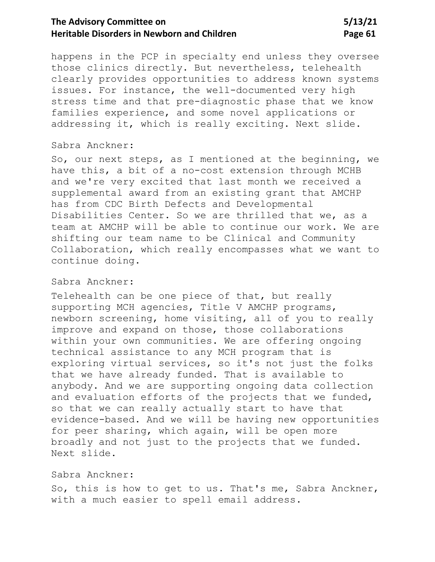happens in the PCP in specialty end unless they oversee those clinics directly. But nevertheless, telehealth clearly provides opportunities to address known systems issues. For instance, the well-documented very high stress time and that pre-diagnostic phase that we know families experience, and some novel applications or addressing it, which is really exciting. Next slide.

#### Sabra Anckner:

So, our next steps, as I mentioned at the beginning, we have this, a bit of a no-cost extension through MCHB and we're very excited that last month we received a supplemental award from an existing grant that AMCHP has from CDC Birth Defects and Developmental Disabilities Center. So we are thrilled that we, as a team at AMCHP will be able to continue our work. We are shifting our team name to be Clinical and Community Collaboration, which really encompasses what we want to continue doing.

#### Sabra Anckner:

Telehealth can be one piece of that, but really supporting MCH agencies, Title V AMCHP programs, newborn screening, home visiting, all of you to really improve and expand on those, those collaborations within your own communities. We are offering ongoing technical assistance to any MCH program that is exploring virtual services, so it's not just the folks that we have already funded. That is available to anybody. And we are supporting ongoing data collection and evaluation efforts of the projects that we funded, so that we can really actually start to have that evidence-based. And we will be having new opportunities for peer sharing, which again, will be open more broadly and not just to the projects that we funded. Next slide.

#### Sabra Anckner:

So, this is how to get to us. That's me, Sabra Anckner, with a much easier to spell email address.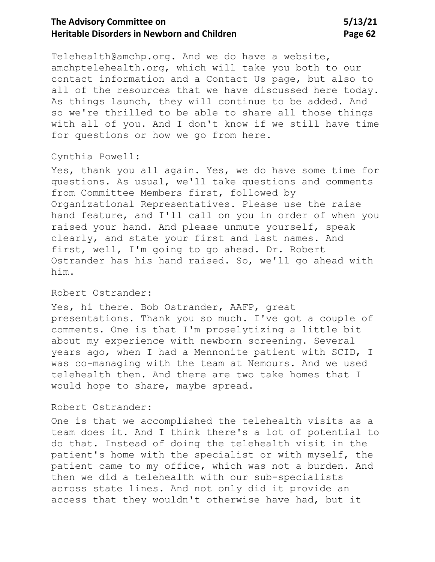Telehealth@amchp.org. And we do have a website, amchptelehealth.org, which will take you both to our contact information and a Contact Us page, but also to all of the resources that we have discussed here today. As things launch, they will continue to be added. And so we're thrilled to be able to share all those things with all of you. And I don't know if we still have time for questions or how we go from here.

## Cynthia Powell:

Yes, thank you all again. Yes, we do have some time for questions. As usual, we'll take questions and comments from Committee Members first, followed by Organizational Representatives. Please use the raise hand feature, and I'll call on you in order of when you raised your hand. And please unmute yourself, speak clearly, and state your first and last names. And first, well, I'm going to go ahead. Dr. Robert Ostrander has his hand raised. So, we'll go ahead with him.

### Robert Ostrander:

Yes, hi there. Bob Ostrander, AAFP, great presentations. Thank you so much. I've got a couple of comments. One is that I'm proselytizing a little bit about my experience with newborn screening. Several years ago, when I had a Mennonite patient with SCID, I was co-managing with the team at Nemours. And we used telehealth then. And there are two take homes that I would hope to share, maybe spread.

#### Robert Ostrander:

One is that we accomplished the telehealth visits as a team does it. And I think there's a lot of potential to do that. Instead of doing the telehealth visit in the patient's home with the specialist or with myself, the patient came to my office, which was not a burden. And then we did a telehealth with our sub-specialists across state lines. And not only did it provide an access that they wouldn't otherwise have had, but it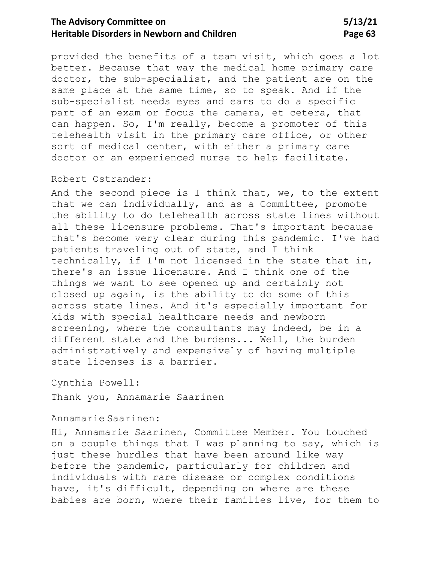provided the benefits of a team visit, which goes a lot better. Because that way the medical home primary care doctor, the sub-specialist, and the patient are on the same place at the same time, so to speak. And if the sub-specialist needs eyes and ears to do a specific part of an exam or focus the camera, et cetera, that can happen. So, I'm really, become a promoter of this telehealth visit in the primary care office, or other sort of medical center, with either a primary care doctor or an experienced nurse to help facilitate.

#### Robert Ostrander:

And the second piece is I think that, we, to the extent that we can individually, and as a Committee, promote the ability to do telehealth across state lines without all these licensure problems. That's important because that's become very clear during this pandemic. I've had patients traveling out of state, and I think technically, if I'm not licensed in the state that in, there's an issue licensure. And I think one of the things we want to see opened up and certainly not closed up again, is the ability to do some of this across state lines. And it's especially important for kids with special healthcare needs and newborn screening, where the consultants may indeed, be in a different state and the burdens... Well, the burden administratively and expensively of having multiple state licenses is a barrier.

Cynthia Powell:

Thank you, Annamarie Saarinen

### Annamarie Saarinen:

Hi, Annamarie Saarinen, Committee Member. You touched on a couple things that I was planning to say, which is just these hurdles that have been around like way before the pandemic, particularly for children and individuals with rare disease or complex conditions have, it's difficult, depending on where are these babies are born, where their families live, for them to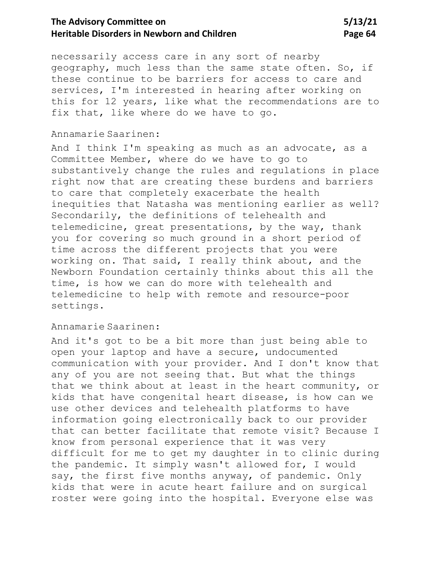necessarily access care in any sort of nearby geography, much less than the same state often. So, if these continue to be barriers for access to care and services, I'm interested in hearing after working on this for 12 years, like what the recommendations are to fix that, like where do we have to go.

## Annamarie Saarinen:

And I think I'm speaking as much as an advocate, as a Committee Member, where do we have to go to substantively change the rules and regulations in place right now that are creating these burdens and barriers to care that completely exacerbate the health inequities that Natasha was mentioning earlier as well? Secondarily, the definitions of telehealth and telemedicine, great presentations, by the way, thank you for covering so much ground in a short period of time across the different projects that you were working on. That said, I really think about, and the Newborn Foundation certainly thinks about this all the time, is how we can do more with telehealth and telemedicine to help with remote and resource-poor settings.

### Annamarie Saarinen:

And it's got to be a bit more than just being able to open your laptop and have a secure, undocumented communication with your provider. And I don't know that any of you are not seeing that. But what the things that we think about at least in the heart community, or kids that have congenital heart disease, is how can we use other devices and telehealth platforms to have information going electronically back to our provider that can better facilitate that remote visit? Because I know from personal experience that it was very difficult for me to get my daughter in to clinic during the pandemic. It simply wasn't allowed for, I would say, the first five months anyway, of pandemic. Only kids that were in acute heart failure and on surgical roster were going into the hospital. Everyone else was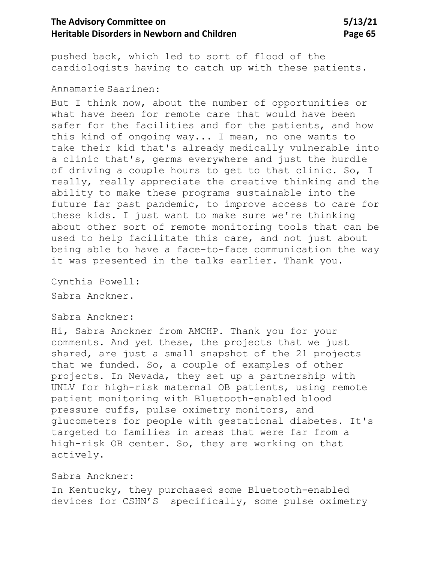pushed back, which led to sort of flood of the cardiologists having to catch up with these patients.

### Annamarie Saarinen:

But I think now, about the number of opportunities or what have been for remote care that would have been safer for the facilities and for the patients, and how this kind of ongoing way... I mean, no one wants to take their kid that's already medically vulnerable into a clinic that's, germs everywhere and just the hurdle of driving a couple hours to get to that clinic. So, I really, really appreciate the creative thinking and the ability to make these programs sustainable into the future far past pandemic, to improve access to care for these kids. I just want to make sure we're thinking about other sort of remote monitoring tools that can be used to help facilitate this care, and not just about being able to have a face-to-face communication the way it was presented in the talks earlier. Thank you.

Cynthia Powell: Sabra Anckner.

### Sabra Anckner:

Hi, Sabra Anckner from AMCHP. Thank you for your comments. And yet these, the projects that we just shared, are just a small snapshot of the 21 projects that we funded. So, a couple of examples of other projects. In Nevada, they set up a partnership with UNLV for high-risk maternal OB patients, using remote patient monitoring with Bluetooth-enabled blood pressure cuffs, pulse oximetry monitors, and glucometers for people with gestational diabetes. It's targeted to families in areas that were far from a high-risk OB center. So, they are working on that actively.

## Sabra Anckner:

In Kentucky, they purchased some Bluetooth-enabled devices for CSHN'S specifically, some pulse oximetry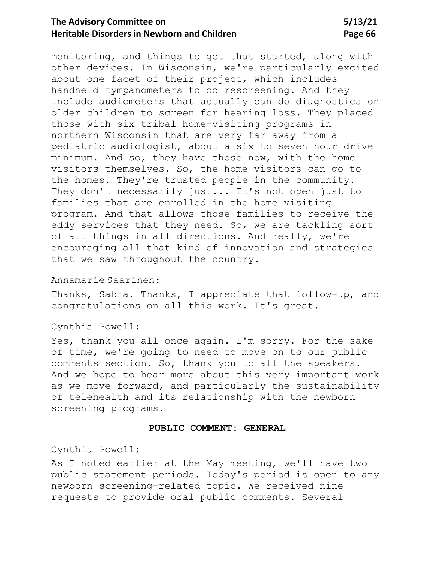monitoring, and things to get that started, along with other devices. In Wisconsin, we're particularly excited about one facet of their project, which includes handheld tympanometers to do rescreening. And they include audiometers that actually can do diagnostics on older children to screen for hearing loss. They placed those with six tribal home-visiting programs in northern Wisconsin that are very far away from a pediatric audiologist, about a six to seven hour drive minimum. And so, they have those now, with the home visitors themselves. So, the home visitors can go to the homes. They're trusted people in the community. They don't necessarily just... It's not open just to families that are enrolled in the home visiting program. And that allows those families to receive the eddy services that they need. So, we are tackling sort of all things in all directions. And really, we're encouraging all that kind of innovation and strategies that we saw throughout the country.

### Annamarie Saarinen:

Thanks, Sabra. Thanks, I appreciate that follow-up, and congratulations on all this work. It's great.

#### Cynthia Powell:

Yes, thank you all once again. I'm sorry. For the sake of time, we're going to need to move on to our public comments section. So, thank you to all the speakers. And we hope to hear more about this very important work as we move forward, and particularly the sustainability of telehealth and its relationship with the newborn screening programs.

#### **PUBLIC COMMENT: GENERAL**

Cynthia Powell:

As I noted earlier at the May meeting, we'll have two public statement periods. Today's period is open to any newborn screening-related topic. We received nine requests to provide oral public comments. Several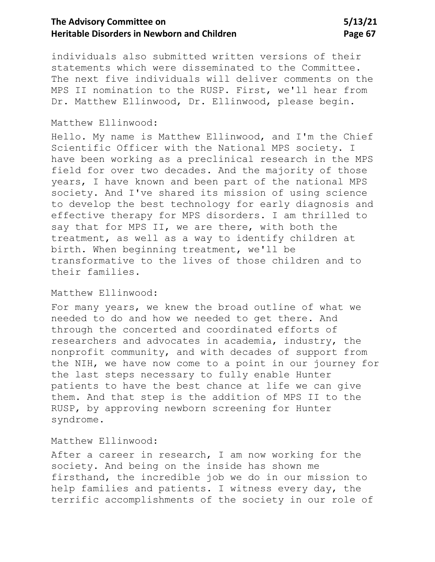individuals also submitted written versions of their statements which were disseminated to the Committee. The next five individuals will deliver comments on the MPS II nomination to the RUSP. First, we'll hear from Dr. Matthew Ellinwood, Dr. Ellinwood, please begin.

### Matthew Ellinwood:

Hello. My name is Matthew Ellinwood, and I'm the Chief Scientific Officer with the National MPS society. I have been working as a preclinical research in the MPS field for over two decades. And the majority of those years, I have known and been part of the national MPS society. And I've shared its mission of using science to develop the best technology for early diagnosis and effective therapy for MPS disorders. I am thrilled to say that for MPS II, we are there, with both the treatment, as well as a way to identify children at birth. When beginning treatment, we'll be transformative to the lives of those children and to their families.

#### Matthew Ellinwood:

For many years, we knew the broad outline of what we needed to do and how we needed to get there. And through the concerted and coordinated efforts of researchers and advocates in academia, industry, the nonprofit community, and with decades of support from the NIH, we have now come to a point in our journey for the last steps necessary to fully enable Hunter patients to have the best chance at life we can give them. And that step is the addition of MPS II to the RUSP, by approving newborn screening for Hunter syndrome.

### Matthew Ellinwood:

After a career in research, I am now working for the society. And being on the inside has shown me firsthand, the incredible job we do in our mission to help families and patients. I witness every day, the terrific accomplishments of the society in our role of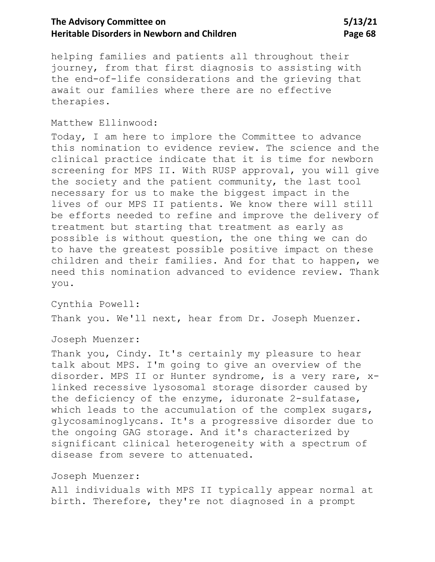helping families and patients all throughout their journey, from that first diagnosis to assisting with the end-of-life considerations and the grieving that await our families where there are no effective therapies.

### Matthew Ellinwood:

Today, I am here to implore the Committee to advance this nomination to evidence review. The science and the clinical practice indicate that it is time for newborn screening for MPS II. With RUSP approval, you will give the society and the patient community, the last tool necessary for us to make the biggest impact in the lives of our MPS II patients. We know there will still be efforts needed to refine and improve the delivery of treatment but starting that treatment as early as possible is without question, the one thing we can do to have the greatest possible positive impact on these children and their families. And for that to happen, we need this nomination advanced to evidence review. Thank you.

Cynthia Powell: Thank you. We'll next, hear from Dr. Joseph Muenzer.

Joseph Muenzer:

Thank you, Cindy. It's certainly my pleasure to hear talk about MPS. I'm going to give an overview of the disorder. MPS II or Hunter syndrome, is a very rare, xlinked recessive lysosomal storage disorder caused by the deficiency of the enzyme, iduronate 2-sulfatase, which leads to the accumulation of the complex sugars, glycosaminoglycans. It's a progressive disorder due to the ongoing GAG storage. And it's characterized by significant clinical heterogeneity with a spectrum of disease from severe to attenuated.

### Joseph Muenzer:

All individuals with MPS II typically appear normal at birth. Therefore, they're not diagnosed in a prompt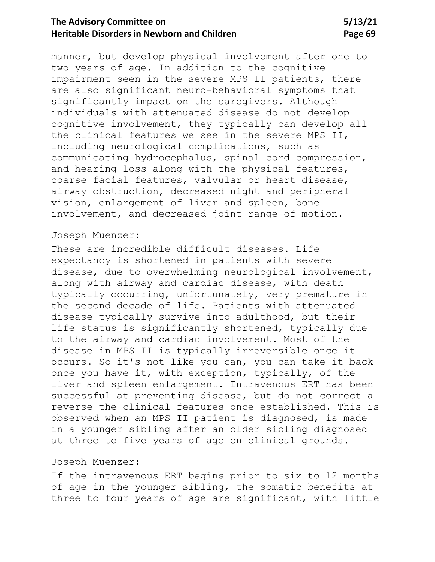manner, but develop physical involvement after one to two years of age. In addition to the cognitive impairment seen in the severe MPS II patients, there are also significant neuro-behavioral symptoms that significantly impact on the caregivers. Although individuals with attenuated disease do not develop cognitive involvement, they typically can develop all the clinical features we see in the severe MPS II, including neurological complications, such as communicating hydrocephalus, spinal cord compression, and hearing loss along with the physical features, coarse facial features, valvular or heart disease, airway obstruction, decreased night and peripheral vision, enlargement of liver and spleen, bone involvement, and decreased joint range of motion.

### Joseph Muenzer:

These are incredible difficult diseases. Life expectancy is shortened in patients with severe disease, due to overwhelming neurological involvement, along with airway and cardiac disease, with death typically occurring, unfortunately, very premature in the second decade of life. Patients with attenuated disease typically survive into adulthood, but their life status is significantly shortened, typically due to the airway and cardiac involvement. Most of the disease in MPS II is typically irreversible once it occurs. So it's not like you can, you can take it back once you have it, with exception, typically, of the liver and spleen enlargement. Intravenous ERT has been successful at preventing disease, but do not correct a reverse the clinical features once established. This is observed when an MPS II patient is diagnosed, is made in a younger sibling after an older sibling diagnosed at three to five years of age on clinical grounds.

### Joseph Muenzer:

If the intravenous ERT begins prior to six to 12 months of age in the younger sibling, the somatic benefits at three to four years of age are significant, with little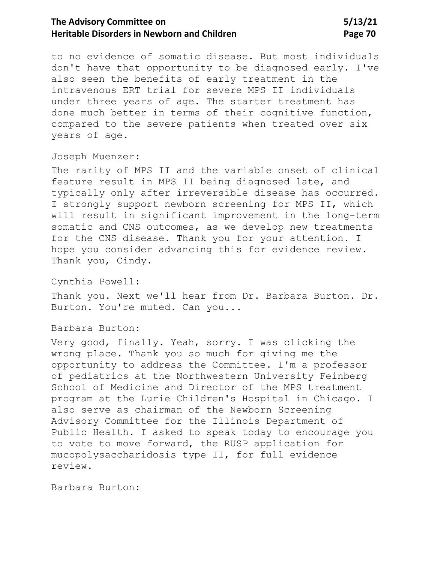to no evidence of somatic disease. But most individuals don't have that opportunity to be diagnosed early. I've also seen the benefits of early treatment in the intravenous ERT trial for severe MPS II individuals under three years of age. The starter treatment has done much better in terms of their cognitive function, compared to the severe patients when treated over six years of age.

Joseph Muenzer:

The rarity of MPS II and the variable onset of clinical feature result in MPS II being diagnosed late, and typically only after irreversible disease has occurred. I strongly support newborn screening for MPS II, which will result in significant improvement in the long-term somatic and CNS outcomes, as we develop new treatments for the CNS disease. Thank you for your attention. I hope you consider advancing this for evidence review. Thank you, Cindy.

Cynthia Powell:

Thank you. Next we'll hear from Dr. Barbara Burton. Dr. Burton. You're muted. Can you...

Barbara Burton:

Very good, finally. Yeah, sorry. I was clicking the wrong place. Thank you so much for giving me the opportunity to address the Committee. I'm a professor of pediatrics at the Northwestern University Feinberg School of Medicine and Director of the MPS treatment program at the Lurie Children's Hospital in Chicago. I also serve as chairman of the Newborn Screening Advisory Committee for the Illinois Department of Public Health. I asked to speak today to encourage you to vote to move forward, the RUSP application for mucopolysaccharidosis type II, for full evidence review.

Barbara Burton: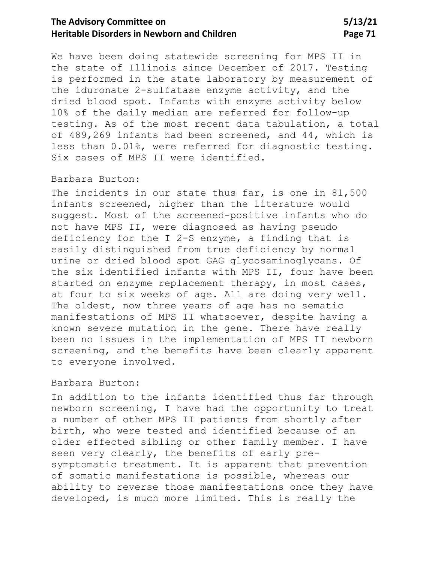We have been doing statewide screening for MPS II in the state of Illinois since December of 2017. Testing is performed in the state laboratory by measurement of the iduronate 2-sulfatase enzyme activity, and the dried blood spot. Infants with enzyme activity below 10% of the daily median are referred for follow-up testing. As of the most recent data tabulation, a total of 489,269 infants had been screened, and 44, which is less than 0.01%, were referred for diagnostic testing. Six cases of MPS II were identified.

#### Barbara Burton:

The incidents in our state thus far, is one in 81,500 infants screened, higher than the literature would suggest. Most of the screened-positive infants who do not have MPS II, were diagnosed as having pseudo deficiency for the I 2-S enzyme, a finding that is easily distinguished from true deficiency by normal urine or dried blood spot GAG glycosaminoglycans. Of the six identified infants with MPS II, four have been started on enzyme replacement therapy, in most cases, at four to six weeks of age. All are doing very well. The oldest, now three years of age has no sematic manifestations of MPS II whatsoever, despite having a known severe mutation in the gene. There have really been no issues in the implementation of MPS II newborn screening, and the benefits have been clearly apparent to everyone involved.

### Barbara Burton:

In addition to the infants identified thus far through newborn screening, I have had the opportunity to treat a number of other MPS II patients from shortly after birth, who were tested and identified because of an older effected sibling or other family member. I have seen very clearly, the benefits of early presymptomatic treatment. It is apparent that prevention of somatic manifestations is possible, whereas our ability to reverse those manifestations once they have developed, is much more limited. This is really the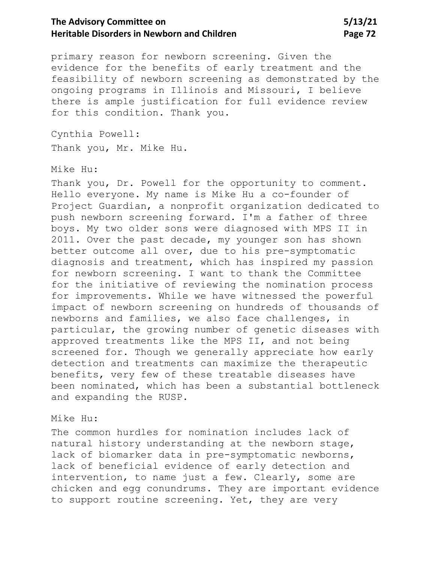primary reason for newborn screening. Given the evidence for the benefits of early treatment and the feasibility of newborn screening as demonstrated by the ongoing programs in Illinois and Missouri, I believe there is ample justification for full evidence review for this condition. Thank you.

Cynthia Powell:

Thank you, Mr. Mike Hu.

#### Mike Hu:

Thank you, Dr. Powell for the opportunity to comment. Hello everyone. My name is Mike Hu a co-founder of Project Guardian, a nonprofit organization dedicated to push newborn screening forward. I'm a father of three boys. My two older sons were diagnosed with MPS II in 2011. Over the past decade, my younger son has shown better outcome all over, due to his pre-symptomatic diagnosis and treatment, which has inspired my passion for newborn screening. I want to thank the Committee for the initiative of reviewing the nomination process for improvements. While we have witnessed the powerful impact of newborn screening on hundreds of thousands of newborns and families, we also face challenges, in particular, the growing number of genetic diseases with approved treatments like the MPS II, and not being screened for. Though we generally appreciate how early detection and treatments can maximize the therapeutic benefits, very few of these treatable diseases have been nominated, which has been a substantial bottleneck and expanding the RUSP.

### Mike Hu:

The common hurdles for nomination includes lack of natural history understanding at the newborn stage, lack of biomarker data in pre-symptomatic newborns, lack of beneficial evidence of early detection and intervention, to name just a few. Clearly, some are chicken and egg conundrums. They are important evidence to support routine screening. Yet, they are very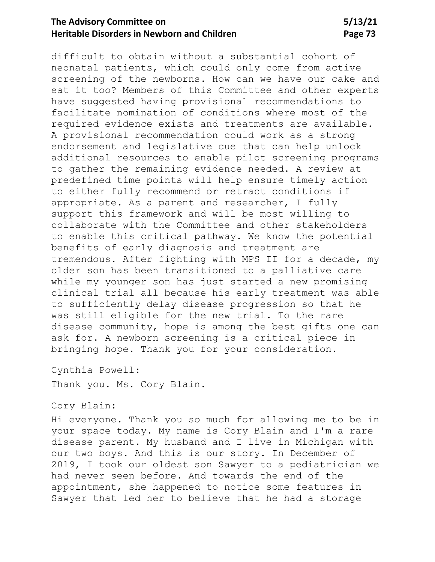# **The Advisory Committee on 5/13/21 Heritable Disorders in Newborn and Children <b>Page 73** Page 73

difficult to obtain without a substantial cohort of neonatal patients, which could only come from active screening of the newborns. How can we have our cake and eat it too? Members of this Committee and other experts have suggested having provisional recommendations to facilitate nomination of conditions where most of the required evidence exists and treatments are available. A provisional recommendation could work as a strong endorsement and legislative cue that can help unlock additional resources to enable pilot screening programs to gather the remaining evidence needed. A review at predefined time points will help ensure timely action to either fully recommend or retract conditions if appropriate. As a parent and researcher, I fully support this framework and will be most willing to collaborate with the Committee and other stakeholders to enable this critical pathway. We know the potential benefits of early diagnosis and treatment are tremendous. After fighting with MPS II for a decade, my older son has been transitioned to a palliative care while my younger son has just started a new promising clinical trial all because his early treatment was able to sufficiently delay disease progression so that he was still eligible for the new trial. To the rare disease community, hope is among the best gifts one can ask for. A newborn screening is a critical piece in bringing hope. Thank you for your consideration.

Cynthia Powell:

Thank you. Ms. Cory Blain.

## Cory Blain:

Hi everyone. Thank you so much for allowing me to be in your space today. My name is Cory Blain and I'm a rare disease parent. My husband and I live in Michigan with our two boys. And this is our story. In December of 2019, I took our oldest son Sawyer to a pediatrician we had never seen before. And towards the end of the appointment, she happened to notice some features in Sawyer that led her to believe that he had a storage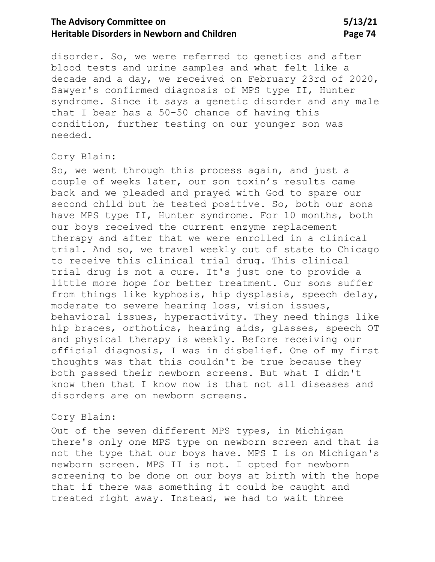# The Advisory Committee on 5/13/21 **Heritable Disorders in Newborn and Children <b>Page 74** Page 74

disorder. So, we were referred to genetics and after blood tests and urine samples and what felt like a decade and a day, we received on February 23rd of 2020, Sawyer's confirmed diagnosis of MPS type II, Hunter syndrome. Since it says a genetic disorder and any male that I bear has a 50-50 chance of having this condition, further testing on our younger son was needed.

### Cory Blain:

So, we went through this process again, and just a couple of weeks later, our son toxin's results came back and we pleaded and prayed with God to spare our second child but he tested positive. So, both our sons have MPS type II, Hunter syndrome. For 10 months, both our boys received the current enzyme replacement therapy and after that we were enrolled in a clinical trial. And so, we travel weekly out of state to Chicago to receive this clinical trial drug. This clinical trial drug is not a cure. It's just one to provide a little more hope for better treatment. Our sons suffer from things like kyphosis, hip dysplasia, speech delay, moderate to severe hearing loss, vision issues, behavioral issues, hyperactivity. They need things like hip braces, orthotics, hearing aids, glasses, speech OT and physical therapy is weekly. Before receiving our official diagnosis, I was in disbelief. One of my first thoughts was that this couldn't be true because they both passed their newborn screens. But what I didn't know then that I know now is that not all diseases and disorders are on newborn screens.

#### Cory Blain:

Out of the seven different MPS types, in Michigan there's only one MPS type on newborn screen and that is not the type that our boys have. MPS I is on Michigan's newborn screen. MPS II is not. I opted for newborn screening to be done on our boys at birth with the hope that if there was something it could be caught and treated right away. Instead, we had to wait three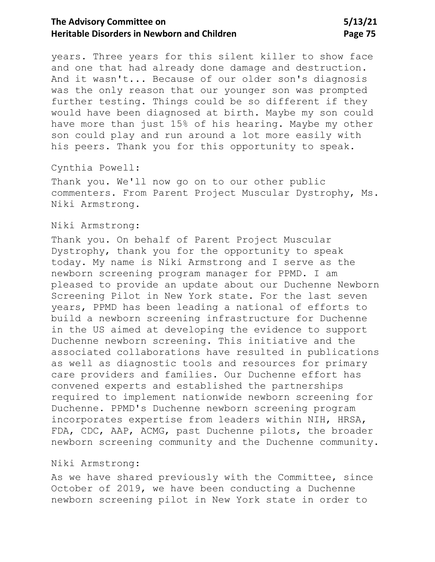# The Advisory Committee on 5/13/21 **Heritable Disorders in Newborn and Children <b>Page 75** Page 75

years. Three years for this silent killer to show face and one that had already done damage and destruction. And it wasn't... Because of our older son's diagnosis was the only reason that our younger son was prompted further testing. Things could be so different if they would have been diagnosed at birth. Maybe my son could have more than just 15% of his hearing. Maybe my other son could play and run around a lot more easily with his peers. Thank you for this opportunity to speak.

Cynthia Powell:

Thank you. We'll now go on to our other public commenters. From Parent Project Muscular Dystrophy, Ms. Niki Armstrong.

#### Niki Armstrong:

Thank you. On behalf of Parent Project Muscular Dystrophy, thank you for the opportunity to speak today. My name is Niki Armstrong and I serve as the newborn screening program manager for PPMD. I am pleased to provide an update about our Duchenne Newborn Screening Pilot in New York state. For the last seven years, PPMD has been leading a national of efforts to build a newborn screening infrastructure for Duchenne in the US aimed at developing the evidence to support Duchenne newborn screening. This initiative and the associated collaborations have resulted in publications as well as diagnostic tools and resources for primary care providers and families. Our Duchenne effort has convened experts and established the partnerships required to implement nationwide newborn screening for Duchenne. PPMD's Duchenne newborn screening program incorporates expertise from leaders within NIH, HRSA, FDA, CDC, AAP, ACMG, past Duchenne pilots, the broader newborn screening community and the Duchenne community.

#### Niki Armstrong:

As we have shared previously with the Committee, since October of 2019, we have been conducting a Duchenne newborn screening pilot in New York state in order to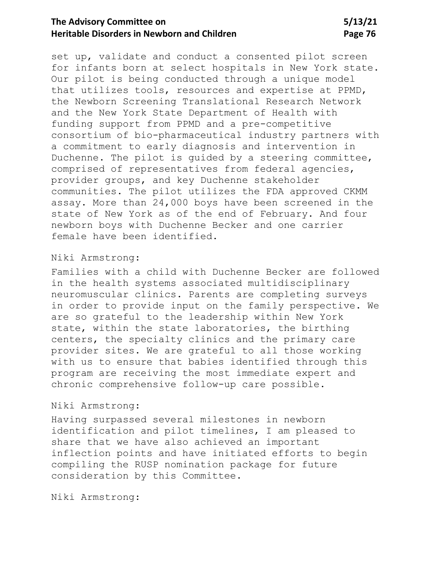# **The Advisory Committee on 5/13/21 Heritable Disorders in Newborn and Children <b>Page 76** Page 76

set up, validate and conduct a consented pilot screen for infants born at select hospitals in New York state. Our pilot is being conducted through a unique model that utilizes tools, resources and expertise at PPMD, the Newborn Screening Translational Research Network and the New York State Department of Health with funding support from PPMD and a pre-competitive consortium of bio-pharmaceutical industry partners with a commitment to early diagnosis and intervention in Duchenne. The pilot is guided by a steering committee, comprised of representatives from federal agencies, provider groups, and key Duchenne stakeholder communities. The pilot utilizes the FDA approved CKMM assay. More than 24,000 boys have been screened in the state of New York as of the end of February. And four newborn boys with Duchenne Becker and one carrier female have been identified.

#### Niki Armstrong:

Families with a child with Duchenne Becker are followed in the health systems associated multidisciplinary neuromuscular clinics. Parents are completing surveys in order to provide input on the family perspective. We are so grateful to the leadership within New York state, within the state laboratories, the birthing centers, the specialty clinics and the primary care provider sites. We are grateful to all those working with us to ensure that babies identified through this program are receiving the most immediate expert and chronic comprehensive follow-up care possible.

### Niki Armstrong:

Having surpassed several milestones in newborn identification and pilot timelines, I am pleased to share that we have also achieved an important inflection points and have initiated efforts to begin compiling the RUSP nomination package for future consideration by this Committee.

Niki Armstrong: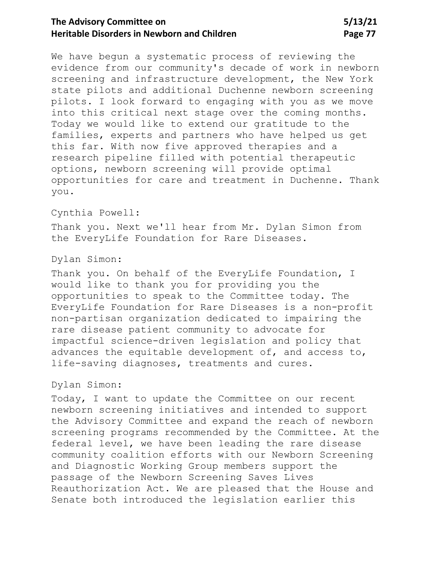# **The Advisory Committee on 5/13/21 Heritable Disorders in Newborn and Children <b>Page 77** Page 77

We have begun a systematic process of reviewing the evidence from our community's decade of work in newborn screening and infrastructure development, the New York state pilots and additional Duchenne newborn screening pilots. I look forward to engaging with you as we move into this critical next stage over the coming months. Today we would like to extend our gratitude to the families, experts and partners who have helped us get this far. With now five approved therapies and a research pipeline filled with potential therapeutic options, newborn screening will provide optimal opportunities for care and treatment in Duchenne. Thank you.

### Cynthia Powell:

Thank you. Next we'll hear from Mr. Dylan Simon from the EveryLife Foundation for Rare Diseases.

## Dylan Simon:

Thank you. On behalf of the EveryLife Foundation, I would like to thank you for providing you the opportunities to speak to the Committee today. The EveryLife Foundation for Rare Diseases is a non-profit non-partisan organization dedicated to impairing the rare disease patient community to advocate for impactful science-driven legislation and policy that advances the equitable development of, and access to, life-saving diagnoses, treatments and cures.

## Dylan Simon:

Today, I want to update the Committee on our recent newborn screening initiatives and intended to support the Advisory Committee and expand the reach of newborn screening programs recommended by the Committee. At the federal level, we have been leading the rare disease community coalition efforts with our Newborn Screening and Diagnostic Working Group members support the passage of the Newborn Screening Saves Lives Reauthorization Act. We are pleased that the House and Senate both introduced the legislation earlier this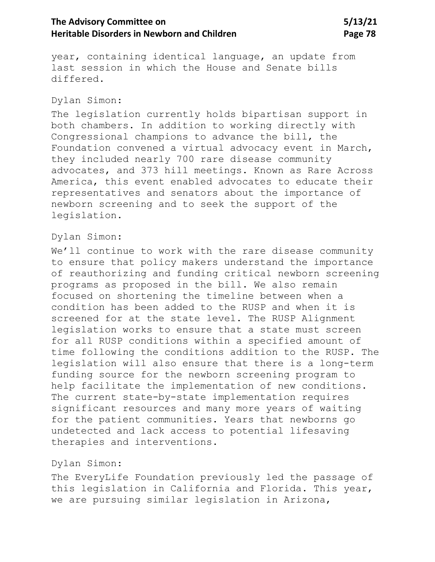# The Advisory Committee on 5/13/21 **Heritable Disorders in Newborn and Children <b>Page 78** Page 78

year, containing identical language, an update from last session in which the House and Senate bills differed.

### Dylan Simon:

The legislation currently holds bipartisan support in both chambers. In addition to working directly with Congressional champions to advance the bill, the Foundation convened a virtual advocacy event in March, they included nearly 700 rare disease community advocates, and 373 hill meetings. Known as Rare Across America, this event enabled advocates to educate their representatives and senators about the importance of newborn screening and to seek the support of the legislation.

#### Dylan Simon:

We'll continue to work with the rare disease community to ensure that policy makers understand the importance of reauthorizing and funding critical newborn screening programs as proposed in the bill. We also remain focused on shortening the timeline between when a condition has been added to the RUSP and when it is screened for at the state level. The RUSP Alignment legislation works to ensure that a state must screen for all RUSP conditions within a specified amount of time following the conditions addition to the RUSP. The legislation will also ensure that there is a long-term funding source for the newborn screening program to help facilitate the implementation of new conditions. The current state-by-state implementation requires significant resources and many more years of waiting for the patient communities. Years that newborns go undetected and lack access to potential lifesaving therapies and interventions.

### Dylan Simon:

The EveryLife Foundation previously led the passage of this legislation in California and Florida. This year, we are pursuing similar legislation in Arizona,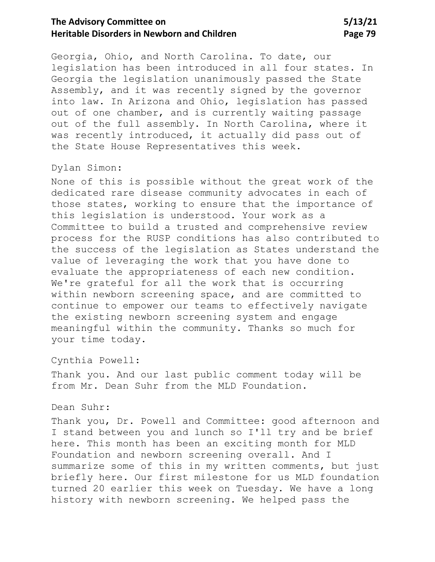# **The Advisory Committee on 5/13/21 Heritable Disorders in Newborn and Children <b>Page 79** Page 79

Georgia, Ohio, and North Carolina. To date, our legislation has been introduced in all four states. In Georgia the legislation unanimously passed the State Assembly, and it was recently signed by the governor into law. In Arizona and Ohio, legislation has passed out of one chamber, and is currently waiting passage out of the full assembly. In North Carolina, where it was recently introduced, it actually did pass out of the State House Representatives this week.

## Dylan Simon:

None of this is possible without the great work of the dedicated rare disease community advocates in each of those states, working to ensure that the importance of this legislation is understood. Your work as a Committee to build a trusted and comprehensive review process for the RUSP conditions has also contributed to the success of the legislation as States understand the value of leveraging the work that you have done to evaluate the appropriateness of each new condition. We're grateful for all the work that is occurring within newborn screening space, and are committed to continue to empower our teams to effectively navigate the existing newborn screening system and engage meaningful within the community. Thanks so much for your time today.

Cynthia Powell:

Thank you. And our last public comment today will be from Mr. Dean Suhr from the MLD Foundation.

### Dean Suhr:

Thank you, Dr. Powell and Committee: good afternoon and I stand between you and lunch so I'll try and be brief here. This month has been an exciting month for MLD Foundation and newborn screening overall. And I summarize some of this in my written comments, but just briefly here. Our first milestone for us MLD foundation turned 20 earlier this week on Tuesday. We have a long history with newborn screening. We helped pass the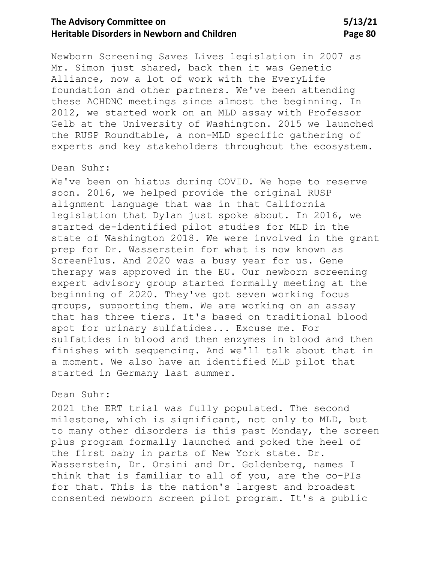# The Advisory Committee on 5/13/21 **Heritable Disorders in Newborn and Children <b>Page 80** Page 80

Newborn Screening Saves Lives legislation in 2007 as Mr. Simon just shared, back then it was Genetic Alliance, now a lot of work with the EveryLife foundation and other partners. We've been attending these ACHDNC meetings since almost the beginning. In 2012, we started work on an MLD assay with Professor Gelb at the University of Washington. 2015 we launched the RUSP Roundtable, a non-MLD specific gathering of experts and key stakeholders throughout the ecosystem.

### Dean Suhr:

We've been on hiatus during COVID. We hope to reserve soon. 2016, we helped provide the original RUSP alignment language that was in that California legislation that Dylan just spoke about. In 2016, we started de-identified pilot studies for MLD in the state of Washington 2018. We were involved in the grant prep for Dr. Wasserstein for what is now known as ScreenPlus. And 2020 was a busy year for us. Gene therapy was approved in the EU. Our newborn screening expert advisory group started formally meeting at the beginning of 2020. They've got seven working focus groups, supporting them. We are working on an assay that has three tiers. It's based on traditional blood spot for urinary sulfatides... Excuse me. For sulfatides in blood and then enzymes in blood and then finishes with sequencing. And we'll talk about that in a moment. We also have an identified MLD pilot that started in Germany last summer.

### Dean Suhr:

2021 the ERT trial was fully populated. The second milestone, which is significant, not only to MLD, but to many other disorders is this past Monday, the screen plus program formally launched and poked the heel of the first baby in parts of New York state. Dr. Wasserstein, Dr. Orsini and Dr. Goldenberg, names I think that is familiar to all of you, are the co-PIs for that. This is the nation's largest and broadest consented newborn screen pilot program. It's a public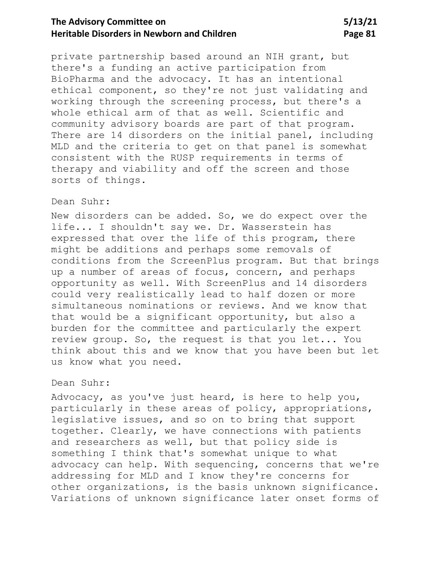# **The Advisory Committee on 5/13/21 Heritable Disorders in Newborn and Children Page 81**

private partnership based around an NIH grant, but there's a funding an active participation from BioPharma and the advocacy. It has an intentional ethical component, so they're not just validating and working through the screening process, but there's a whole ethical arm of that as well. Scientific and community advisory boards are part of that program. There are 14 disorders on the initial panel, including MLD and the criteria to get on that panel is somewhat consistent with the RUSP requirements in terms of therapy and viability and off the screen and those sorts of things.

### Dean Suhr:

New disorders can be added. So, we do expect over the life... I shouldn't say we. Dr. Wasserstein has expressed that over the life of this program, there might be additions and perhaps some removals of conditions from the ScreenPlus program. But that brings up a number of areas of focus, concern, and perhaps opportunity as well. With ScreenPlus and 14 disorders could very realistically lead to half dozen or more simultaneous nominations or reviews. And we know that that would be a significant opportunity, but also a burden for the committee and particularly the expert review group. So, the request is that you let... You think about this and we know that you have been but let us know what you need.

## Dean Suhr:

Advocacy, as you've just heard, is here to help you, particularly in these areas of policy, appropriations, legislative issues, and so on to bring that support together. Clearly, we have connections with patients and researchers as well, but that policy side is something I think that's somewhat unique to what advocacy can help. With sequencing, concerns that we're addressing for MLD and I know they're concerns for other organizations, is the basis unknown significance. Variations of unknown significance later onset forms of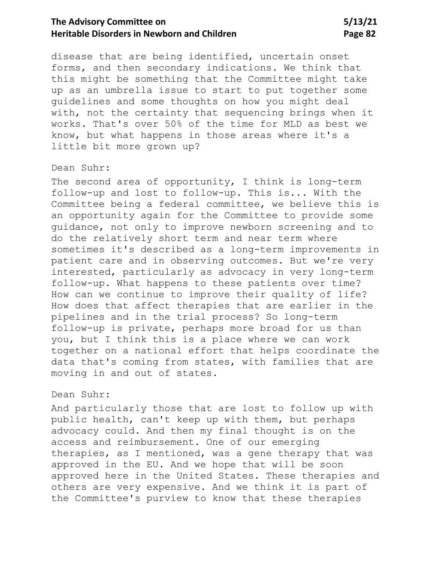# **The Advisory Committee on 5/13/21 Heritable Disorders in Newborn and Children <b>Page 82** Page 82

disease that are being identified, uncertain onset forms, and then secondary indications. We think that this might be something that the Committee might take up as an umbrella issue to start to put together some guidelines and some thoughts on how you might deal with, not the certainty that sequencing brings when it works. That's over 50% of the time for MLD as best we know, but what happens in those areas where it's a little bit more grown up?

### Dean Suhr:

The second area of opportunity, I think is long-term follow-up and lost to follow-up. This is... With the Committee being a federal committee, we believe this is an opportunity again for the Committee to provide some guidance, not only to improve newborn screening and to do the relatively short term and near term where sometimes it's described as a long-term improvements in patient care and in observing outcomes. But we're very interested, particularly as advocacy in very long-term follow-up. What happens to these patients over time? How can we continue to improve their quality of life? How does that affect therapies that are earlier in the pipelines and in the trial process? So long-term follow-up is private, perhaps more broad for us than you, but I think this is a place where we can work together on a national effort that helps coordinate the data that's coming from states, with families that are moving in and out of states.

### Dean Suhr:

And particularly those that are lost to follow up with public health, can't keep up with them, but perhaps advocacy could. And then my final thought is on the access and reimbursement. One of our emerging therapies, as I mentioned, was a gene therapy that was approved in the EU. And we hope that will be soon approved here in the United States. These therapies and others are very expensive. And we think it is part of the Committee's purview to know that these therapies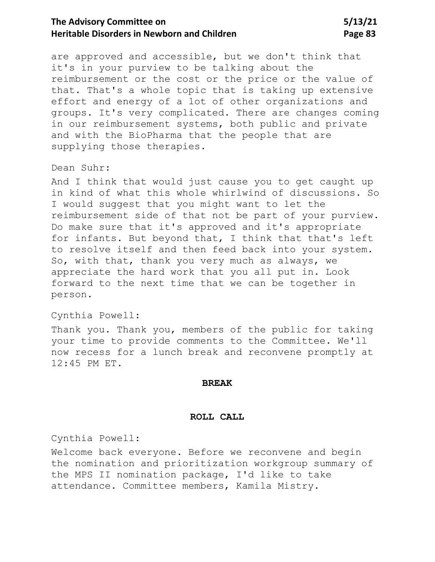# The Advisory Committee on 5/13/21 **Heritable Disorders in Newborn and Children** Page 83

are approved and accessible, but we don't think that it's in your purview to be talking about the reimbursement or the cost or the price or the value of that. That's a whole topic that is taking up extensive effort and energy of a lot of other organizations and groups. It's very complicated. There are changes coming in our reimbursement systems, both public and private and with the BioPharma that the people that are supplying those therapies.

### Dean Suhr:

And I think that would just cause you to get caught up in kind of what this whole whirlwind of discussions. So I would suggest that you might want to let the reimbursement side of that not be part of your purview. Do make sure that it's approved and it's appropriate for infants. But beyond that, I think that that's left to resolve itself and then feed back into your system. So, with that, thank you very much as always, we appreciate the hard work that you all put in. Look forward to the next time that we can be together in person.

#### Cynthia Powell:

Thank you. Thank you, members of the public for taking your time to provide comments to the Committee. We'll now recess for a lunch break and reconvene promptly at 12:45 PM ET.

#### **BREAK**

#### **ROLL CALL**

Cynthia Powell:

Welcome back everyone. Before we reconvene and begin the nomination and prioritization workgroup summary of the MPS II nomination package, I'd like to take attendance. Committee members, Kamila Mistry.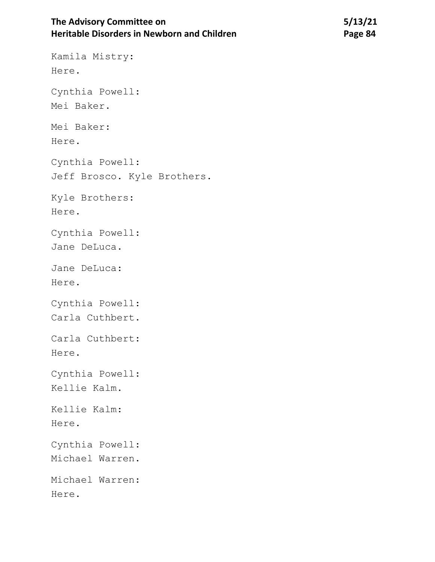# The Advisory Committee on 5/13/21 **Heritable Disorders in Newborn and Children** *Page 84* **<b>Page 84**

Kamila Mistry: Here. Cynthia Powell: Mei Baker. Mei Baker: Here. Cynthia Powell: Jeff Brosco. Kyle Brothers. Kyle Brothers: Here. Cynthia Powell: Jane DeLuca. Jane DeLuca: Here. Cynthia Powell: Carla Cuthbert. Carla Cuthbert: Here. Cynthia Powell: Kellie Kalm. Kellie Kalm: Here. Cynthia Powell: Michael Warren. Michael Warren:

Here.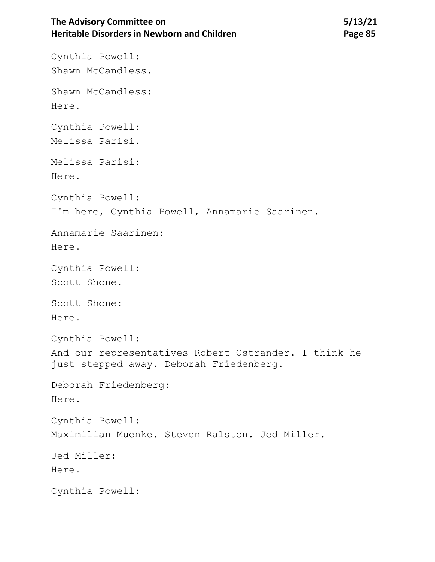# The Advisory Committee on 5/13/21 **Heritable Disorders in Newborn and Children <b>Page 85** Page 85

Cynthia Powell: Shawn McCandless. Shawn McCandless: Here. Cynthia Powell: Melissa Parisi. Melissa Parisi: Here. Cynthia Powell: I'm here, Cynthia Powell, Annamarie Saarinen. Annamarie Saarinen: Here. Cynthia Powell: Scott Shone. Scott Shone: Here. Cynthia Powell: And our representatives Robert Ostrander. I think he just stepped away. Deborah Friedenberg. Deborah Friedenberg: Here. Cynthia Powell: Maximilian Muenke. Steven Ralston. Jed Miller. Jed Miller: Here. Cynthia Powell: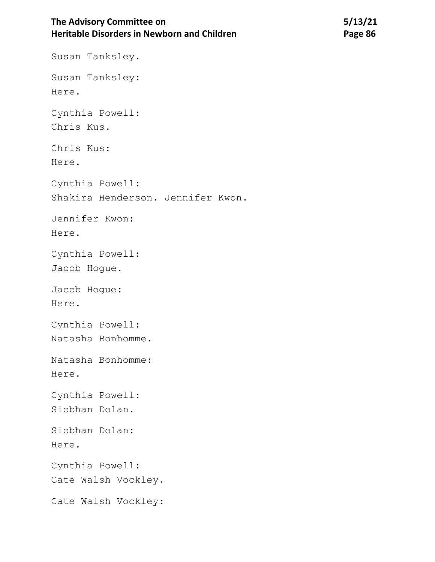# **The Advisory Committee on Heritable Disorders in Newborn and Children**

Susan Tanksley. Susan Tanksley: Here. Cynthia Powell: Chris Kus. Chris Kus: Here. Cynthia Powell: Shakira Henderson. Jennifer Kwon. Jennifer Kwon: Here. Cynthia Powell: Jacob Hogue. Jacob Hogue: Here. Cynthia Powell: Natasha Bonhomme. Natasha Bonhomme: Here. Cynthia Powell: Siobhan Dolan. Siobhan Dolan: Here. Cynthia Powell: Cate Walsh Vockley. Cate Walsh Vockley: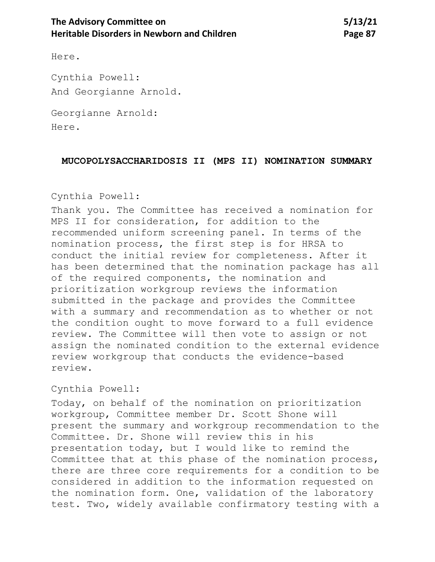Here.

Cynthia Powell: And Georgianne Arnold.

Georgianne Arnold: Here.

### **MUCOPOLYSACCHARIDOSIS II (MPS II) NOMINATION SUMMARY**

# Cynthia Powell:

Thank you. The Committee has received a nomination for MPS II for consideration, for addition to the recommended uniform screening panel. In terms of the nomination process, the first step is for HRSA to conduct the initial review for completeness. After it has been determined that the nomination package has all of the required components, the nomination and prioritization workgroup reviews the information submitted in the package and provides the Committee with a summary and recommendation as to whether or not the condition ought to move forward to a full evidence review. The Committee will then vote to assign or not assign the nominated condition to the external evidence review workgroup that conducts the evidence-based review.

## Cynthia Powell:

Today, on behalf of the nomination on prioritization workgroup, Committee member Dr. Scott Shone will present the summary and workgroup recommendation to the Committee. Dr. Shone will review this in his presentation today, but I would like to remind the Committee that at this phase of the nomination process, there are three core requirements for a condition to be considered in addition to the information requested on the nomination form. One, validation of the laboratory test. Two, widely available confirmatory testing with a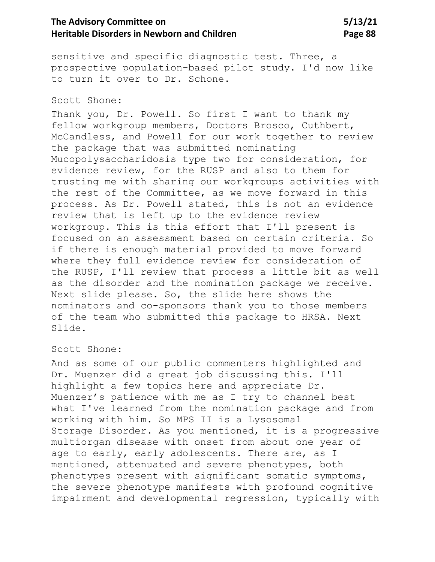# **The Advisory Committee on 5/13/21 Heritable Disorders in Newborn and Children <b>Page 88** Page 88

sensitive and specific diagnostic test. Three, a prospective population-based pilot study. I'd now like to turn it over to Dr. Schone.

### Scott Shone:

Thank you, Dr. Powell. So first I want to thank my fellow workgroup members, Doctors Brosco, Cuthbert, McCandless, and Powell for our work together to review the package that was submitted nominating Mucopolysaccharidosis type two for consideration, for evidence review, for the RUSP and also to them for trusting me with sharing our workgroups activities with the rest of the Committee, as we move forward in this process. As Dr. Powell stated, this is not an evidence review that is left up to the evidence review workgroup. This is this effort that I'll present is focused on an assessment based on certain criteria. So if there is enough material provided to move forward where they full evidence review for consideration of the RUSP, I'll review that process a little bit as well as the disorder and the nomination package we receive. Next slide please. So, the slide here shows the nominators and co-sponsors thank you to those members of the team who submitted this package to HRSA. Next Slide.

#### Scott Shone:

And as some of our public commenters highlighted and Dr. Muenzer did a great job discussing this. I'll highlight a few topics here and appreciate Dr. Muenzer's patience with me as I try to channel best what I've learned from the nomination package and from working with him. So MPS II is a Lysosomal Storage Disorder. As you mentioned, it is a progressive multiorgan disease with onset from about one year of age to early, early adolescents. There are, as I mentioned, attenuated and severe phenotypes, both phenotypes present with significant somatic symptoms, the severe phenotype manifests with profound cognitive impairment and developmental regression, typically with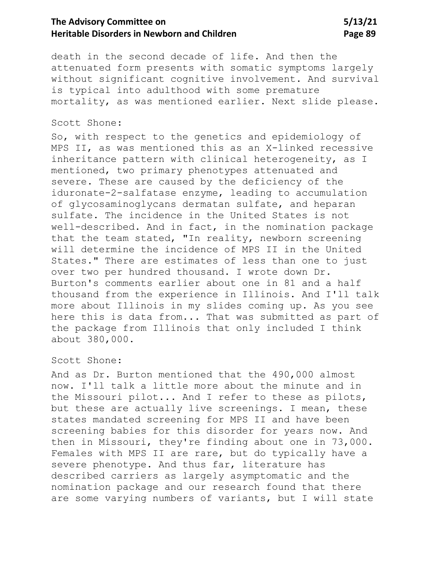# **The Advisory Committee on 5/13/21 Heritable Disorders in Newborn and Children <b>Page 89** Page 89

death in the second decade of life. And then the attenuated form presents with somatic symptoms largely without significant cognitive involvement. And survival is typical into adulthood with some premature mortality, as was mentioned earlier. Next slide please.

#### Scott Shone:

So, with respect to the genetics and epidemiology of MPS II, as was mentioned this as an X-linked recessive inheritance pattern with clinical heterogeneity, as I mentioned, two primary phenotypes attenuated and severe. These are caused by the deficiency of the iduronate-2-salfatase enzyme, leading to accumulation of glycosaminoglycans dermatan sulfate, and heparan sulfate. The incidence in the United States is not well-described. And in fact, in the nomination package that the team stated, "In reality, newborn screening will determine the incidence of MPS II in the United States." There are estimates of less than one to just over two per hundred thousand. I wrote down Dr. Burton's comments earlier about one in 81 and a half thousand from the experience in Illinois. And I'll talk more about Illinois in my slides coming up. As you see here this is data from... That was submitted as part of the package from Illinois that only included I think about 380,000.

#### Scott Shone:

And as Dr. Burton mentioned that the 490,000 almost now. I'll talk a little more about the minute and in the Missouri pilot... And I refer to these as pilots, but these are actually live screenings. I mean, these states mandated screening for MPS II and have been screening babies for this disorder for years now. And then in Missouri, they're finding about one in 73,000. Females with MPS II are rare, but do typically have a severe phenotype. And thus far, literature has described carriers as largely asymptomatic and the nomination package and our research found that there are some varying numbers of variants, but I will state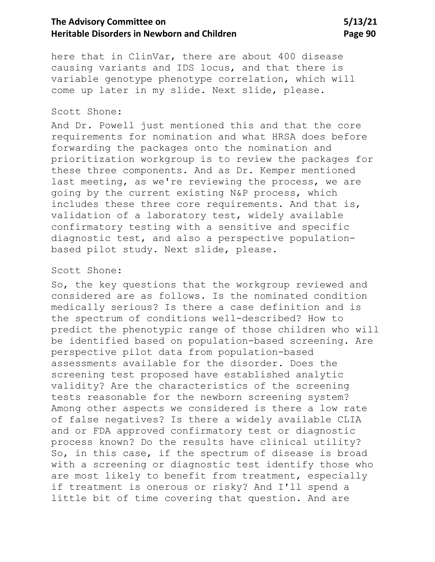# The Advisory Committee on 5/13/21 **Heritable Disorders in Newborn and Children <b>Page 90** Page 90

here that in ClinVar, there are about 400 disease causing variants and IDS locus, and that there is variable genotype phenotype correlation, which will come up later in my slide. Next slide, please.

### Scott Shone:

And Dr. Powell just mentioned this and that the core requirements for nomination and what HRSA does before forwarding the packages onto the nomination and prioritization workgroup is to review the packages for these three components. And as Dr. Kemper mentioned last meeting, as we're reviewing the process, we are going by the current existing N&P process, which includes these three core requirements. And that is, validation of a laboratory test, widely available confirmatory testing with a sensitive and specific diagnostic test, and also a perspective populationbased pilot study. Next slide, please.

#### Scott Shone:

So, the key questions that the workgroup reviewed and considered are as follows. Is the nominated condition medically serious? Is there a case definition and is the spectrum of conditions well-described? How to predict the phenotypic range of those children who will be identified based on population-based screening. Are perspective pilot data from population-based assessments available for the disorder. Does the screening test proposed have established analytic validity? Are the characteristics of the screening tests reasonable for the newborn screening system? Among other aspects we considered is there a low rate of false negatives? Is there a widely available CLIA and or FDA approved confirmatory test or diagnostic process known? Do the results have clinical utility? So, in this case, if the spectrum of disease is broad with a screening or diagnostic test identify those who are most likely to benefit from treatment, especially if treatment is onerous or risky? And I'll spend a little bit of time covering that question. And are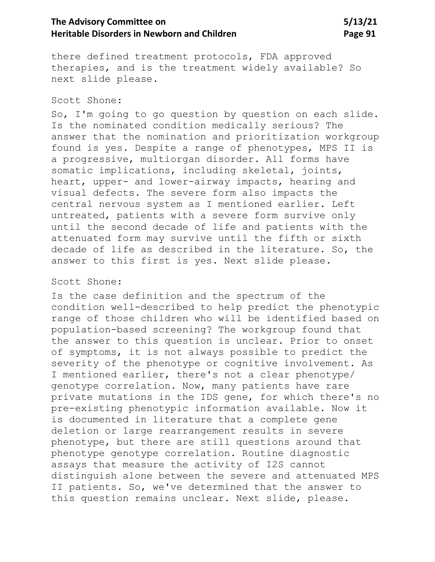# **The Advisory Committee on 5/13/21 Heritable Disorders in Newborn and Children** Page 91

there defined treatment protocols, FDA approved therapies, and is the treatment widely available? So next slide please.

#### Scott Shone:

So, I'm going to go question by question on each slide. Is the nominated condition medically serious? The answer that the nomination and prioritization workgroup found is yes. Despite a range of phenotypes, MPS II is a progressive, multiorgan disorder. All forms have somatic implications, including skeletal, joints, heart, upper- and lower-airway impacts, hearing and visual defects. The severe form also impacts the central nervous system as I mentioned earlier. Left untreated, patients with a severe form survive only until the second decade of life and patients with the attenuated form may survive until the fifth or sixth decade of life as described in the literature. So, the answer to this first is yes. Next slide please.

#### Scott Shone:

Is the case definition and the spectrum of the condition well-described to help predict the phenotypic range of those children who will be identified based on population-based screening? The workgroup found that the answer to this question is unclear. Prior to onset of symptoms, it is not always possible to predict the severity of the phenotype or cognitive involvement. As I mentioned earlier, there's not a clear phenotype/ genotype correlation. Now, many patients have rare private mutations in the IDS gene, for which there's no pre-existing phenotypic information available. Now it is documented in literature that a complete gene deletion or large rearrangement results in severe phenotype, but there are still questions around that phenotype genotype correlation. Routine diagnostic assays that measure the activity of I2S cannot distinguish alone between the severe and attenuated MPS II patients. So, we've determined that the answer to this question remains unclear. Next slide, please.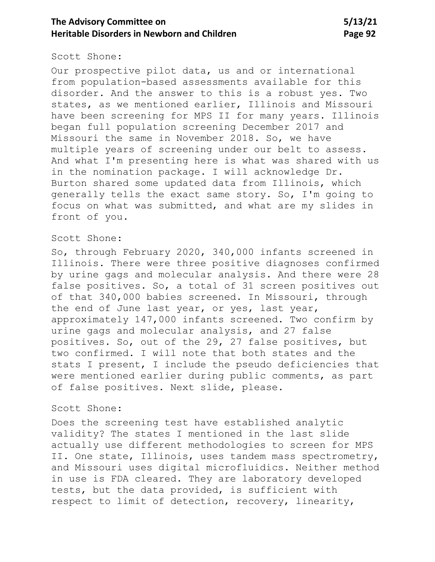# **The Advisory Committee on 5/13/21 Heritable Disorders in Newborn and Children <b>Page 92** Page 92

#### Scott Shone:

Our prospective pilot data, us and or international from population-based assessments available for this disorder. And the answer to this is a robust yes. Two states, as we mentioned earlier, Illinois and Missouri have been screening for MPS II for many years. Illinois began full population screening December 2017 and Missouri the same in November 2018. So, we have multiple years of screening under our belt to assess. And what I'm presenting here is what was shared with us in the nomination package. I will acknowledge Dr. Burton shared some updated data from Illinois, which generally tells the exact same story. So, I'm going to focus on what was submitted, and what are my slides in front of you.

## Scott Shone:

So, through February 2020, 340,000 infants screened in Illinois. There were three positive diagnoses confirmed by urine gags and molecular analysis. And there were 28 false positives. So, a total of 31 screen positives out of that 340,000 babies screened. In Missouri, through the end of June last year, or yes, last year, approximately 147,000 infants screened. Two confirm by urine gags and molecular analysis, and 27 false positives. So, out of the 29, 27 false positives, but two confirmed. I will note that both states and the stats I present, I include the pseudo deficiencies that were mentioned earlier during public comments, as part of false positives. Next slide, please.

#### Scott Shone:

Does the screening test have established analytic validity? The states I mentioned in the last slide actually use different methodologies to screen for MPS II. One state, Illinois, uses tandem mass spectrometry, and Missouri uses digital microfluidics. Neither method in use is FDA cleared. They are laboratory developed tests, but the data provided, is sufficient with respect to limit of detection, recovery, linearity,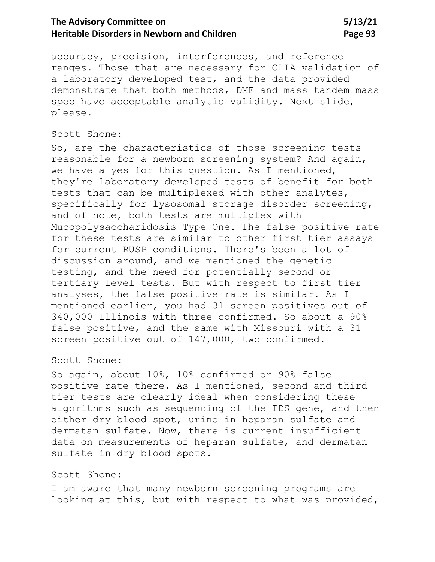# **The Advisory Committee on 5/13/21 Heritable Disorders in Newborn and Children <b>Page 93** Page 93

accuracy, precision, interferences, and reference ranges. Those that are necessary for CLIA validation of a laboratory developed test, and the data provided demonstrate that both methods, DMF and mass tandem mass spec have acceptable analytic validity. Next slide, please.

### Scott Shone:

So, are the characteristics of those screening tests reasonable for a newborn screening system? And again, we have a yes for this question. As I mentioned, they're laboratory developed tests of benefit for both tests that can be multiplexed with other analytes, specifically for lysosomal storage disorder screening, and of note, both tests are multiplex with Mucopolysaccharidosis Type One. The false positive rate for these tests are similar to other first tier assays for current RUSP conditions. There's been a lot of discussion around, and we mentioned the genetic testing, and the need for potentially second or tertiary level tests. But with respect to first tier analyses, the false positive rate is similar. As I mentioned earlier, you had 31 screen positives out of 340,000 Illinois with three confirmed. So about a 90% false positive, and the same with Missouri with a 31 screen positive out of 147,000, two confirmed.

### Scott Shone:

So again, about 10%, 10% confirmed or 90% false positive rate there. As I mentioned, second and third tier tests are clearly ideal when considering these algorithms such as sequencing of the IDS gene, and then either dry blood spot, urine in heparan sulfate and dermatan sulfate. Now, there is current insufficient data on measurements of heparan sulfate, and dermatan sulfate in dry blood spots.

#### Scott Shone:

I am aware that many newborn screening programs are looking at this, but with respect to what was provided,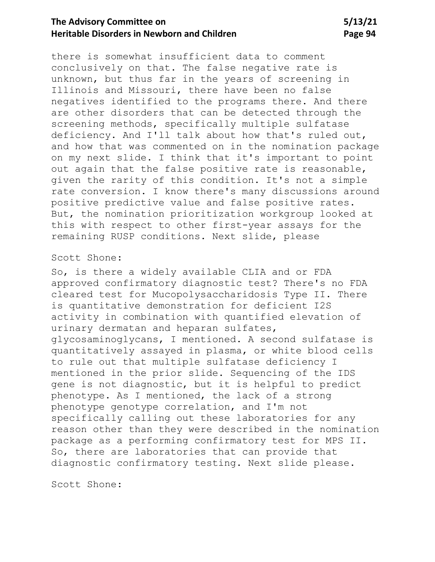# **The Advisory Committee on 5/13/21 Heritable Disorders in Newborn and Children <b>Page 94** Page 94

there is somewhat insufficient data to comment conclusively on that. The false negative rate is unknown, but thus far in the years of screening in Illinois and Missouri, there have been no false negatives identified to the programs there. And there are other disorders that can be detected through the screening methods, specifically multiple sulfatase deficiency. And I'll talk about how that's ruled out, and how that was commented on in the nomination package on my next slide. I think that it's important to point out again that the false positive rate is reasonable, given the rarity of this condition. It's not a simple rate conversion. I know there's many discussions around positive predictive value and false positive rates. But, the nomination prioritization workgroup looked at this with respect to other first-year assays for the remaining RUSP conditions. Next slide, please

### Scott Shone:

So, is there a widely available CLIA and or FDA approved confirmatory diagnostic test? There's no FDA cleared test for Mucopolysaccharidosis Type II. There is quantitative demonstration for deficient I2S activity in combination with quantified elevation of urinary dermatan and heparan sulfates, glycosaminoglycans, I mentioned. A second sulfatase is quantitatively assayed in plasma, or white blood cells to rule out that multiple sulfatase deficiency I mentioned in the prior slide. Sequencing of the IDS gene is not diagnostic, but it is helpful to predict phenotype. As I mentioned, the lack of a strong phenotype genotype correlation, and I'm not specifically calling out these laboratories for any reason other than they were described in the nomination package as a performing confirmatory test for MPS II. So, there are laboratories that can provide that diagnostic confirmatory testing. Next slide please.

Scott Shone: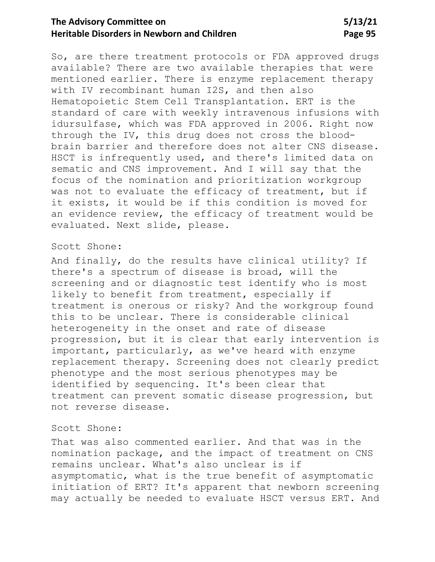# **The Advisory Committee on 5/13/21 Heritable Disorders in Newborn and Children <b>Page 95** Page 95

So, are there treatment protocols or FDA approved drugs available? There are two available therapies that were mentioned earlier. There is enzyme replacement therapy with IV recombinant human I2S, and then also Hematopoietic Stem Cell Transplantation. ERT is the standard of care with weekly intravenous infusions with idursulfase, which was FDA approved in 2006. Right now through the IV, this drug does not cross the bloodbrain barrier and therefore does not alter CNS disease. HSCT is infrequently used, and there's limited data on sematic and CNS improvement. And I will say that the focus of the nomination and prioritization workgroup was not to evaluate the efficacy of treatment, but if it exists, it would be if this condition is moved for an evidence review, the efficacy of treatment would be evaluated. Next slide, please.

### Scott Shone:

And finally, do the results have clinical utility? If there's a spectrum of disease is broad, will the screening and or diagnostic test identify who is most likely to benefit from treatment, especially if treatment is onerous or risky? And the workgroup found this to be unclear. There is considerable clinical heterogeneity in the onset and rate of disease progression, but it is clear that early intervention is important, particularly, as we've heard with enzyme replacement therapy. Screening does not clearly predict phenotype and the most serious phenotypes may be identified by sequencing. It's been clear that treatment can prevent somatic disease progression, but not reverse disease.

#### Scott Shone:

That was also commented earlier. And that was in the nomination package, and the impact of treatment on CNS remains unclear. What's also unclear is if asymptomatic, what is the true benefit of asymptomatic initiation of ERT? It's apparent that newborn screening may actually be needed to evaluate HSCT versus ERT. And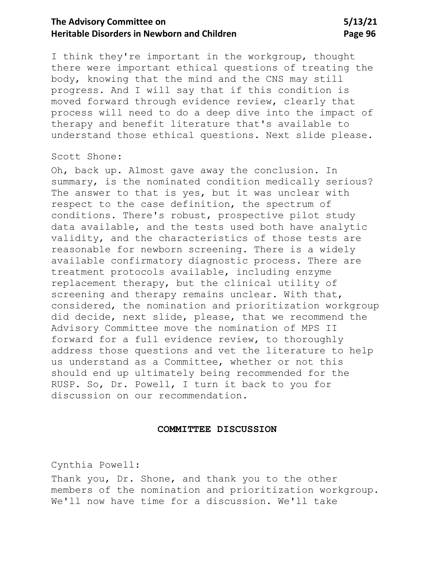# **The Advisory Committee on** 5/13/21 **Heritable Disorders in Newborn and Children <b>Page 96 Page 96**

I think they're important in the workgroup, thought there were important ethical questions of treating the body, knowing that the mind and the CNS may still progress. And I will say that if this condition is moved forward through evidence review, clearly that process will need to do a deep dive into the impact of therapy and benefit literature that's available to understand those ethical questions. Next slide please.

### Scott Shone:

Oh, back up. Almost gave away the conclusion. In summary, is the nominated condition medically serious? The answer to that is yes, but it was unclear with respect to the case definition, the spectrum of conditions. There's robust, prospective pilot study data available, and the tests used both have analytic validity, and the characteristics of those tests are reasonable for newborn screening. There is a widely available confirmatory diagnostic process. There are treatment protocols available, including enzyme replacement therapy, but the clinical utility of screening and therapy remains unclear. With that, considered, the nomination and prioritization workgroup did decide, next slide, please, that we recommend the Advisory Committee move the nomination of MPS II forward for a full evidence review, to thoroughly address those questions and vet the literature to help us understand as a Committee, whether or not this should end up ultimately being recommended for the RUSP. So, Dr. Powell, I turn it back to you for discussion on our recommendation.

#### **COMMITTEE DISCUSSION**

Cynthia Powell:

Thank you, Dr. Shone, and thank you to the other members of the nomination and prioritization workgroup. We'll now have time for a discussion. We'll take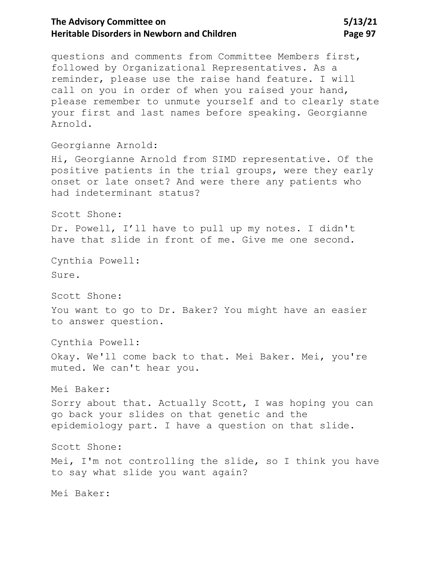# The Advisory Committee on 5/13/21 **Heritable Disorders in Newborn and Children <b>Page 97 Page 97**

questions and comments from Committee Members first, followed by Organizational Representatives. As a reminder, please use the raise hand feature. I will call on you in order of when you raised your hand, please remember to unmute yourself and to clearly state your first and last names before speaking. Georgianne Arnold.

Georgianne Arnold:

Hi, Georgianne Arnold from SIMD representative. Of the positive patients in the trial groups, were they early onset or late onset? And were there any patients who had indeterminant status?

Scott Shone:

Dr. Powell, I'll have to pull up my notes. I didn't have that slide in front of me. Give me one second.

Cynthia Powell: Sure.

Scott Shone:

You want to go to Dr. Baker? You might have an easier to answer question.

Cynthia Powell:

Okay. We'll come back to that. Mei Baker. Mei, you're muted. We can't hear you.

Mei Baker:

Sorry about that. Actually Scott, I was hoping you can go back your slides on that genetic and the epidemiology part. I have a question on that slide.

Scott Shone:

Mei, I'm not controlling the slide, so I think you have to say what slide you want again?

Mei Baker: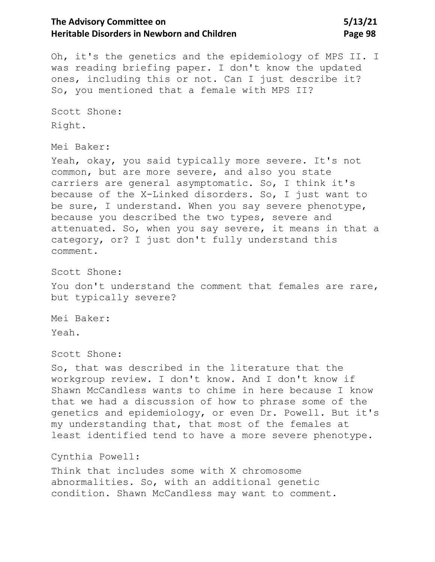# The Advisory Committee on 5/13/21 **Heritable Disorders in Newborn and Children <b>Page 98** Page 98

Oh, it's the genetics and the epidemiology of MPS II. I was reading briefing paper. I don't know the updated ones, including this or not. Can I just describe it? So, you mentioned that a female with MPS II?

Scott Shone: Right.

Mei Baker:

Yeah, okay, you said typically more severe. It's not common, but are more severe, and also you state carriers are general asymptomatic. So, I think it's because of the X-Linked disorders. So, I just want to be sure, I understand. When you say severe phenotype, because you described the two types, severe and attenuated. So, when you say severe, it means in that a category, or? I just don't fully understand this comment.

Scott Shone:

You don't understand the comment that females are rare, but typically severe?

Mei Baker: Yeah.

Scott Shone:

So, that was described in the literature that the workgroup review. I don't know. And I don't know if Shawn McCandless wants to chime in here because I know that we had a discussion of how to phrase some of the genetics and epidemiology, or even Dr. Powell. But it's my understanding that, that most of the females at least identified tend to have a more severe phenotype.

Cynthia Powell:

Think that includes some with X chromosome abnormalities. So, with an additional genetic condition. Shawn McCandless may want to comment.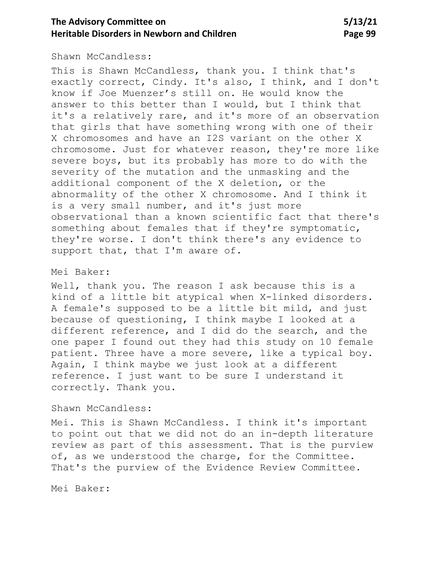# **The Advisory Committee on 5/13/21 Heritable Disorders in Newborn and Children <b>Page 99** Page 99

### Shawn McCandless:

This is Shawn McCandless, thank you. I think that's exactly correct, Cindy. It's also, I think, and I don't know if Joe Muenzer's still on. He would know the answer to this better than I would, but I think that it's a relatively rare, and it's more of an observation that girls that have something wrong with one of their X chromosomes and have an I2S variant on the other X chromosome. Just for whatever reason, they're more like severe boys, but its probably has more to do with the severity of the mutation and the unmasking and the additional component of the X deletion, or the abnormality of the other X chromosome. And I think it is a very small number, and it's just more observational than a known scientific fact that there's something about females that if they're symptomatic, they're worse. I don't think there's any evidence to support that, that I'm aware of.

### Mei Baker:

Well, thank you. The reason I ask because this is a kind of a little bit atypical when X-linked disorders. A female's supposed to be a little bit mild, and just because of questioning, I think maybe I looked at a different reference, and I did do the search, and the one paper I found out they had this study on 10 female patient. Three have a more severe, like a typical boy. Again, I think maybe we just look at a different reference. I just want to be sure I understand it correctly. Thank you.

### Shawn McCandless:

Mei. This is Shawn McCandless. I think it's important to point out that we did not do an in-depth literature review as part of this assessment. That is the purview of, as we understood the charge, for the Committee. That's the purview of the Evidence Review Committee.

Mei Baker: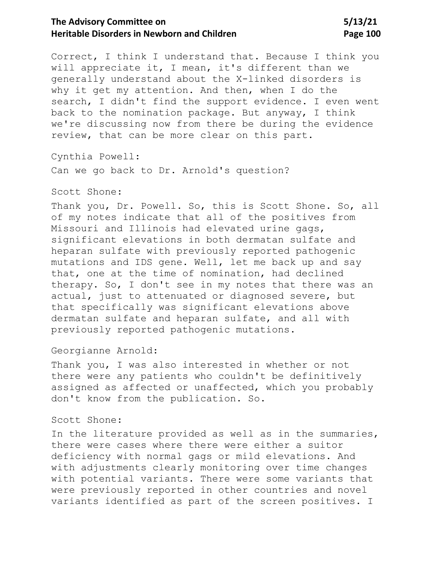# **The Advisory Committee on 5/13/21 Heritable Disorders in Newborn and Children <b>Page 100** Page 100

Correct, I think I understand that. Because I think you will appreciate it, I mean, it's different than we generally understand about the X-linked disorders is why it get my attention. And then, when I do the search, I didn't find the support evidence. I even went back to the nomination package. But anyway, I think we're discussing now from there be during the evidence review, that can be more clear on this part.

Cynthia Powell:

Can we go back to Dr. Arnold's question?

#### Scott Shone:

Thank you, Dr. Powell. So, this is Scott Shone. So, all of my notes indicate that all of the positives from Missouri and Illinois had elevated urine gags, significant elevations in both dermatan sulfate and heparan sulfate with previously reported pathogenic mutations and IDS gene. Well, let me back up and say that, one at the time of nomination, had declined therapy. So, I don't see in my notes that there was an actual, just to attenuated or diagnosed severe, but that specifically was significant elevations above dermatan sulfate and heparan sulfate, and all with previously reported pathogenic mutations.

### Georgianne Arnold:

Thank you, I was also interested in whether or not there were any patients who couldn't be definitively assigned as affected or unaffected, which you probably don't know from the publication. So.

#### Scott Shone:

In the literature provided as well as in the summaries, there were cases where there were either a suitor deficiency with normal gags or mild elevations. And with adjustments clearly monitoring over time changes with potential variants. There were some variants that were previously reported in other countries and novel variants identified as part of the screen positives. I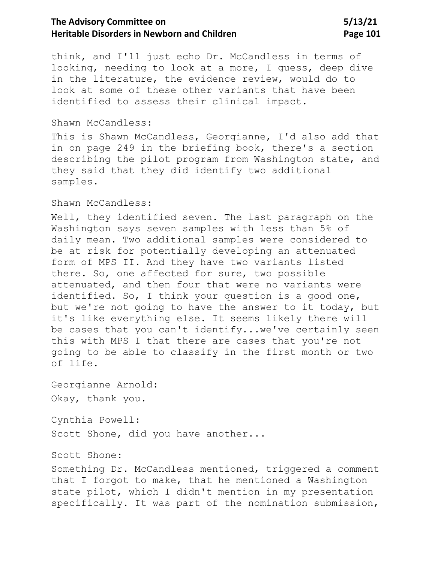# The Advisory Committee on 5/13/21 **Heritable Disorders in Newborn and Children Page 101**

think, and I'll just echo Dr. McCandless in terms of looking, needing to look at a more, I guess, deep dive in the literature, the evidence review, would do to look at some of these other variants that have been identified to assess their clinical impact.

### Shawn McCandless:

This is Shawn McCandless, Georgianne, I'd also add that in on page 249 in the briefing book, there's a section describing the pilot program from Washington state, and they said that they did identify two additional samples.

### Shawn McCandless:

Well, they identified seven. The last paragraph on the Washington says seven samples with less than 5% of daily mean. Two additional samples were considered to be at risk for potentially developing an attenuated form of MPS II. And they have two variants listed there. So, one affected for sure, two possible attenuated, and then four that were no variants were identified. So, I think your question is a good one, but we're not going to have the answer to it today, but it's like everything else. It seems likely there will be cases that you can't identify...we've certainly seen this with MPS I that there are cases that you're not going to be able to classify in the first month or two of life.

Georgianne Arnold: Okay, thank you.

Cynthia Powell:

Scott Shone, did you have another...

#### Scott Shone:

Something Dr. McCandless mentioned, triggered a comment that I forgot to make, that he mentioned a Washington state pilot, which I didn't mention in my presentation specifically. It was part of the nomination submission,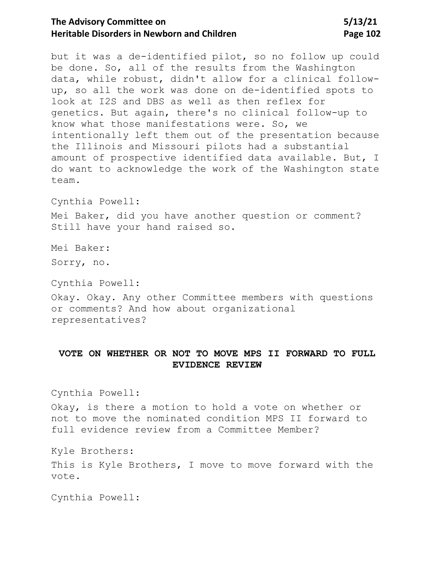# The Advisory Committee on 5/13/21 **Heritable Disorders in Newborn and Children Page 102**

but it was a de-identified pilot, so no follow up could be done. So, all of the results from the Washington data, while robust, didn't allow for a clinical followup, so all the work was done on de-identified spots to look at I2S and DBS as well as then reflex for genetics. But again, there's no clinical follow-up to know what those manifestations were. So, we intentionally left them out of the presentation because the Illinois and Missouri pilots had a substantial amount of prospective identified data available. But, I do want to acknowledge the work of the Washington state team.

Cynthia Powell:

Mei Baker, did you have another question or comment? Still have your hand raised so.

Mei Baker: Sorry, no.

Cynthia Powell:

Okay. Okay. Any other Committee members with questions or comments? And how about organizational representatives?

## **VOTE ON WHETHER OR NOT TO MOVE MPS II FORWARD TO FULL EVIDENCE REVIEW**

Cynthia Powell:

Okay, is there a motion to hold a vote on whether or not to move the nominated condition MPS II forward to full evidence review from a Committee Member?

Kyle Brothers: This is Kyle Brothers, I move to move forward with the vote.

Cynthia Powell: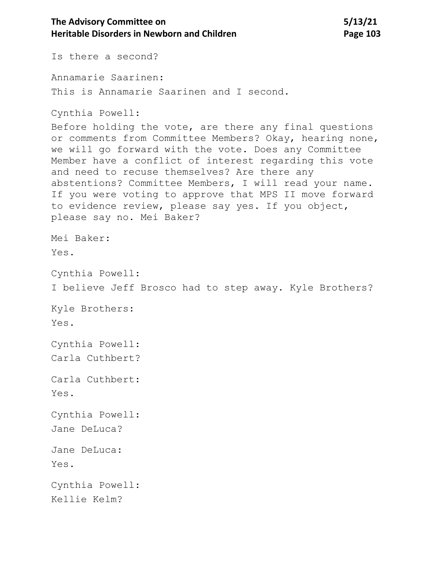The Advisory Committee on 5/13/21 **Heritable Disorders in Newborn and Children <b>Page 103** Page 103 Is there a second? Annamarie Saarinen: This is Annamarie Saarinen and I second. Cynthia Powell: Before holding the vote, are there any final questions or comments from Committee Members? Okay, hearing none, we will go forward with the vote. Does any Committee Member have a conflict of interest regarding this vote and need to recuse themselves? Are there any abstentions? Committee Members, I will read your name. If you were voting to approve that MPS II move forward to evidence review, please say yes. If you object, please say no. Mei Baker? Mei Baker: Yes. Cynthia Powell:

I believe Jeff Brosco had to step away. Kyle Brothers?

Kyle Brothers: Yes.

Cynthia Powell: Carla Cuthbert?

Carla Cuthbert: Yes.

Cynthia Powell: Jane DeLuca?

Jane DeLuca:

Yes.

Cynthia Powell: Kellie Kelm?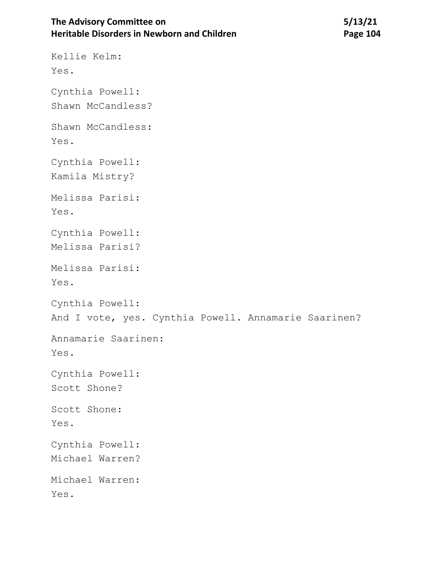# The Advisory Committee on 5/13/21 **Heritable Disorders in Newborn and Children** *Page 104*

Kellie Kelm:

Yes. Cynthia Powell: Shawn McCandless? Shawn McCandless: Yes. Cynthia Powell: Kamila Mistry? Melissa Parisi: Yes. Cynthia Powell: Melissa Parisi? Melissa Parisi: Yes. Cynthia Powell: And I vote, yes. Cynthia Powell. Annamarie Saarinen? Annamarie Saarinen: Yes. Cynthia Powell: Scott Shone? Scott Shone: Yes. Cynthia Powell: Michael Warren? Michael Warren: Yes.